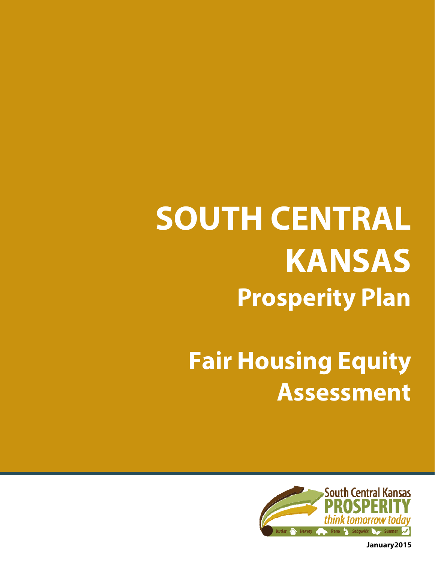# **Fair Housing Equity Assessment**



**January2015**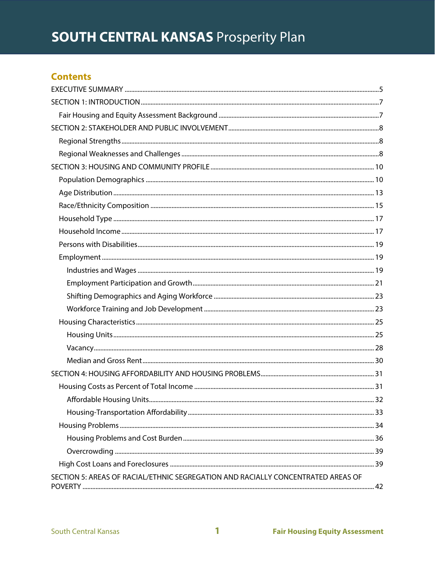#### **Contents**

| SECTION 5: AREAS OF RACIAL/ETHNIC SEGREGATION AND RACIALLY CONCENTRATED AREAS OF |  |
|----------------------------------------------------------------------------------|--|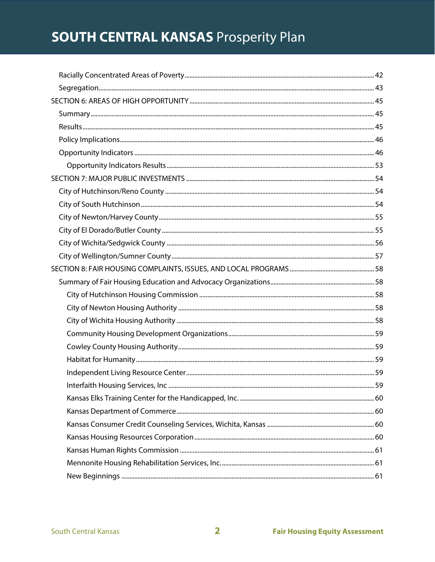| 59 |
|----|
|    |
|    |
|    |
|    |
|    |
|    |
|    |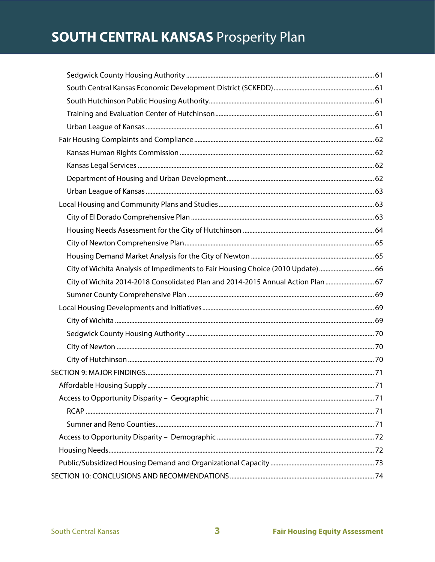| City of Wichita Analysis of Impediments to Fair Housing Choice (2010 Update) 66  |  |
|----------------------------------------------------------------------------------|--|
| City of Wichita 2014-2018 Consolidated Plan and 2014-2015 Annual Action Plan  67 |  |
|                                                                                  |  |
|                                                                                  |  |
|                                                                                  |  |
|                                                                                  |  |
|                                                                                  |  |
|                                                                                  |  |
|                                                                                  |  |
|                                                                                  |  |
|                                                                                  |  |
|                                                                                  |  |
|                                                                                  |  |
|                                                                                  |  |
|                                                                                  |  |
|                                                                                  |  |
|                                                                                  |  |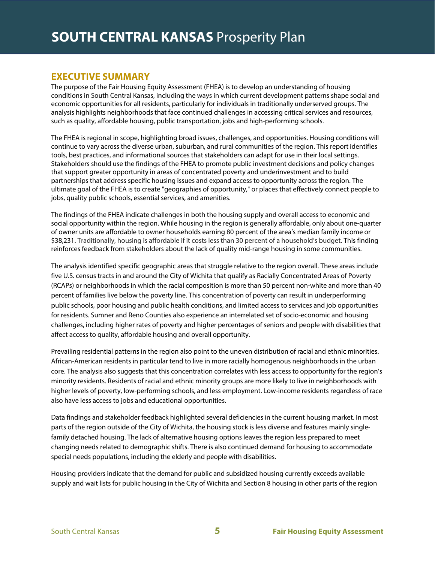#### **EXECUTIVE SUMMARY**

The purpose of the Fair Housing Equity Assessment (FHEA) is to develop an understanding of housing conditions in South Central Kansas, including the ways in which current development patterns shape social and economic opportunities for all residents, particularly for individuals in traditionally underserved groups. The analysis highlights neighborhoods that face continued challenges in accessing critical services and resources, such as quality, affordable housing, public transportation, jobs and high-performing schools.

The FHEA is regional in scope, highlighting broad issues, challenges, and opportunities. Housing conditions will continue to vary across the diverse urban, suburban, and rural communities of the region. This report identifies tools, best practices, and informational sources that stakeholders can adapt for use in their local settings. Stakeholders should use the findings of the FHEA to promote public investment decisions and policy changes that support greater opportunity in areas of concentrated poverty and underinvestment and to build partnerships that address specific housing issues and expand access to opportunity across the region. The ultimate goal of the FHEA is to create "geographies of opportunity," or places that effectively connect people to jobs, quality public schools, essential services, and amenities.

The findings of the FHEA indicate challenges in both the housing supply and overall access to economic and social opportunity within the region. While housing in the region is generally affordable, only about one-quarter of owner units are affordable to owner households earning 80 percent of the area's median family income or \$38,231. Traditionally, housing is affordable if it costs less than 30 percent of a household's budget. This finding reinforces feedback from stakeholders about the lack of quality mid-range housing in some communities.

The analysis identified specific geographic areas that struggle relative to the region overall. These areas include five U.S. census tracts in and around the City of Wichita that qualify as Racially Concentrated Areas of Poverty (RCAPs) or neighborhoods in which the racial composition is more than 50 percent non-white and more than 40 percent of families live below the poverty line. This concentration of poverty can result in underperforming public schools, poor housing and public health conditions, and limited access to services and job opportunities for residents. Sumner and Reno Counties also experience an interrelated set of socio-economic and housing challenges, including higher rates of poverty and higher percentages of seniors and people with disabilities that affect access to quality, affordable housing and overall opportunity.

Prevailing residential patterns in the region also point to the uneven distribution of racial and ethnic minorities. African-American residents in particular tend to live in more racially homogenous neighborhoods in the urban core. The analysis also suggests that this concentration correlates with less access to opportunity for the region's minority residents. Residents of racial and ethnic minority groups are more likely to live in neighborhoods with higher levels of poverty, low-performing schools, and less employment. Low-income residents regardless of race also have less access to jobs and educational opportunities.

Data findings and stakeholder feedback highlighted several deficiencies in the current housing market. In most parts of the region outside of the City of Wichita, the housing stock is less diverse and features mainly singlefamily detached housing. The lack of alternative housing options leaves the region less prepared to meet changing needs related to demographic shifts. There is also continued demand for housing to accommodate special needs populations, including the elderly and people with disabilities.

Housing providers indicate that the demand for public and subsidized housing currently exceeds available supply and wait lists for public housing in the City of Wichita and Section 8 housing in other parts of the region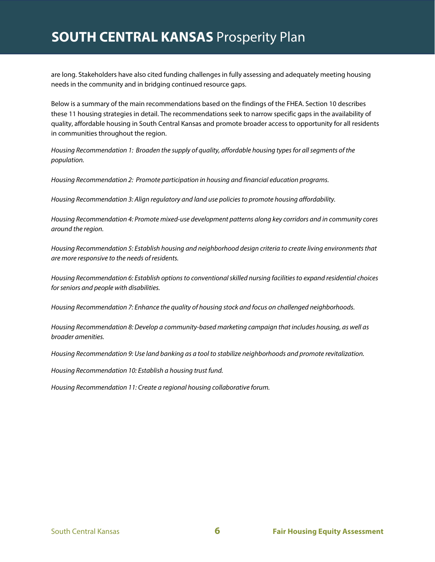are long. Stakeholders have also cited funding challenges in fully assessing and adequately meeting housing needs in the community and in bridging continued resource gaps.

Below is a summary of the main recommendations based on the findings of the FHEA. Section 10 describes these 11 housing strategies in detail. The recommendations seek to narrow specific gaps in the availability of quality, affordable housing in South Central Kansas and promote broader access to opportunity for all residents in communities throughout the region.

Housing Recommendation 1: Broaden the supply of quality, affordable housing types for all segments of the population.

Housing Recommendation 2: Promote participation in housing and financial education programs.

Housing Recommendation 3: Align regulatory and land use policies to promote housing affordability.

Housing Recommendation 4: Promote mixed-use development patterns along key corridors and in community cores around the region.

Housing Recommendation 5: Establish housing and neighborhood design criteria to create living environments that are more responsive to the needs of residents.

Housing Recommendation 6: Establish options to conventional skilled nursing facilities to expand residential choices for seniors and people with disabilities.

Housing Recommendation 7: Enhance the quality of housing stock and focus on challenged neighborhoods.

Housing Recommendation 8: Develop a community-based marketing campaign that includes housing, as well as broader amenities.

Housing Recommendation 9: Use land banking as a tool to stabilize neighborhoods and promote revitalization.

Housing Recommendation 10: Establish a housing trust fund.

Housing Recommendation 11: Create a regional housing collaborative forum.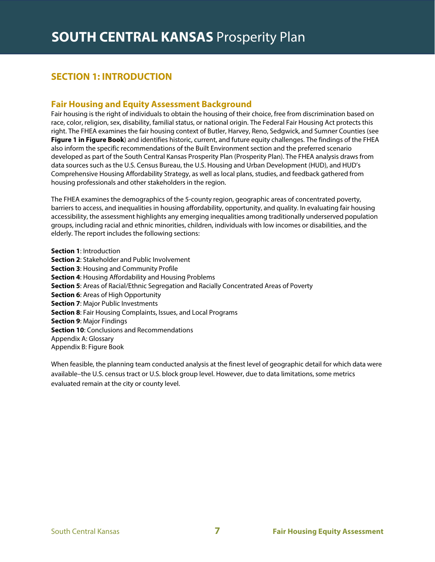#### **SECTION 1: INTRODUCTION**

#### **Fair Housing and Equity Assessment Background**

Fair housing is the right of individuals to obtain the housing of their choice, free from discrimination based on race, color, religion, sex, disability, familial status, or national origin. The Federal Fair Housing Act protects this right. The FHEA examines the fair housing context of Butler, Harvey, Reno, Sedgwick, and Sumner Counties (see **Figure 1 in Figure Book**) and identifies historic, current, and future equity challenges. The findings of the FHEA also inform the specific recommendations of the Built Environment section and the preferred scenario developed as part of the South Central Kansas Prosperity Plan (Prosperity Plan). The FHEA analysis draws from data sources such as the U.S. Census Bureau, the U.S. Housing and Urban Development (HUD), and HUD's Comprehensive Housing Affordability Strategy, as well as local plans, studies, and feedback gathered from housing professionals and other stakeholders in the region.

The FHEA examines the demographics of the 5-county region, geographic areas of concentrated poverty, barriers to access, and inequalities in housing affordability, opportunity, and quality. In evaluating fair housing accessibility, the assessment highlights any emerging inequalities among traditionally underserved population groups, including racial and ethnic minorities, children, individuals with low incomes or disabilities, and the elderly. The report includes the following sections:

**Section 1**: Introduction **Section 2**: Stakeholder and Public Involvement **Section 3**: Housing and Community Profile **Section 4**: Housing Affordability and Housing Problems **Section 5**: Areas of Racial/Ethnic Segregation and Racially Concentrated Areas of Poverty **Section 6: Areas of High Opportunity Section 7: Major Public Investments Section 8**: Fair Housing Complaints, Issues, and Local Programs **Section 9**: Major Findings **Section 10**: Conclusions and Recommendations Appendix A: Glossary Appendix B: Figure Book

When feasible, the planning team conducted analysis at the finest level of geographic detail for which data were available–the U.S. census tract or U.S. block group level. However, due to data limitations, some metrics evaluated remain at the city or county level.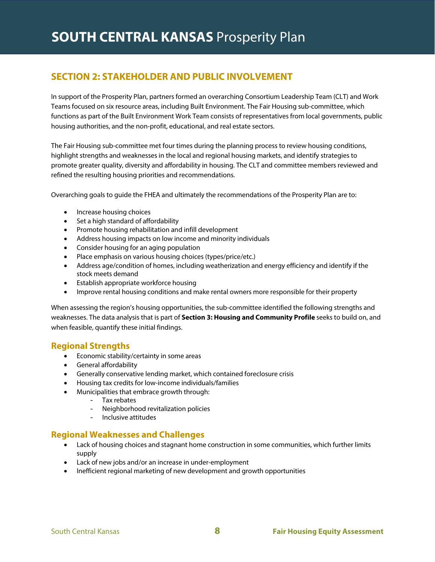#### **SECTION 2: STAKEHOLDER AND PUBLIC INVOLVEMENT**

In support of the Prosperity Plan, partners formed an overarching Consortium Leadership Team (CLT) and Work Teams focused on six resource areas, including Built Environment. The Fair Housing sub-committee, which functions as part of the Built Environment Work Team consists of representatives from local governments, public housing authorities, and the non-profit, educational, and real estate sectors.

The Fair Housing sub-committee met four times during the planning process to review housing conditions, highlight strengths and weaknesses in the local and regional housing markets, and identify strategies to promote greater quality, diversity and affordability in housing. The CLT and committee members reviewed and refined the resulting housing priorities and recommendations.

Overarching goals to guide the FHEA and ultimately the recommendations of the Prosperity Plan are to:

- Increase housing choices
- Set a high standard of affordability
- Promote housing rehabilitation and infill development
- Address housing impacts on low income and minority individuals
- Consider housing for an aging population
- Place emphasis on various housing choices (types/price/etc.)
- Address age/condition of homes, including weatherization and energy efficiency and identify if the stock meets demand
- Establish appropriate workforce housing
- Improve rental housing conditions and make rental owners more responsible for their property

When assessing the region's housing opportunities, the sub-committee identified the following strengths and weaknesses. The data analysis that is part of **Section 3: Housing and Community Profile** seeks to build on, and when feasible, quantify these initial findings.

#### **Regional Strengths**

- **•** Economic stability/certainty in some areas
- General affordability
- Generally conservative lending market, which contained foreclosure crisis
- Housing tax credits for low-income individuals/families
- Municipalities that embrace growth through:
	- Tax rebates
	- Neighborhood revitalization policies
	- Inclusive attitudes

#### **Regional Weaknesses and Challenges**

- Lack of housing choices and stagnant home construction in some communities, which further limits supply
- Lack of new jobs and/or an increase in under-employment
- Inefficient regional marketing of new development and growth opportunities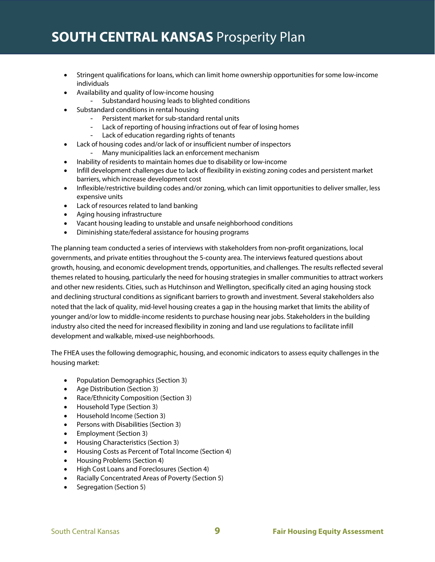- Stringent qualifications for loans, which can limit home ownership opportunities for some low-income individuals
- Availability and quality of low-income housing
	- Substandard housing leads to blighted conditions
- Substandard conditions in rental housing
	- Persistent market for sub-standard rental units
	- Lack of reporting of housing infractions out of fear of losing homes
	- Lack of education regarding rights of tenants
- Lack of housing codes and/or lack of or insufficient number of inspectors
	- Many municipalities lack an enforcement mechanism
- Inability of residents to maintain homes due to disability or low-income
- Infill development challenges due to lack of flexibility in existing zoning codes and persistent market barriers, which increase development cost
- Inflexible/restrictive building codes and/or zoning, which can limit opportunities to deliver smaller, less expensive units
- Lack of resources related to land banking
- Aging housing infrastructure
- Vacant housing leading to unstable and unsafe neighborhood conditions
- Diminishing state/federal assistance for housing programs

The planning team conducted a series of interviews with stakeholders from non-profit organizations, local governments, and private entities throughout the 5-county area. The interviews featured questions about growth, housing, and economic development trends, opportunities, and challenges. The results reflected several themes related to housing, particularly the need for housing strategies in smaller communities to attract workers and other new residents. Cities, such as Hutchinson and Wellington, specifically cited an aging housing stock and declining structural conditions as significant barriers to growth and investment. Several stakeholders also noted that the lack of quality, mid-level housing creates a gap in the housing market that limits the ability of younger and/or low to middle-income residents to purchase housing near jobs. Stakeholders in the building industry also cited the need for increased flexibility in zoning and land use regulations to facilitate infill development and walkable, mixed-use neighborhoods.

The FHEA uses the following demographic, housing, and economic indicators to assess equity challenges in the housing market:

- Population Demographics (Section 3)
- Age Distribution (Section 3)
- Race/Ethnicity Composition (Section 3)
- Household Type (Section 3)
- Household Income (Section 3)
- Persons with Disabilities (Section 3)
- Employment (Section 3)
- Housing Characteristics (Section 3)
- Housing Costs as Percent of Total Income (Section 4)
- Housing Problems (Section 4)
- High Cost Loans and Foreclosures (Section 4)
- Racially Concentrated Areas of Poverty (Section 5)
- Segregation (Section 5)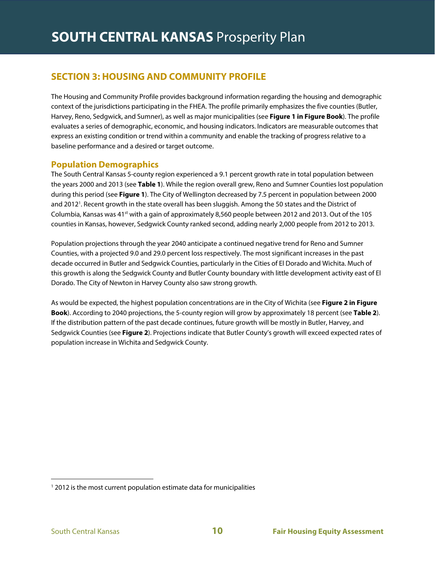#### **SECTION 3: HOUSING AND COMMUNITY PROFILE**

The Housing and Community Profile provides background information regarding the housing and demographic context of the jurisdictions participating in the FHEA. The profile primarily emphasizes the five counties (Butler, Harvey, Reno, Sedgwick, and Sumner), as well as major municipalities (see **Figure 1 in Figure Book**). The profile evaluates a series of demographic, economic, and housing indicators. Indicators are measurable outcomes that express an existing condition or trend within a community and enable the tracking of progress relative to a baseline performance and a desired or target outcome.

#### **Population Demographics**

The South Central Kansas 5-county region experienced a 9.1 percent growth rate in total population between the years 2000 and 2013 (see **Table 1**). While the region overall grew, Reno and Sumner Counties lost population during this period (see **Figure 1**). The City of Wellington decreased by 7.5 percent in population between 2000 and 20121 . Recent growth in the state overall has been sluggish. Among the 50 states and the District of Columbia, Kansas was 41<sup>st</sup> with a gain of approximately 8,560 people between 2012 and 2013. Out of the 105 counties in Kansas, however, Sedgwick County ranked second, adding nearly 2,000 people from 2012 to 2013.

Population projections through the year 2040 anticipate a continued negative trend for Reno and Sumner Counties, with a projected 9.0 and 29.0 percent loss respectively. The most significant increases in the past decade occurred in Butler and Sedgwick Counties, particularly in the Cities of El Dorado and Wichita. Much of this growth is along the Sedgwick County and Butler County boundary with little development activity east of El Dorado. The City of Newton in Harvey County also saw strong growth.

As would be expected, the highest population concentrations are in the City of Wichita (see **Figure 2 in Figure Book**). According to 2040 projections, the 5-county region will grow by approximately 18 percent (see **Table 2**). If the distribution pattern of the past decade continues, future growth will be mostly in Butler, Harvey, and Sedgwick Counties (see **Figure 2**). Projections indicate that Butler County's growth will exceed expected rates of population increase in Wichita and Sedgwick County.

<sup>&</sup>lt;sup>1</sup> 2012 is the most current population estimate data for municipalities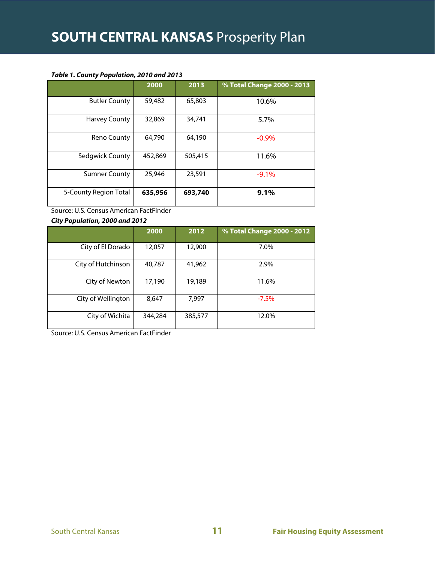#### **Table 1. County Population, 2010 and 2013**

|                       | 2000    | 2013    | % Total Change 2000 - 2013 |
|-----------------------|---------|---------|----------------------------|
| <b>Butler County</b>  | 59,482  | 65,803  | 10.6%                      |
| <b>Harvey County</b>  | 32,869  | 34,741  | 5.7%                       |
| Reno County           | 64,790  | 64,190  | $-0.9\%$                   |
| Sedgwick County       | 452,869 | 505,415 | 11.6%                      |
| <b>Sumner County</b>  | 25,946  | 23,591  | $-9.1%$                    |
| 5-County Region Total | 635,956 | 693,740 | 9.1%                       |

Source: U.S. Census American FactFinder

#### **City Population, 2000 and 2012**

|                    | 2000    | 2012    | % Total Change 2000 - 2012 |
|--------------------|---------|---------|----------------------------|
| City of El Dorado  | 12,057  | 12,900  | 7.0%                       |
| City of Hutchinson | 40,787  | 41,962  | 2.9%                       |
| City of Newton     | 17,190  | 19,189  | 11.6%                      |
| City of Wellington | 8,647   | 7,997   | $-7.5%$                    |
| City of Wichita    | 344,284 | 385,577 | 12.0%                      |

Source: U.S. Census American FactFinder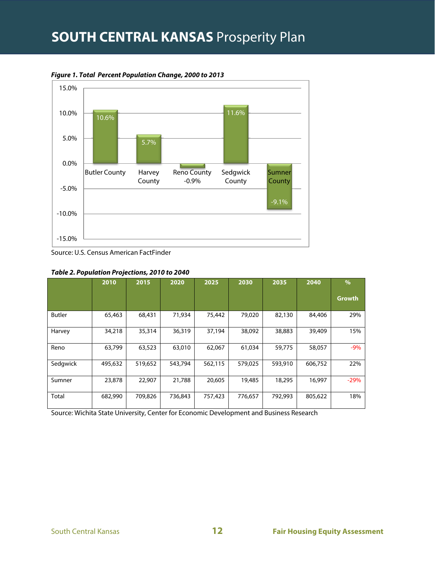

**Figure 1. Total Percent Population Change, 2000 to 2013**

Source: U.S. Census American FactFinder

|               | 2010    | 2015    | 2020    | 2025    | 2030    | 2035    | 2040    | %             |
|---------------|---------|---------|---------|---------|---------|---------|---------|---------------|
|               |         |         |         |         |         |         |         | <b>Growth</b> |
| <b>Butler</b> | 65,463  | 68,431  | 71,934  | 75,442  | 79,020  | 82,130  | 84,406  | 29%           |
| Harvey        | 34,218  | 35,314  | 36,319  | 37,194  | 38,092  | 38,883  | 39,409  | 15%           |
| Reno          | 63,799  | 63,523  | 63,010  | 62,067  | 61,034  | 59,775  | 58,057  | $-9%$         |
| Sedgwick      | 495,632 | 519,652 | 543,794 | 562,115 | 579,025 | 593,910 | 606,752 | 22%           |
| Sumner        | 23,878  | 22,907  | 21,788  | 20,605  | 19,485  | 18,295  | 16,997  | $-29%$        |
| Total         | 682,990 | 709,826 | 736,843 | 757,423 | 776,657 | 792,993 | 805,622 | 18%           |

Source: Wichita State University, Center for Economic Development and Business Research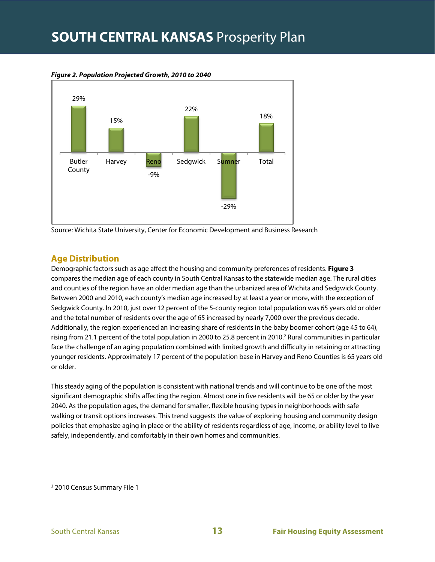

**Figure 2. Population Projected Growth, 2010 to 2040** 

Source: Wichita State University, Center for Economic Development and Business Research

#### **Age Distribution**

Demographic factors such as age affect the housing and community preferences of residents. **Figure 3** compares the median age of each county in South Central Kansas to the statewide median age. The rural cities and counties of the region have an older median age than the urbanized area of Wichita and Sedgwick County. Between 2000 and 2010, each county's median age increased by at least a year or more, with the exception of Sedgwick County. In 2010, just over 12 percent of the 5-county region total population was 65 years old or older and the total number of residents over the age of 65 increased by nearly 7,000 over the previous decade. Additionally, the region experienced an increasing share of residents in the baby boomer cohort (age 45 to 64), rising from 21.1 percent of the total population in 2000 to 25.8 percent in 2010.<sup>2</sup> Rural communities in particular face the challenge of an aging population combined with limited growth and difficulty in retaining or attracting younger residents. Approximately 17 percent of the population base in Harvey and Reno Counties is 65 years old or older.

This steady aging of the population is consistent with national trends and will continue to be one of the most significant demographic shifts affecting the region. Almost one in five residents will be 65 or older by the year 2040. As the population ages, the demand for smaller, flexible housing types in neighborhoods with safe walking or transit options increases. This trend suggests the value of exploring housing and community design policies that emphasize aging in place or the ability of residents regardless of age, income, or ability level to live safely, independently, and comfortably in their own homes and communities.

<sup>2</sup> 2010 Census Summary File 1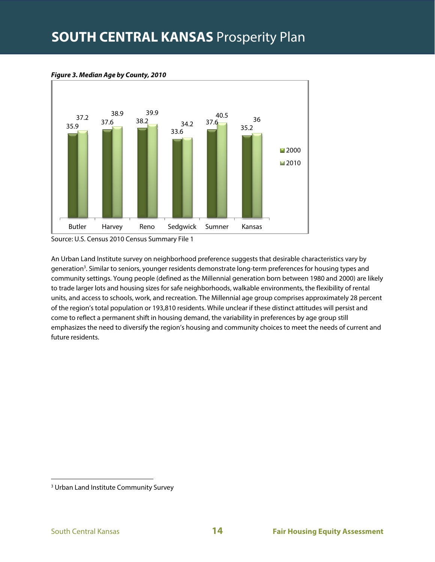**Figure 3. Median Age by County, 2010** 



Source: U.S. Census 2010 Census Summary File 1

An Urban Land Institute survey on neighborhood preference suggests that desirable characteristics vary by generation<sup>3</sup>. Similar to seniors, younger residents demonstrate long-term preferences for housing types and community settings. Young people (defined as the Millennial generation born between 1980 and 2000) are likely to trade larger lots and housing sizes for safe neighborhoods, walkable environments, the flexibility of rental units, and access to schools, work, and recreation. The Millennial age group comprises approximately 28 percent of the region's total population or 193,810 residents. While unclear if these distinct attitudes will persist and come to reflect a permanent shift in housing demand, the variability in preferences by age group still emphasizes the need to diversify the region's housing and community choices to meet the needs of current and future residents.

<sup>3</sup> Urban Land Institute Community Survey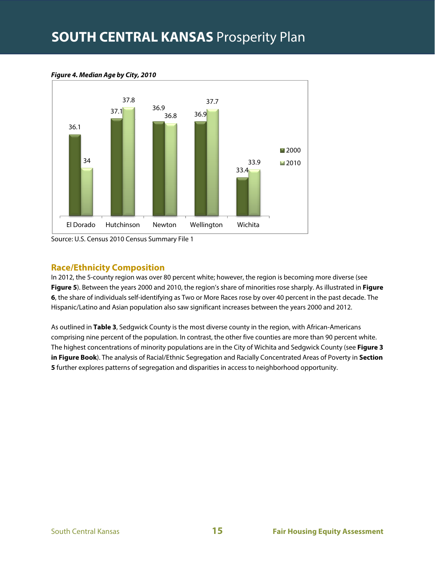#### **Figure 4. Median Age by City, 2010**



Source: U.S. Census 2010 Census Summary File 1

#### **Race/Ethnicity Composition**

In 2012, the 5-county region was over 80 percent white; however, the region is becoming more diverse (see **Figure 5**). Between the years 2000 and 2010, the region's share of minorities rose sharply. As illustrated in **Figure 6**, the share of individuals self-identifying as Two or More Races rose by over 40 percent in the past decade. The Hispanic/Latino and Asian population also saw significant increases between the years 2000 and 2012.

As outlined in **Table 3**, Sedgwick County is the most diverse county in the region, with African-Americans comprising nine percent of the population. In contrast, the other five counties are more than 90 percent white. The highest concentrations of minority populations are in the City of Wichita and Sedgwick County (see **Figure 3 in Figure Book**). The analysis of Racial/Ethnic Segregation and Racially Concentrated Areas of Poverty in **Section 5** further explores patterns of segregation and disparities in access to neighborhood opportunity.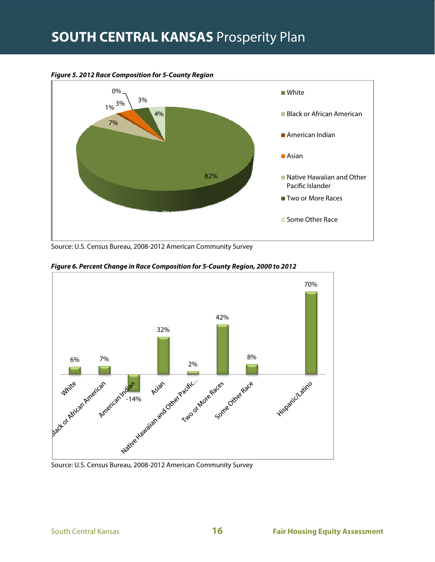

**Figure 5. 2012 Race Composition for 5-County Region**

Source: U.S. Census Bureau, 2008-2012 American Community Survey



**Figure 6. Percent Change in Race Composition for 5-County Region, 2000 to 2012** 

Source: U.S. Census Bureau, 2008-2012 American Community Survey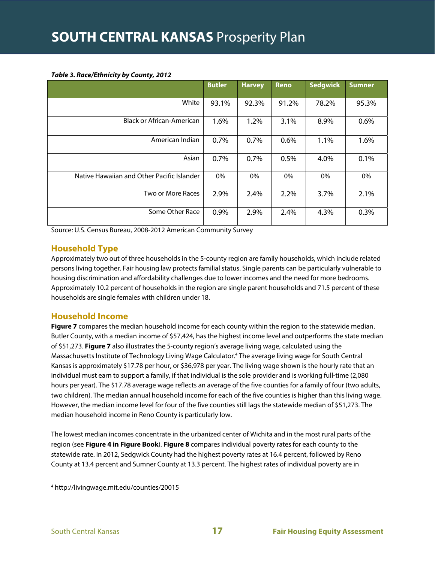| -, ----------- <i>, -,</i> ------- <i>,,</i> -- - |               |               |       |          |        |
|---------------------------------------------------|---------------|---------------|-------|----------|--------|
|                                                   | <b>Butler</b> | <b>Harvey</b> | Reno  | Sedgwick | Sumner |
| White                                             | 93.1%         | 92.3%         | 91.2% | 78.2%    | 95.3%  |
| <b>Black or African-American</b>                  | 1.6%          | 1.2%          | 3.1%  | 8.9%     | 0.6%   |
| American Indian                                   | 0.7%          | 0.7%          | 0.6%  | 1.1%     | 1.6%   |
| Asian                                             | 0.7%          | 0.7%          | 0.5%  | 4.0%     | 0.1%   |
| Native Hawaiian and Other Pacific Islander        | 0%            | 0%            | 0%    | 0%       | 0%     |
| Two or More Races                                 | 2.9%          | 2.4%          | 2.2%  | 3.7%     | 2.1%   |
| Some Other Race                                   | 0.9%          | 2.9%          | 2.4%  | 4.3%     | 0.3%   |

#### **Table 3. Race/Ethnicity by County, 2012**

Source: U.S. Census Bureau, 2008-2012 American Community Survey

#### **Household Type**

Approximately two out of three households in the 5-county region are family households, which include related persons living together. Fair housing law protects familial status. Single parents can be particularly vulnerable to housing discrimination and affordability challenges due to lower incomes and the need for more bedrooms. Approximately 10.2 percent of households in the region are single parent households and 71.5 percent of these households are single females with children under 18.

#### **Household Income**

**Figure 7** compares the median household income for each county within the region to the statewide median. Butler County, with a median income of \$57,424, has the highest income level and outperforms the state median of \$51,273. **Figure 7** also illustrates the 5-county region's average living wage, calculated using the Massachusetts Institute of Technology Living Wage Calculator.4 The average living wage for South Central Kansas is approximately \$17.78 per hour, or \$36,978 per year. The living wage shown is the hourly rate that an individual must earn to support a family, if that individual is the sole provider and is working full-time (2,080 hours per year). The \$17.78 average wage reflects an average of the five counties for a family of four (two adults, two children). The median annual household income for each of the five counties is higher than this living wage. However, the median income level for four of the five counties still lags the statewide median of \$51,273. The median household income in Reno County is particularly low.

The lowest median incomes concentrate in the urbanized center of Wichita and in the most rural parts of the region (see **Figure 4 in Figure Book**). **Figure 8** compares individual poverty rates for each county to the statewide rate. In 2012, Sedgwick County had the highest poverty rates at 16.4 percent, followed by Reno County at 13.4 percent and Sumner County at 13.3 percent. The highest rates of individual poverty are in

<sup>4</sup> http://livingwage.mit.edu/counties/20015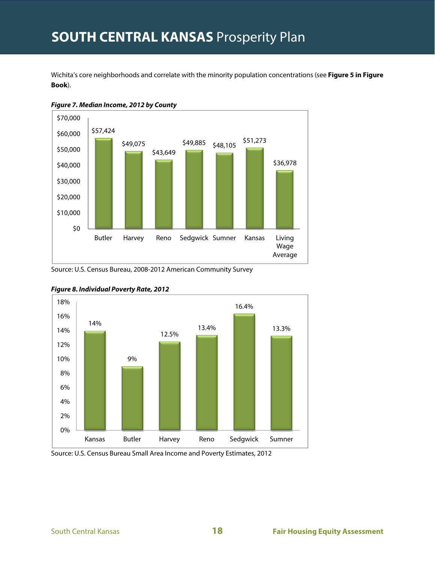Wichita's core neighborhoods and correlate with the minority population concentrations (see **Figure 5 in Figure Book**).





Source: U.S. Census Bureau, 2008-2012 American Community Survey



**Figure 8. Individual Poverty Rate, 2012**

Source: U.S. Census Bureau Small Area Income and Poverty Estimates, 2012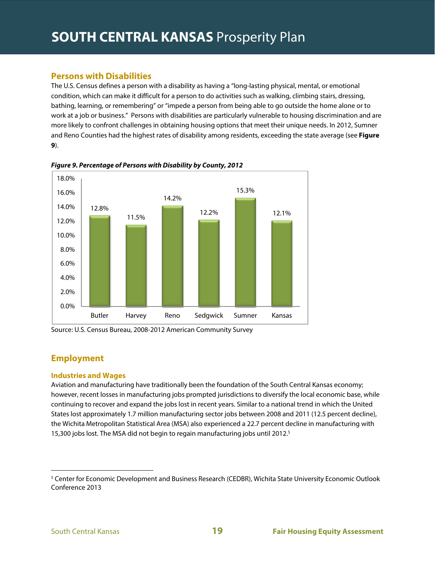#### **Persons with Disabilities**

The U.S. Census defines a person with a disability as having a "long-lasting physical, mental, or emotional condition, which can make it difficult for a person to do activities such as walking, climbing stairs, dressing, bathing, learning, or remembering" or "impede a person from being able to go outside the home alone or to work at a job or business." Persons with disabilities are particularly vulnerable to housing discrimination and are more likely to confront challenges in obtaining housing options that meet their unique needs. In 2012, Sumner and Reno Counties had the highest rates of disability among residents, exceeding the state average (see **Figure 9**).



**Figure 9. Percentage of Persons with Disability by County, 2012** 

Source: U.S. Census Bureau, 2008-2012 American Community Survey

#### **Employment**

#### **Industries and Wages**

Aviation and manufacturing have traditionally been the foundation of the South Central Kansas economy; however, recent losses in manufacturing jobs prompted jurisdictions to diversify the local economic base, while continuing to recover and expand the jobs lost in recent years. Similar to a national trend in which the United States lost approximately 1.7 million manufacturing sector jobs between 2008 and 2011 (12.5 percent decline), the Wichita Metropolitan Statistical Area (MSA) also experienced a 22.7 percent decline in manufacturing with 15,300 jobs lost. The MSA did not begin to regain manufacturing jobs until 2012.<sup>5</sup>

<sup>5</sup> Center for Economic Development and Business Research (CEDBR), Wichita State University Economic Outlook Conference 2013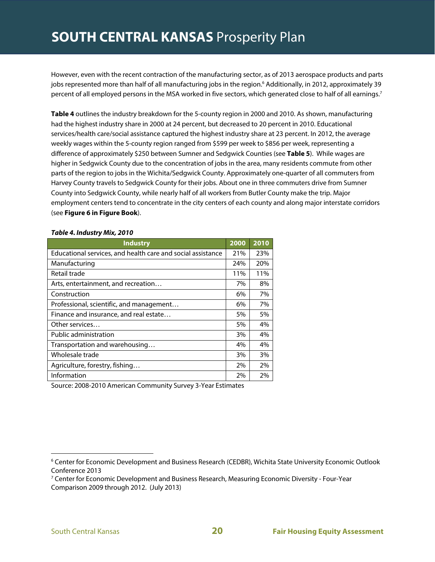However, even with the recent contraction of the manufacturing sector, as of 2013 aerospace products and parts jobs represented more than half of all manufacturing jobs in the region.<sup>6</sup> Additionally, in 2012, approximately 39 percent of all employed persons in the MSA worked in five sectors, which generated close to half of all earnings.<sup>7</sup>

**Table 4** outlines the industry breakdown for the 5-county region in 2000 and 2010. As shown, manufacturing had the highest industry share in 2000 at 24 percent, but decreased to 20 percent in 2010. Educational services/health care/social assistance captured the highest industry share at 23 percent. In 2012, the average weekly wages within the 5-county region ranged from \$599 per week to \$856 per week, representing a difference of approximately \$250 between Sumner and Sedgwick Counties (see **Table 5**). While wages are higher in Sedgwick County due to the concentration of jobs in the area, many residents commute from other parts of the region to jobs in the Wichita/Sedgwick County. Approximately one-quarter of all commuters from Harvey County travels to Sedgwick County for their jobs. About one in three commuters drive from Sumner County into Sedgwick County, while nearly half of all workers from Butler County make the trip. Major employment centers tend to concentrate in the city centers of each county and along major interstate corridors (see **Figure 6 in Figure Book**).

| <b>Industry</b>                                             | 2000 | 2010 |
|-------------------------------------------------------------|------|------|
| Educational services, and health care and social assistance | 21%  | 23%  |
| Manufacturing                                               | 24%  | 20%  |
| Retail trade                                                | 11%  | 11%  |
| Arts, entertainment, and recreation                         | 7%   | 8%   |
| Construction                                                | 6%   | 7%   |
| Professional, scientific, and management                    | 6%   | 7%   |
| Finance and insurance, and real estate                      | 5%   | 5%   |
| Other services                                              | 5%   | 4%   |
| Public administration                                       | 3%   | 4%   |
| Transportation and warehousing                              | 4%   | 4%   |
| Wholesale trade                                             | 3%   | 3%   |
| Agriculture, forestry, fishing                              | 2%   | 2%   |
| Information                                                 | 2%   | 2%   |

#### **Table 4. Industry Mix, 2010**

Source: 2008-2010 American Community Survey 3-Year Estimates

<sup>6</sup> Center for Economic Development and Business Research (CEDBR), Wichita State University Economic Outlook Conference 2013

<sup>7</sup> Center for Economic Development and Business Research, Measuring Economic Diversity - Four-Year Comparison 2009 through 2012. (July 2013)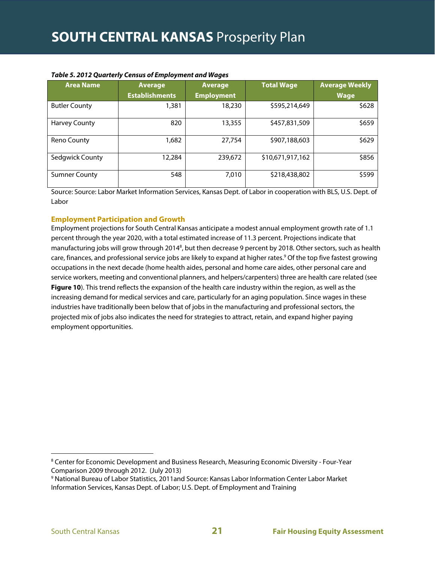| <b>Area Name</b>     | <b>Average</b>        | <b>Average</b>    | <b>Total Wage</b> | <b>Average Weekly</b> |
|----------------------|-----------------------|-------------------|-------------------|-----------------------|
|                      | <b>Establishments</b> | <b>Employment</b> |                   | <b>Wage</b>           |
| <b>Butler County</b> | 1,381                 | 18,230            | \$595,214,649     | \$628                 |
| <b>Harvey County</b> | 820                   | 13,355            | \$457,831,509     | \$659                 |
| Reno County          | 1,682                 | 27,754            | \$907,188,603     | \$629                 |
| Sedgwick County      | 12,284                | 239,672           | \$10,671,917,162  | \$856                 |
| <b>Sumner County</b> | 548                   | 7,010             | \$218,438,802     | \$599                 |

#### **Table 5. 2012 Quarterly Census of Employment and Wages**

Source: Source: Labor Market Information Services, Kansas Dept. of Labor in cooperation with BLS, U.S. Dept. of Labor

#### **Employment Participation and Growth**

Employment projections for South Central Kansas anticipate a modest annual employment growth rate of 1.1 percent through the year 2020, with a total estimated increase of 11.3 percent. Projections indicate that manufacturing jobs will grow through 2014 $^8$ , but then decrease 9 percent by 2018. Other sectors, such as health care, finances, and professional service jobs are likely to expand at higher rates.<sup>9</sup> Of the top five fastest growing occupations in the next decade (home health aides, personal and home care aides, other personal care and service workers, meeting and conventional planners, and helpers/carpenters) three are health care related (see **Figure 10**). This trend reflects the expansion of the health care industry within the region, as well as the increasing demand for medical services and care, particularly for an aging population. Since wages in these industries have traditionally been below that of jobs in the manufacturing and professional sectors, the projected mix of jobs also indicates the need for strategies to attract, retain, and expand higher paying employment opportunities.

<sup>8</sup> Center for Economic Development and Business Research, Measuring Economic Diversity - Four-Year Comparison 2009 through 2012. (July 2013)

<sup>9</sup> National Bureau of Labor Statistics, 2011and Source: Kansas Labor Information Center Labor Market Information Services, Kansas Dept. of Labor; U.S. Dept. of Employment and Training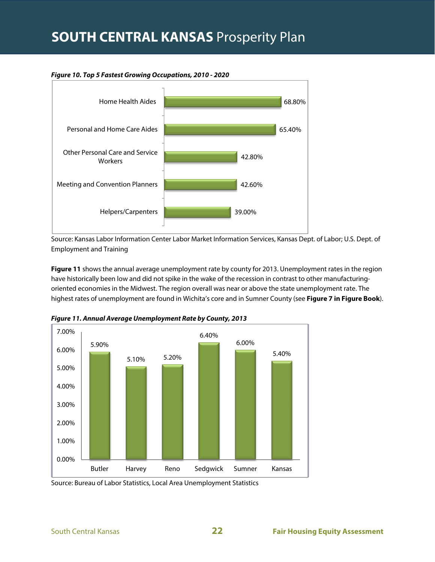

**Figure 10. Top 5 Fastest Growing Occupations, 2010 - 2020**

Source: Kansas Labor Information Center Labor Market Information Services, Kansas Dept. of Labor; U.S. Dept. of Employment and Training

**Figure 11** shows the annual average unemployment rate by county for 2013. Unemployment rates in the region have historically been low and did not spike in the wake of the recession in contrast to other manufacturingoriented economies in the Midwest. The region overall was near or above the state unemployment rate. The highest rates of unemployment are found in Wichita's core and in Sumner County (see **Figure 7 in Figure Book**).



**Figure 11. Annual Average Unemployment Rate by County, 2013** 

Source: Bureau of Labor Statistics, Local Area Unemployment Statistics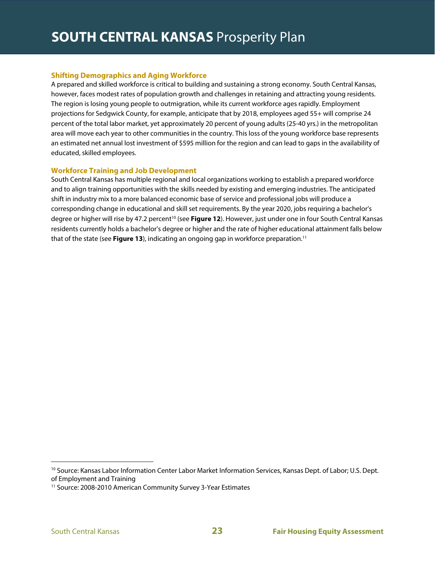#### **Shifting Demographics and Aging Workforce**

A prepared and skilled workforce is critical to building and sustaining a strong economy. South Central Kansas, however, faces modest rates of population growth and challenges in retaining and attracting young residents. The region is losing young people to outmigration, while its current workforce ages rapidly. Employment projections for Sedgwick County, for example, anticipate that by 2018, employees aged 55+ will comprise 24 percent of the total labor market, yet approximately 20 percent of young adults (25-40 yrs.) in the metropolitan area will move each year to other communities in the country. This loss of the young workforce base represents an estimated net annual lost investment of \$595 million for the region and can lead to gaps in the availability of educated, skilled employees.

#### **Workforce Training and Job Development**

South Central Kansas has multiple regional and local organizations working to establish a prepared workforce and to align training opportunities with the skills needed by existing and emerging industries. The anticipated shift in industry mix to a more balanced economic base of service and professional jobs will produce a corresponding change in educational and skill set requirements. By the year 2020, jobs requiring a bachelor's degree or higher will rise by 47.2 percent<sup>10</sup> (see Figure 12). However, just under one in four South Central Kansas residents currently holds a bachelor's degree or higher and the rate of higher educational attainment falls below that of the state (see **Figure 13**), indicating an ongoing gap in workforce preparation.<sup>11</sup>

<sup>&</sup>lt;sup>10</sup> Source: Kansas Labor Information Center Labor Market Information Services, Kansas Dept. of Labor; U.S. Dept. of Employment and Training

<sup>&</sup>lt;sup>11</sup> Source: 2008-2010 American Community Survey 3-Year Estimates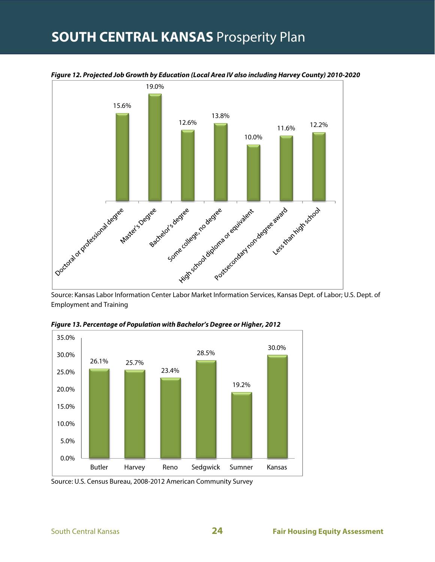



Source: Kansas Labor Information Center Labor Market Information Services, Kansas Dept. of Labor; U.S. Dept. of Employment and Training



**Figure 13. Percentage of Population with Bachelor's Degree or Higher, 2012** 

Source: U.S. Census Bureau, 2008-2012 American Community Survey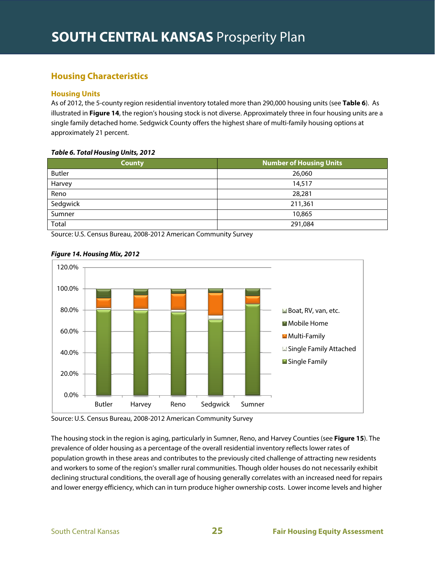#### **Housing Characteristics**

#### **Housing Units**

As of 2012, the 5-county region residential inventory totaled more than 290,000 housing units (see **Table 6**). As illustrated in **Figure 14**, the region's housing stock is not diverse. Approximately three in four housing units are a single family detached home. Sedgwick County offers the highest share of multi-family housing options at approximately 21 percent.

#### **Table 6. Total Housing Units, 2012**

| <b>County</b> | <b>Number of Housing Units</b> |
|---------------|--------------------------------|
| <b>Butler</b> | 26,060                         |
| Harvey        | 14,517                         |
| Reno          | 28,281                         |
| Sedgwick      | 211,361                        |
| Sumner        | 10,865                         |
| Total         | 291,084                        |

Source: U.S. Census Bureau, 2008-2012 American Community Survey



#### **Figure 14. Housing Mix, 2012**

Source: U.S. Census Bureau, 2008-2012 American Community Survey

The housing stock in the region is aging, particularly in Sumner, Reno, and Harvey Counties (see **Figure 15**). The prevalence of older housing as a percentage of the overall residential inventory reflects lower rates of population growth in these areas and contributes to the previously cited challenge of attracting new residents and workers to some of the region's smaller rural communities. Though older houses do not necessarily exhibit declining structural conditions, the overall age of housing generally correlates with an increased need for repairs and lower energy efficiency, which can in turn produce higher ownership costs. Lower income levels and higher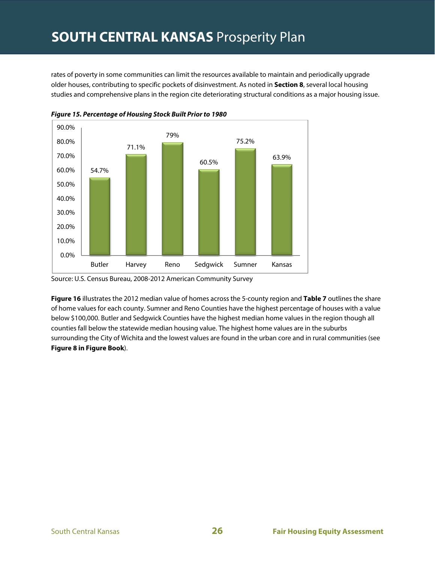rates of poverty in some communities can limit the resources available to maintain and periodically upgrade older houses, contributing to specific pockets of disinvestment. As noted in **Section 8**, several local housing studies and comprehensive plans in the region cite deteriorating structural conditions as a major housing issue.





**Figure 16** illustrates the 2012 median value of homes across the 5-county region and **Table 7** outlines the share of home values for each county. Sumner and Reno Counties have the highest percentage of houses with a value below \$100,000. Butler and Sedgwick Counties have the highest median home values in the region though all counties fall below the statewide median housing value. The highest home values are in the suburbs surrounding the City of Wichita and the lowest values are found in the urban core and in rural communities (see **Figure 8 in Figure Book**).

Source: U.S. Census Bureau, 2008-2012 American Community Survey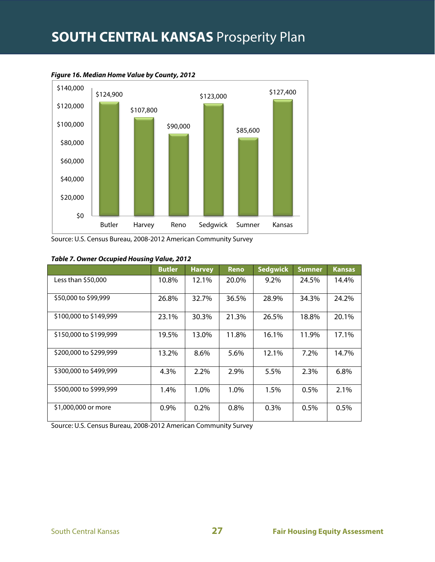

**Figure 16. Median Home Value by County, 2012** 

Source: U.S. Census Bureau, 2008-2012 American Community Survey

#### **Table 7. Owner Occupied Housing Value, 2012**

|                        | <b>Butler</b> | <b>Harvey</b> | <b>Reno</b> | <b>Sedgwick</b> | Sumner  | <b>Kansas</b> |
|------------------------|---------------|---------------|-------------|-----------------|---------|---------------|
| Less than $$50,000$    | 10.8%         | 12.1%         | 20.0%       | 9.2%            | 24.5%   | 14.4%         |
| \$50,000 to \$99,999   | 26.8%         | 32.7%         | 36.5%       | 28.9%           | 34.3%   | 24.2%         |
| \$100,000 to \$149,999 | 23.1%         | 30.3%         | 21.3%       | 26.5%           | 18.8%   | 20.1%         |
| \$150,000 to \$199,999 | 19.5%         | 13.0%         | 11.8%       | 16.1%           | 11.9%   | 17.1%         |
| \$200,000 to \$299,999 | 13.2%         | 8.6%          | 5.6%        | 12.1%           | 7.2%    | 14.7%         |
| \$300,000 to \$499,999 | 4.3%          | 2.2%          | 2.9%        | 5.5%            | 2.3%    | 6.8%          |
| \$500,000 to \$999,999 | 1.4%          | 1.0%          | 1.0%        | 1.5%            | $0.5\%$ | 2.1%          |
| \$1,000,000 or more    | 0.9%          | 0.2%          | $0.8\%$     | 0.3%            | 0.5%    | 0.5%          |

Source: U.S. Census Bureau, 2008-2012 American Community Survey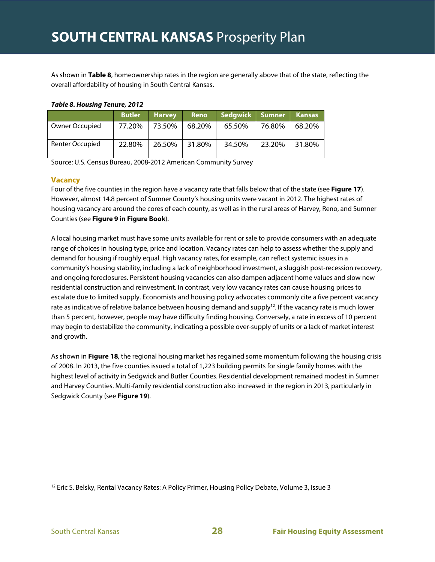As shown in **Table 8**, homeownership rates in the region are generally above that of the state, reflecting the overall affordability of housing in South Central Kansas.

#### **Table 8. Housing Tenure, 2012**

|                 | <b>Butler</b> | <b>Harvey</b> | <b>Reno</b> | Sedgwick Sumner |        | <b>Kansas</b> |
|-----------------|---------------|---------------|-------------|-----------------|--------|---------------|
| Owner Occupied  | 77.20%        | 73.50%        | 68.20%      | 65.50%          | 76.80% | 68.20%        |
| Renter Occupied | 22.80%        | 26.50%        | 31.80%      | 34.50%          | 23.20% | 31.80%        |

Source: U.S. Census Bureau, 2008-2012 American Community Survey

#### **Vacancy**

Four of the five counties in the region have a vacancy rate that falls below that of the state (see **Figure 17**). However, almost 14.8 percent of Sumner County's housing units were vacant in 2012. The highest rates of housing vacancy are around the cores of each county, as well as in the rural areas of Harvey, Reno, and Sumner Counties (see **Figure 9 in Figure Book**).

A local housing market must have some units available for rent or sale to provide consumers with an adequate range of choices in housing type, price and location. Vacancy rates can help to assess whether the supply and demand for housing if roughly equal. High vacancy rates, for example, can reflect systemic issues in a community's housing stability, including a lack of neighborhood investment, a sluggish post-recession recovery, and ongoing foreclosures. Persistent housing vacancies can also dampen adjacent home values and slow new residential construction and reinvestment. In contrast, very low vacancy rates can cause housing prices to escalate due to limited supply. Economists and housing policy advocates commonly cite a five percent vacancy rate as indicative of relative balance between housing demand and supply<sup>12</sup>. If the vacancy rate is much lower than 5 percent, however, people may have difficulty finding housing. Conversely, a rate in excess of 10 percent may begin to destabilize the community, indicating a possible over-supply of units or a lack of market interest and growth.

As shown in **Figure 18**, the regional housing market has regained some momentum following the housing crisis of 2008. In 2013, the five counties issued a total of 1,223 building permits for single family homes with the highest level of activity in Sedgwick and Butler Counties. Residential development remained modest in Sumner and Harvey Counties. Multi-family residential construction also increased in the region in 2013, particularly in Sedgwick County (see **Figure 19**).

<sup>&</sup>lt;sup>12</sup> Eric S. Belsky, Rental Vacancy Rates: A Policy Primer, Housing Policy Debate, Volume 3, Issue 3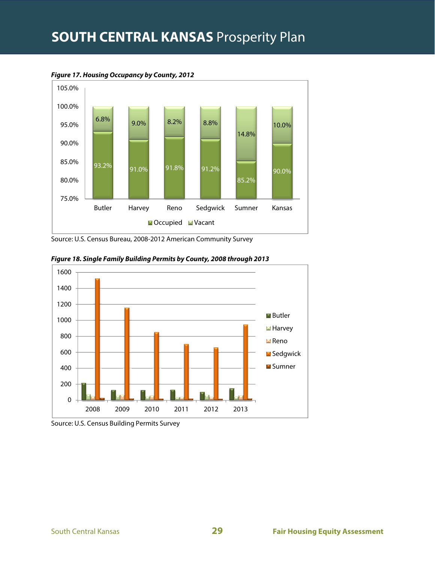

**Figure 17. Housing Occupancy by County, 2012**

Source: U.S. Census Bureau, 2008-2012 American Community Survey



**Figure 18. Single Family Building Permits by County, 2008 through 2013**

Source: U.S. Census Building Permits Survey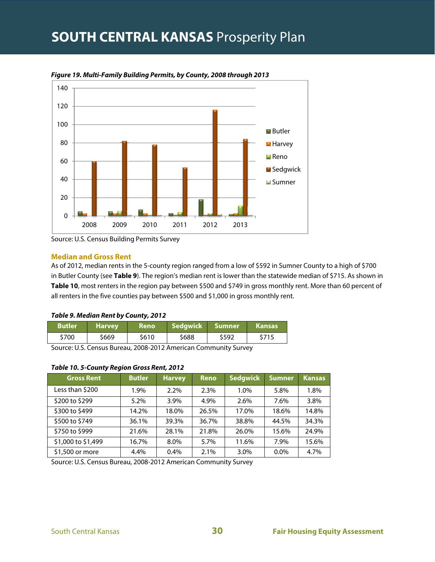

**Figure 19. Multi-Family Building Permits, by County, 2008 through 2013**

#### **Median and Gross Rent**

As of 2012, median rents in the 5-county region ranged from a low of \$592 in Sumner County to a high of \$700 in Butler County (see **Table 9**). The region's median rent is lower than the statewide median of \$715. As shown in **Table 10**, most renters in the region pay between \$500 and \$749 in gross monthly rent. More than 60 percent of all renters in the five counties pay between \$500 and \$1,000 in gross monthly rent.

#### **Table 9. Median Rent by County, 2012**

| <b>Butler</b> | 'Harvev | Reno  | Sedgwick Sumner |       | <b>Kansas</b> |
|---------------|---------|-------|-----------------|-------|---------------|
| \$700         | \$669   | \$610 | \$688           | \$592 | \$715         |

Source: U.S. Census Bureau, 2008-2012 American Community Survey

#### **Table 10. 5-County Region Gross Rent, 2012**

| <b>Gross Rent</b>  | <b>Butler</b> | <b>Harvey</b> | <b>Reno</b> | <b>Sedgwick</b> | Sumner  | <b>Kansas</b> |
|--------------------|---------------|---------------|-------------|-----------------|---------|---------------|
| Less than \$200    | 1.9%          | 2.2%          | 2.3%        | 1.0%            | 5.8%    | 1.8%          |
| \$200 to \$299     | 5.2%          | 3.9%          | 4.9%        | 2.6%            | 7.6%    | 3.8%          |
| \$300 to \$499     | 14.2%         | 18.0%         | 26.5%       | 17.0%           | 18.6%   | 14.8%         |
| \$500 to \$749     | 36.1%         | 39.3%         | 36.7%       | 38.8%           | 44.5%   | 34.3%         |
| \$750 to \$999     | 21.6%         | 28.1%         | 21.8%       | 26.0%           | 15.6%   | 24.9%         |
| \$1,000 to \$1,499 | 16.7%         | 8.0%          | 5.7%        | 11.6%           | 7.9%    | 15.6%         |
| \$1,500 or more    | 4.4%          | $0.4\%$       | 2.1%        | 3.0%            | $0.0\%$ | 4.7%          |

Source: U.S. Census Bureau, 2008-2012 American Community Survey

Source: U.S. Census Building Permits Survey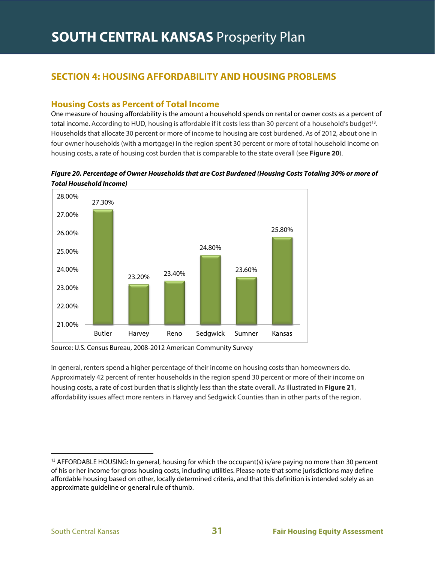#### **SECTION 4: HOUSING AFFORDABILITY AND HOUSING PROBLEMS**

#### **Housing Costs as Percent of Total Income**

One measure of housing affordability is the amount a household spends on rental or owner costs as a percent of total income. According to HUD, housing is affordable if it costs less than 30 percent of a household's budget<sup>13</sup>. Households that allocate 30 percent or more of income to housing are cost burdened. As of 2012, about one in four owner households (with a mortgage) in the region spent 30 percent or more of total household income on housing costs, a rate of housing cost burden that is comparable to the state overall (see **Figure 20**).

#### **Figure 20. Percentage of Owner Households that are Cost Burdened (Housing Costs Totaling 30% or more of Total Household Income)**



Source: U.S. Census Bureau, 2008-2012 American Community Survey

In general, renters spend a higher percentage of their income on housing costs than homeowners do. Approximately 42 percent of renter households in the region spend 30 percent or more of their income on housing costs, a rate of cost burden that is slightly less than the state overall. As illustrated in **Figure 21**, affordability issues affect more renters in Harvey and Sedgwick Counties than in other parts of the region.

<sup>&</sup>lt;sup>13</sup> AFFORDABLE HOUSING: In general, housing for which the occupant(s) is/are paying no more than 30 percent of his or her income for gross housing costs, including utilities. Please note that some jurisdictions may define affordable housing based on other, locally determined criteria, and that this definition is intended solely as an approximate guideline or general rule of thumb.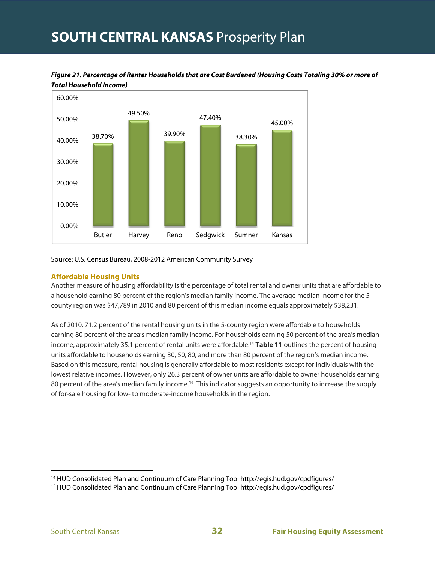

**Figure 21. Percentage of Renter Households that are Cost Burdened (Housing Costs Totaling 30% or more of Total Household Income)**

Source: U.S. Census Bureau, 2008-2012 American Community Survey

#### **Affordable Housing Units**

Another measure of housing affordability is the percentage of total rental and owner units that are affordable to a household earning 80 percent of the region's median family income. The average median income for the 5 county region was \$47,789 in 2010 and 80 percent of this median income equals approximately \$38,231.

As of 2010, 71.2 percent of the rental housing units in the 5-county region were affordable to households earning 80 percent of the area's median family income. For households earning 50 percent of the area's median income, approximately 35.1 percent of rental units were affordable.14 **Table 11** outlines the percent of housing units affordable to households earning 30, 50, 80, and more than 80 percent of the region's median income. Based on this measure, rental housing is generally affordable to most residents except for individuals with the lowest relative incomes. However, only 26.3 percent of owner units are affordable to owner households earning 80 percent of the area's median family income.15 This indicator suggests an opportunity to increase the supply of for-sale housing for low- to moderate-income households in the region.

<sup>&</sup>lt;sup>14</sup> HUD Consolidated Plan and Continuum of Care Planning Tool http://egis.hud.gov/cpdfigures/<br><sup>15</sup> HUD Consolidated Plan and Continuum of Care Planning Tool http://egis.hud.gov/cpdfigures/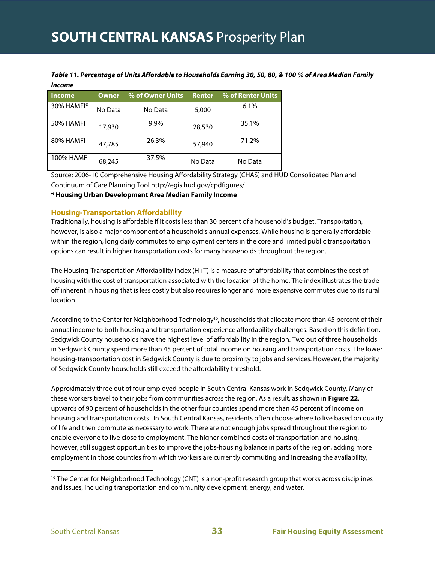#### **Table 11. Percentage of Units Affordable to Households Earning 30, 50, 80, & 100 % of Area Median Family Income**

| <b>Income</b> | Owner   | % of Owner Units | <b>Renter</b> | % of Renter Units |
|---------------|---------|------------------|---------------|-------------------|
| 30% HAMFI*    | No Data | No Data          | 5,000         | 6.1%              |
| 50% HAMFI     | 17,930  | 9.9%             | 28,530        | 35.1%             |
| 80% HAMFI     | 47,785  | 26.3%            | 57,940        | 71.2%             |
| 100% HAMFI    | 68,245  | 37.5%            | No Data       | No Data           |

Source: 2006-10 Comprehensive Housing Affordability Strategy (CHAS) and HUD Consolidated Plan and Continuum of Care Planning Tool http://egis.hud.gov/cpdfigures/

**\* Housing Urban Development Area Median Family Income**

#### **Housing-Transportation Affordability**

Traditionally, housing is affordable if it costs less than 30 percent of a household's budget. Transportation, however, is also a major component of a household's annual expenses. While housing is generally affordable within the region, long daily commutes to employment centers in the core and limited public transportation options can result in higher transportation costs for many households throughout the region.

The Housing-Transportation Affordability Index (H+T) is a measure of affordability that combines the cost of housing with the cost of transportation associated with the location of the home. The index illustrates the tradeoff inherent in housing that is less costly but also requires longer and more expensive commutes due to its rural location.

According to the Center for Neighborhood Technology<sup>16</sup>, households that allocate more than 45 percent of their annual income to both housing and transportation experience affordability challenges. Based on this definition, Sedgwick County households have the highest level of affordability in the region. Two out of three households in Sedgwick County spend more than 45 percent of total income on housing and transportation costs. The lower housing-transportation cost in Sedgwick County is due to proximity to jobs and services. However, the majority of Sedgwick County households still exceed the affordability threshold.

Approximately three out of four employed people in South Central Kansas work in Sedgwick County. Many of these workers travel to their jobs from communities across the region. As a result, as shown in **Figure 22**, upwards of 90 percent of households in the other four counties spend more than 45 percent of income on housing and transportation costs. In South Central Kansas, residents often choose where to live based on quality of life and then commute as necessary to work. There are not enough jobs spread throughout the region to enable everyone to live close to employment. The higher combined costs of transportation and housing, however, still suggest opportunities to improve the jobs-housing balance in parts of the region, adding more employment in those counties from which workers are currently commuting and increasing the availability,

<sup>&</sup>lt;sup>16</sup> The Center for Neighborhood Technology (CNT) is a non-profit research group that works across disciplines and issues, including transportation and community development, energy, and water.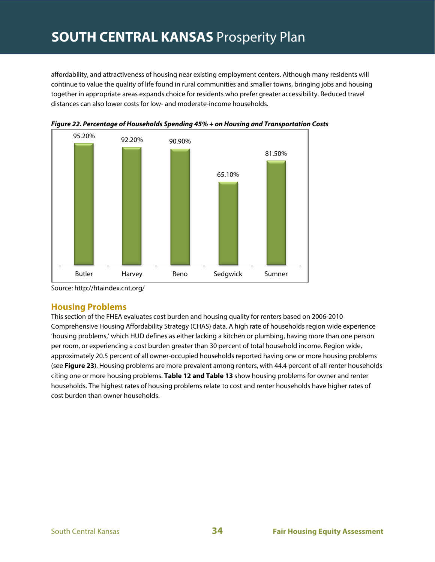affordability, and attractiveness of housing near existing employment centers. Although many residents will continue to value the quality of life found in rural communities and smaller towns, bringing jobs and housing together in appropriate areas expands choice for residents who prefer greater accessibility. Reduced travel distances can also lower costs for low- and moderate-income households.





Source: http://htaindex.cnt.org/

#### **Housing Problems**

This section of the FHEA evaluates cost burden and housing quality for renters based on 2006-2010 Comprehensive Housing Affordability Strategy (CHAS) data. A high rate of households region wide experience 'housing problems,' which HUD defines as either lacking a kitchen or plumbing, having more than one person per room, or experiencing a cost burden greater than 30 percent of total household income. Region wide, approximately 20.5 percent of all owner-occupied households reported having one or more housing problems (see **Figure 23**). Housing problems are more prevalent among renters, with 44.4 percent of all renter households citing one or more housing problems. **Table 12 and Table 13** show housing problems for owner and renter households. The highest rates of housing problems relate to cost and renter households have higher rates of cost burden than owner households.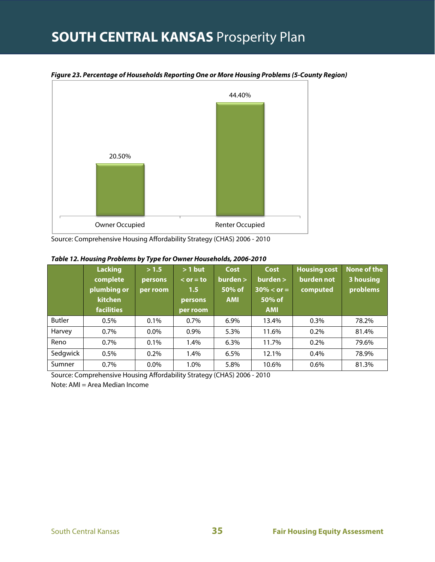

**Figure 23. Percentage of Households Reporting One or More Housing Problems (5-County Region)**

Source: Comprehensive Housing Affordability Strategy (CHAS) 2006 - 2010

|               | <b>Lacking</b><br>complete<br>plumbing or<br>kitchen<br><b>facilities</b> | > 1.5<br>persons<br>per room | $> 1$ but<br>$\le$ or $=$ to<br>1.5<br>persons<br>per room | Cost<br>burnen > 1<br>50% of<br><b>AMI</b> | <b>Cost</b><br>burden<br>$30\% <$ or =<br>50% of<br><b>AMI</b> | <b>Housing cost</b><br>burden not<br>computed | None of the<br>3 housing<br>problems |
|---------------|---------------------------------------------------------------------------|------------------------------|------------------------------------------------------------|--------------------------------------------|----------------------------------------------------------------|-----------------------------------------------|--------------------------------------|
| <b>Butler</b> | 0.5%                                                                      | 0.1%                         | $0.7\%$                                                    | 6.9%                                       | 13.4%                                                          | 0.3%                                          | 78.2%                                |
| Harvey        | 0.7%                                                                      | $0.0\%$                      | 0.9%                                                       | 5.3%                                       | 11.6%                                                          | $0.2\%$                                       | 81.4%                                |
| Reno          | $0.7\%$                                                                   | 0.1%                         | 1.4%                                                       | 6.3%                                       | 11.7%                                                          | 0.2%                                          | 79.6%                                |
| Sedgwick      | 0.5%                                                                      | 0.2%                         | 1.4%                                                       | 6.5%                                       | 12.1%                                                          | 0.4%                                          | 78.9%                                |
| Sumner        | $0.7\%$                                                                   | $0.0\%$                      | 1.0%                                                       | 5.8%                                       | 10.6%                                                          | $0.6\%$                                       | 81.3%                                |

Source: Comprehensive Housing Affordability Strategy (CHAS) 2006 - 2010

Note: AMI = Area Median Income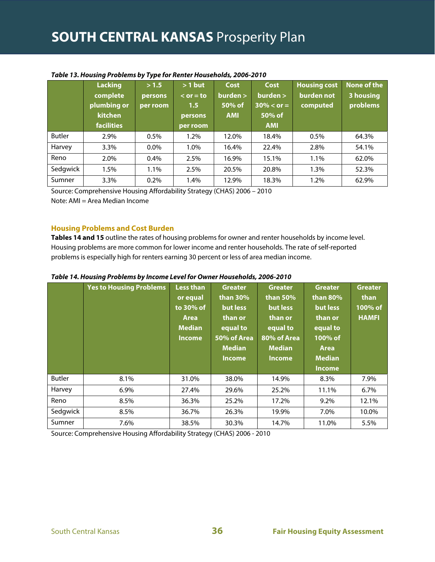|               | <b>Lacking</b><br>complete<br>plumbing or<br>kitchen<br><b>facilities</b> | >1.5<br>persons<br>per room | $>1$ but<br>$\le$ or $=$ to<br>1.5<br>persons<br>per room | Cost<br>burden ><br>50% of<br><b>AMI</b> | <b>Cost</b><br>burden<br>$30\% < or =$<br>50% of<br><b>AMI</b> | <b>Housing cost</b><br>burden not<br>computed | None of the<br>3 housing<br>problems |
|---------------|---------------------------------------------------------------------------|-----------------------------|-----------------------------------------------------------|------------------------------------------|----------------------------------------------------------------|-----------------------------------------------|--------------------------------------|
| <b>Butler</b> | 2.9%                                                                      | 0.5%                        | 1.2%                                                      | 12.0%                                    | 18.4%                                                          | 0.5%                                          | 64.3%                                |
| Harvey        | 3.3%                                                                      | $0.0\%$                     | 1.0%                                                      | 16.4%                                    | 22.4%                                                          | 2.8%                                          | 54.1%                                |
| Reno          | 2.0%                                                                      | $0.4\%$                     | 2.5%                                                      | 16.9%                                    | 15.1%                                                          | 1.1%                                          | 62.0%                                |
| Sedgwick      | 1.5%                                                                      | 1.1%                        | 2.5%                                                      | 20.5%                                    | 20.8%                                                          | 1.3%                                          | 52.3%                                |
| Sumner        | 3.3%                                                                      | 0.2%                        | 1.4%                                                      | 12.9%                                    | 18.3%                                                          | 1.2%                                          | 62.9%                                |

#### **Table 13. Housing Problems by Type for Renter Households, 2006-2010**

Source: Comprehensive Housing Affordability Strategy (CHAS) 2006 – 2010

Note: AMI = Area Median Income

#### **Housing Problems and Cost Burden**

**Tables 14 and 15** outline the rates of housing problems for owner and renter households by income level. Housing problems are more common for lower income and renter households. The rate of self-reported problems is especially high for renters earning 30 percent or less of area median income.

|               | <b>Yes to Housing Problems</b> | <b>Less than</b><br>or equal<br>to 30% of<br><b>Area</b><br><b>Median</b><br><b>Income</b> | <b>Greater</b><br>than $30%$<br>but less<br>than or<br>equal to<br>50% of Area<br><b>Median</b><br>Income | <b>Greater</b><br>than $50%$<br>but less<br>than or<br>equal to<br>80% of Area<br><b>Median</b><br><b>Income</b> | <b>Greater</b><br>than $80\%$<br>but less<br>than or<br>equal to<br>100% of<br>Area<br><b>Median</b><br>Income | <b>Greater</b><br>than<br>100% of<br><b>HAMFI</b> |
|---------------|--------------------------------|--------------------------------------------------------------------------------------------|-----------------------------------------------------------------------------------------------------------|------------------------------------------------------------------------------------------------------------------|----------------------------------------------------------------------------------------------------------------|---------------------------------------------------|
| <b>Butler</b> | 8.1%                           | 31.0%                                                                                      | 38.0%                                                                                                     | 14.9%                                                                                                            | 8.3%                                                                                                           | 7.9%                                              |
| Harvey        | 6.9%                           | 27.4%                                                                                      | 29.6%                                                                                                     | 25.2%                                                                                                            | 11.1%                                                                                                          | 6.7%                                              |
| Reno          | 8.5%                           | 36.3%                                                                                      | 25.2%                                                                                                     | 17.2%                                                                                                            | 9.2%                                                                                                           | 12.1%                                             |
| Sedgwick      | 8.5%                           | 36.7%                                                                                      | 26.3%                                                                                                     | 19.9%                                                                                                            | 7.0%                                                                                                           | 10.0%                                             |
| Sumner        | 7.6%                           | 38.5%                                                                                      | 30.3%                                                                                                     | 14.7%                                                                                                            | 11.0%                                                                                                          | 5.5%                                              |

#### **Table 14. Housing Problems by Income Level for Owner Households, 2006-2010**

Source: Comprehensive Housing Affordability Strategy (CHAS) 2006 - 2010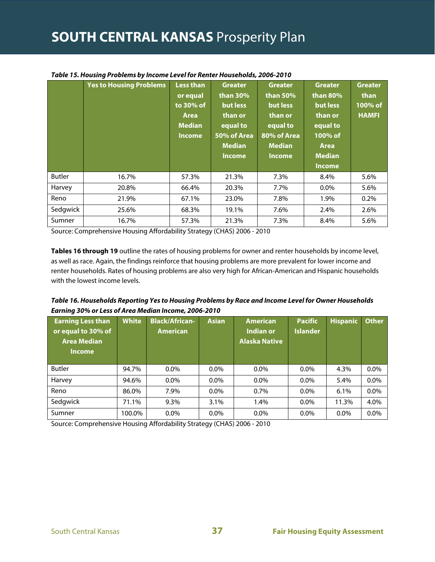|               | <b>Yes to Housing Problems</b> | <b>Less than</b><br>or equal<br>to 30% of<br><b>Area</b><br><b>Median</b><br><b>Income</b> | <b>Greater</b><br>than $30%$<br>but less<br>than or<br>equal to<br>50% of Area<br><b>Median</b><br><b>Income</b> | <b>Greater</b><br>than 50%<br>but less<br>than or<br>equal to<br>80% of Area<br><b>Median</b><br>Income | <b>Greater</b><br>than 80%<br>but less<br>than or<br>equal to<br>100% of<br>Area<br><b>Median</b><br><b>Income</b> | <b>Greater</b><br>than<br>100% of<br><b>HAMFI</b> |
|---------------|--------------------------------|--------------------------------------------------------------------------------------------|------------------------------------------------------------------------------------------------------------------|---------------------------------------------------------------------------------------------------------|--------------------------------------------------------------------------------------------------------------------|---------------------------------------------------|
| <b>Butler</b> | 16.7%                          | 57.3%                                                                                      | 21.3%                                                                                                            | 7.3%                                                                                                    | 8.4%                                                                                                               | 5.6%                                              |
| Harvey        | 20.8%                          | 66.4%                                                                                      | 20.3%                                                                                                            | 7.7%                                                                                                    | $0.0\%$                                                                                                            | 5.6%                                              |
| Reno          | 21.9%                          | 67.1%                                                                                      | 23.0%                                                                                                            | 7.8%                                                                                                    | 1.9%                                                                                                               | $0.2\%$                                           |
| Sedgwick      | 25.6%                          | 68.3%                                                                                      | 19.1%                                                                                                            | 7.6%                                                                                                    | 2.4%                                                                                                               | 2.6%                                              |
| Sumner        | 16.7%                          | 57.3%                                                                                      | 21.3%                                                                                                            | 7.3%                                                                                                    | 8.4%                                                                                                               | 5.6%                                              |

#### **Table 15. Housing Problems by Income Level for Renter Households, 2006-2010**

Source: Comprehensive Housing Affordability Strategy (CHAS) 2006 - 2010

**Tables 16 through 19** outline the rates of housing problems for owner and renter households by income level, as well as race. Again, the findings reinforce that housing problems are more prevalent for lower income and renter households. Rates of housing problems are also very high for African-American and Hispanic households with the lowest income levels.

# **Table 16. Households Reporting Yes to Housing Problems by Race and Income Level for Owner Households Earning 30% or Less of Area Median Income, 2006-2010**

| <b>Earning Less than</b><br>or equal to 30% of<br><b>Area Median</b><br><b>Income</b> | <b>White</b> | <b>Black/African-</b><br><b>American</b> | <b>Asian</b> | <b>American</b><br>Indian or<br><b>Alaska Native</b> | <b>Pacific</b><br><b>Islander</b> | <b>Hispanic</b> | <b>Other</b> |
|---------------------------------------------------------------------------------------|--------------|------------------------------------------|--------------|------------------------------------------------------|-----------------------------------|-----------------|--------------|
| <b>Butler</b>                                                                         | 94.7%        | $0.0\%$                                  | $0.0\%$      | $0.0\%$                                              | $0.0\%$                           | 4.3%            | $0.0\%$      |
| Harvey                                                                                | 94.6%        | $0.0\%$                                  | $0.0\%$      | $0.0\%$                                              | $0.0\%$                           | 5.4%            | $0.0\%$      |
| Reno                                                                                  | 86.0%        | 7.9%                                     | $0.0\%$      | $0.7\%$                                              | $0.0\%$                           | 6.1%            | $0.0\%$      |
| Sedgwick                                                                              | 71.1%        | 9.3%                                     | 3.1%         | 1.4%                                                 | $0.0\%$                           | 11.3%           | 4.0%         |
| Sumner                                                                                | 100.0%       | $0.0\%$                                  | $0.0\%$      | $0.0\%$                                              | $0.0\%$                           | $0.0\%$         | $0.0\%$      |

Source: Comprehensive Housing Affordability Strategy (CHAS) 2006 - 2010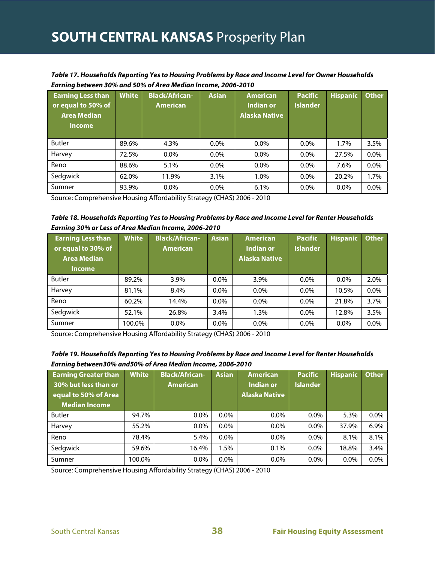| <b>Earning Less than</b><br>or equal to 50% of<br><b>Area Median</b><br><b>Income</b> | <b>White</b> | <b>Black/African-</b><br><b>American</b> | <b>Asian</b> | <b>American</b><br>Indian or<br><b>Alaska Native</b> | <b>Pacific</b><br><b>Islander</b> | <b>Hispanic</b> | <b>Other</b> |
|---------------------------------------------------------------------------------------|--------------|------------------------------------------|--------------|------------------------------------------------------|-----------------------------------|-----------------|--------------|
| <b>Butler</b>                                                                         | 89.6%        | 4.3%                                     | $0.0\%$      | $0.0\%$                                              | $0.0\%$                           | 1.7%            | 3.5%         |
| Harvey                                                                                | 72.5%        | $0.0\%$                                  | $0.0\%$      | $0.0\%$                                              | $0.0\%$                           | 27.5%           | 0.0%         |
| Reno                                                                                  | 88.6%        | 5.1%                                     | $0.0\%$      | $0.0\%$                                              | $0.0\%$                           | 7.6%            | 0.0%         |
| Sedgwick                                                                              | 62.0%        | 11.9%                                    | 3.1%         | 1.0%                                                 | $0.0\%$                           | 20.2%           | 1.7%         |
| Sumner                                                                                | 93.9%        | $0.0\%$                                  | $0.0\%$      | 6.1%                                                 | $0.0\%$                           | $0.0\%$         | $0.0\%$      |

**Table 17. Households Reporting Yes to Housing Problems by Race and Income Level for Owner Households Earning between 30% and 50% of Area Median Income, 2006-2010** 

Source: Comprehensive Housing Affordability Strategy (CHAS) 2006 - 2010

# **Table 18. Households Reporting Yes to Housing Problems by Race and Income Level for Renter Households Earning 30% or Less of Area Median Income, 2006-2010**

| <b>Earning Less than</b><br>or equal to 30% of<br><b>Area Median</b><br><b>Income</b> | <b>White</b> | <b>Black/African-</b><br><b>American</b> | <b>Asian</b> | <b>American</b><br><b>Indian or</b><br><b>Alaska Native</b> | <b>Pacific</b><br><b>Islander</b> | <b>Hispanic</b> | <b>Other</b> |
|---------------------------------------------------------------------------------------|--------------|------------------------------------------|--------------|-------------------------------------------------------------|-----------------------------------|-----------------|--------------|
| <b>Butler</b>                                                                         | 89.2%        | 3.9%                                     | $0.0\%$      | 3.9%                                                        | $0.0\%$                           | $0.0\%$         | 2.0%         |
| Harvey                                                                                | 81.1%        | 8.4%                                     | $0.0\%$      | $0.0\%$                                                     | $0.0\%$                           | 10.5%           | $0.0\%$      |
| Reno                                                                                  | 60.2%        | 14.4%                                    | $0.0\%$      | $0.0\%$                                                     | $0.0\%$                           | 21.8%           | 3.7%         |
| Sedgwick                                                                              | 52.1%        | 26.8%                                    | 3.4%         | 1.3%                                                        | $0.0\%$                           | 12.8%           | 3.5%         |
| Sumner                                                                                | 100.0%       | $0.0\%$                                  | $0.0\%$      | $0.0\%$                                                     | $0.0\%$                           | $0.0\%$         | $0.0\%$      |

Source: Comprehensive Housing Affordability Strategy (CHAS) 2006 - 2010

| Table 19. Households Reporting Yes to Housing Problems by Race and Income Level for Renter Households |
|-------------------------------------------------------------------------------------------------------|
| Earning between30% and50% of Area Median Income, 2006-2010                                            |

| <b>Earning Greater than</b><br>30% but less than or<br>equal to 50% of Area<br><b>Median Income</b> | <b>White</b> | <b>Black/African-</b><br><b>American</b> | <b>Asian</b> | <b>American</b><br><b>Indian or</b><br><b>Alaska Native</b> | <b>Pacific</b><br><b>Islander</b> | Hispanic | <b>Other</b> |
|-----------------------------------------------------------------------------------------------------|--------------|------------------------------------------|--------------|-------------------------------------------------------------|-----------------------------------|----------|--------------|
| <b>Butler</b>                                                                                       | 94.7%        | $0.0\%$                                  | $0.0\%$      | $0.0\%$                                                     | $0.0\%$                           | 5.3%     | $0.0\%$      |
| Harvey                                                                                              | 55.2%        | $0.0\%$                                  | $0.0\%$      | 0.0%                                                        | $0.0\%$                           | 37.9%    | 6.9%         |
| Reno                                                                                                | 78.4%        | 5.4%                                     | $0.0\%$      | $0.0\%$                                                     | $0.0\%$                           | 8.1%     | 8.1%         |
| Sedgwick                                                                                            | 59.6%        | 16.4%                                    | 1.5%         | 0.1%                                                        | $0.0\%$                           | 18.8%    | 3.4%         |
| Sumner                                                                                              | 100.0%       | $0.0\%$                                  | $0.0\%$      | $0.0\%$                                                     | $0.0\%$                           | 0.0%     | $0.0\%$      |

Source: Comprehensive Housing Affordability Strategy (CHAS) 2006 - 2010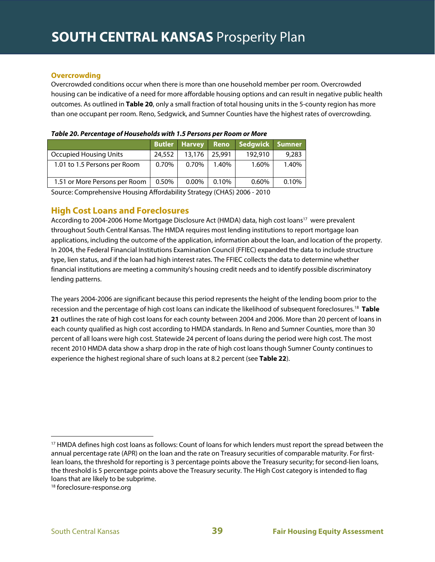# **Overcrowding**

Overcrowded conditions occur when there is more than one household member per room. Overcrowded housing can be indicative of a need for more affordable housing options and can result in negative public health outcomes. As outlined in **Table 20**, only a small fraction of total housing units in the 5-county region has more than one occupant per room. Reno, Sedgwick, and Sumner Counties have the highest rates of overcrowding.

|                               | <b>Butler</b> | <b>Harvey</b> | Reno   | Sedgwick Sumner |       |
|-------------------------------|---------------|---------------|--------|-----------------|-------|
| <b>Occupied Housing Units</b> | 24,552        | 13,176        | 25,991 | 192,910         | 9,283 |
| 1.01 to 1.5 Persons per Room  | 0.70%         | 0.70%         | 1.40%  | 1.60%           | 1.40% |
| 1.51 or More Persons per Room | 0.50%         | $0.00\%$      | 0.10%  | 0.60%           | 0.10% |
|                               |               |               |        |                 |       |

| Table 20. Percentage of Households with 1.5 Persons per Room or More |  |
|----------------------------------------------------------------------|--|
|----------------------------------------------------------------------|--|

Source: Comprehensive Housing Affordability Strategy (CHAS) 2006 - 2010

# **High Cost Loans and Foreclosures**

According to 2004-2006 Home Mortgage Disclosure Act (HMDA) data, high cost loans<sup>17</sup> were prevalent throughout South Central Kansas. The HMDA requires most lending institutions to report mortgage loan applications, including the outcome of the application, information about the loan, and location of the property. In 2004, the Federal Financial Institutions Examination Council (FFIEC) expanded the data to include structure type, lien status, and if the loan had high interest rates. The FFIEC collects the data to determine whether financial institutions are meeting a community's housing credit needs and to identify possible discriminatory lending patterns.

The years 2004-2006 are significant because this period represents the height of the lending boom prior to the recession and the percentage of high cost loans can indicate the likelihood of subsequent foreclosures.18 **Table 21** outlines the rate of high cost loans for each county between 2004 and 2006. More than 20 percent of loans in each county qualified as high cost according to HMDA standards. In Reno and Sumner Counties, more than 30 percent of all loans were high cost. Statewide 24 percent of loans during the period were high cost. The most recent 2010 HMDA data show a sharp drop in the rate of high cost loans though Sumner County continues to experience the highest regional share of such loans at 8.2 percent (see **Table 22**).

 $\overline{a}$ 

<sup>&</sup>lt;sup>17</sup> HMDA defines high cost loans as follows: Count of loans for which lenders must report the spread between the annual percentage rate (APR) on the loan and the rate on Treasury securities of comparable maturity. For firstlean loans, the threshold for reporting is 3 percentage points above the Treasury security; for second-lien loans, the threshold is 5 percentage points above the Treasury security. The High Cost category is intended to flag loans that are likely to be subprime.<br><sup>18</sup> foreclosure-response.org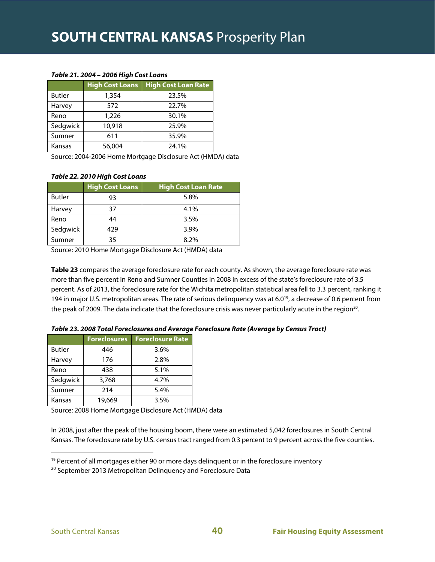#### **Table 21. 2004 – 2006 High Cost Loans**

|               | <b>High Cost Loans</b> | <b>High Cost Loan Rate</b> |
|---------------|------------------------|----------------------------|
| <b>Butler</b> | 1,354                  | 23.5%                      |
| Harvey        | 572                    | 22.7%                      |
| Reno          | 1,226                  | 30.1%                      |
| Sedgwick      | 10,918                 | 25.9%                      |
| Sumner        | 611                    | 35.9%                      |
| Kansas        | 56,004                 | 24.1%                      |

Source: 2004-2006 Home Mortgage Disclosure Act (HMDA) data

#### **Table 22. 2010 High Cost Loans**

|               | <b>High Cost Loans</b> | <b>High Cost Loan Rate</b> |
|---------------|------------------------|----------------------------|
| <b>Butler</b> | 93                     | 5.8%                       |
| Harvey        | 37                     | 4.1%                       |
| Reno          | 44                     | 3.5%                       |
| Sedgwick      | 429                    | 3.9%                       |
| Sumner        | 35                     | 8.2%                       |

Source: 2010 Home Mortgage Disclosure Act (HMDA) data

**Table 23** compares the average foreclosure rate for each county. As shown, the average foreclosure rate was more than five percent in Reno and Sumner Counties in 2008 in excess of the state's foreclosure rate of 3.5 percent. As of 2013, the foreclosure rate for the Wichita metropolitan statistical area fell to 3.3 percent, ranking it 194 in major U.S. metropolitan areas. The rate of serious delinquency was at  $6.0^{19}$ , a decrease of 0.6 percent from the peak of 2009. The data indicate that the foreclosure crisis was never particularly acute in the region<sup>20</sup>.

|               | <b>Foreclosures</b> | <b>Foreclosure Rate</b> |  |  |
|---------------|---------------------|-------------------------|--|--|
| <b>Butler</b> | 446                 | 3.6%                    |  |  |
| Harvey        | 176                 | 2.8%                    |  |  |
| Reno          | 438                 | 5.1%                    |  |  |
| Sedgwick      | 3,768               | 4.7%                    |  |  |
| Sumner        | 214                 | 5.4%                    |  |  |
| Kansas        | 19,669              | 3.5%                    |  |  |

|  | Table 23. 2008 Total Foreclosures and Average Foreclosure Rate (Average by Census Tract) |  |  |  |
|--|------------------------------------------------------------------------------------------|--|--|--|
|  |                                                                                          |  |  |  |

Source: 2008 Home Mortgage Disclosure Act (HMDA) data

In 2008, just after the peak of the housing boom, there were an estimated 5,042 foreclosures in South Central Kansas. The foreclosure rate by U.S. census tract ranged from 0.3 percent to 9 percent across the five counties.

 $\overline{a}$ 

<sup>&</sup>lt;sup>19</sup> Percent of all mortgages either 90 or more days delinquent or in the foreclosure inventory  $^{20}$  September 2013 Metropolitan Delinquency and Foreclosure Data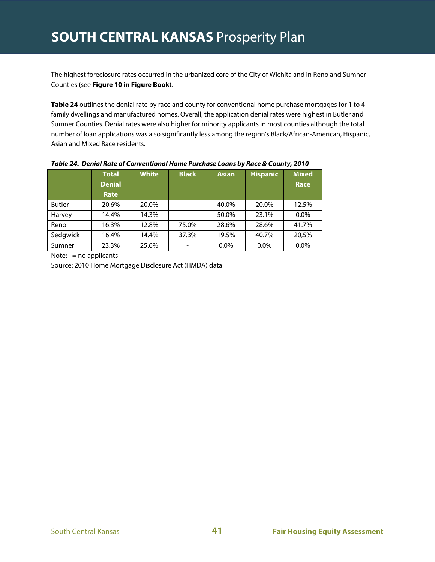The highest foreclosure rates occurred in the urbanized core of the City of Wichita and in Reno and Sumner Counties (see **Figure 10 in Figure Book**).

**Table 24** outlines the denial rate by race and county for conventional home purchase mortgages for 1 to 4 family dwellings and manufactured homes. Overall, the application denial rates were highest in Butler and Sumner Counties. Denial rates were also higher for minority applicants in most counties although the total number of loan applications was also significantly less among the region's Black/African-American, Hispanic, Asian and Mixed Race residents.

|               | <b>Total</b><br><b>Denial</b><br>Rate | <b>White</b> | <b>Black</b> | <b>Asian</b> | <b>Hispanic</b> | <b>Mixed</b><br>Race |
|---------------|---------------------------------------|--------------|--------------|--------------|-----------------|----------------------|
| <b>Butler</b> | 20.6%                                 | 20.0%        |              | 40.0%        | 20.0%           | 12.5%                |
| Harvey        | 14.4%                                 | 14.3%        |              | 50.0%        | 23.1%           | 0.0%                 |
| Reno          | 16.3%                                 | 12.8%        | 75.0%        | 28.6%        | 28.6%           | 41.7%                |
| Sedgwick      | 16.4%                                 | 14.4%        | 37.3%        | 19.5%        | 40.7%           | 20,5%                |
| Sumner        | 23.3%                                 | 25.6%        |              | $0.0\%$      | $0.0\%$         | $0.0\%$              |

**Table 24. Denial Rate of Conventional Home Purchase Loans by Race & County, 2010**

Note: - = no applicants

Source: 2010 Home Mortgage Disclosure Act (HMDA) data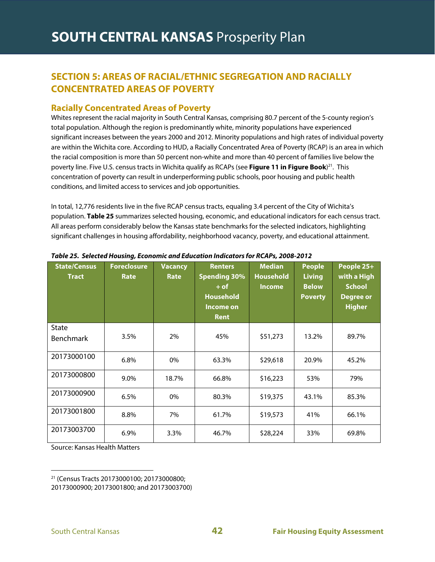# **SECTION 5: AREAS OF RACIAL/ETHNIC SEGREGATION AND RACIALLY CONCENTRATED AREAS OF POVERTY**

# **Racially Concentrated Areas of Poverty**

Whites represent the racial majority in South Central Kansas, comprising 80.7 percent of the 5-county region's total population. Although the region is predominantly white, minority populations have experienced significant increases between the years 2000 and 2012. Minority populations and high rates of individual poverty are within the Wichita core. According to HUD, a Racially Concentrated Area of Poverty (RCAP) is an area in which the racial composition is more than 50 percent non-white and more than 40 percent of families live below the poverty line. Five U.S. census tracts in Wichita qualify as RCAPs (see **Figure 11 in Figure Book**) 21. This concentration of poverty can result in underperforming public schools, poor housing and public health conditions, and limited access to services and job opportunities.

In total, 12,776 residents live in the five RCAP census tracts, equaling 3.4 percent of the City of Wichita's population. **Table 25** summarizes selected housing, economic, and educational indicators for each census tract. All areas perform considerably below the Kansas state benchmarks for the selected indicators, highlighting significant challenges in housing affordability, neighborhood vacancy, poverty, and educational attainment.

| <b>State/Census</b><br><b>Tract</b> | <b>Foreclosure</b><br>Rate | <b>Vacancy</b><br>Rate | <b>Renters</b><br><b>Spending 30%</b><br>$+$ of<br><b>Household</b><br>Income on<br><b>Rent</b> | <b>Median</b><br><b>Household</b><br><b>Income</b> |       | People 25+<br>with a High<br><b>School</b><br>Degree or<br><b>Higher</b> |
|-------------------------------------|----------------------------|------------------------|-------------------------------------------------------------------------------------------------|----------------------------------------------------|-------|--------------------------------------------------------------------------|
| <b>State</b>                        |                            |                        |                                                                                                 |                                                    |       |                                                                          |
| <b>Benchmark</b>                    | 3.5%                       | 2%                     | 45%                                                                                             | \$51,273                                           | 13.2% | 89.7%                                                                    |
| 20173000100                         | 6.8%                       | 0%                     | 63.3%                                                                                           | \$29,618                                           | 20.9% | 45.2%                                                                    |
| 20173000800                         | 9.0%                       | 18.7%                  | 66.8%                                                                                           | \$16,223                                           | 53%   | 79%                                                                      |
| 20173000900                         | 6.5%                       | 0%                     | 80.3%                                                                                           | \$19,375                                           | 43.1% | 85.3%                                                                    |
| 20173001800                         | 8.8%                       | 7%                     | 61.7%                                                                                           | \$19,573                                           | 41%   | 66.1%                                                                    |
| 20173003700                         | 6.9%                       | 3.3%                   | 46.7%                                                                                           | \$28,224                                           | 33%   | 69.8%                                                                    |

**Table 25. Selected Housing, Economic and Education Indicators for RCAPs, 2008-2012** 

Source: Kansas Health Matters

 $\overline{a}$ 

<sup>21 (</sup>Census Tracts 20173000100; 20173000800;

<sup>20173000900; 20173001800;</sup> and 20173003700)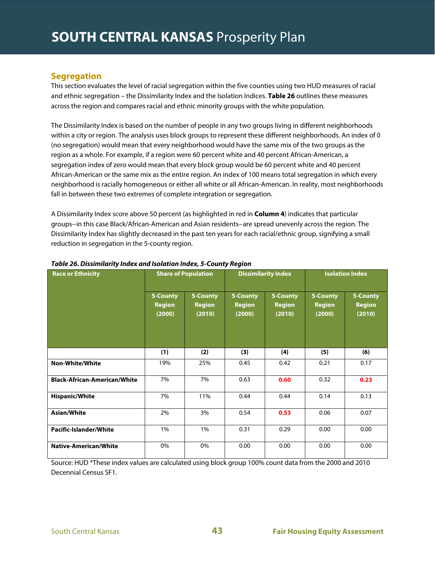# **Segregation**

This section evaluates the level of racial segregation within the five counties using two HUD measures of racial and ethnic segregation – the Dissimilarity Index and the Isolation Indices. **Table 26** outlines these measures across the region and compares racial and ethnic minority groups with the white population.

The Dissimilarity Index is based on the number of people in any two groups living in different neighborhoods within a city or region. The analysis uses block groups to represent these different neighborhoods. An index of 0 (no segregation) would mean that every neighborhood would have the same mix of the two groups as the region as a whole. For example, if a region were 60 percent white and 40 percent African-American, a segregation index of zero would mean that every block group would be 60 percent white and 40 percent African-American or the same mix as the entire region. An index of 100 means total segregation in which every neighborhood is racially homogeneous or either all white or all African-American. In reality, most neighborhoods fall in between these two extremes of complete integration or segregation.

A Dissimilarity Index score above 50 percent (as highlighted in red in **Column 4**) indicates that particular groups−in this case Black/African-American and Asian residents−are spread unevenly across the region. The Dissimilarity Index has slightly decreased in the past ten years for each racial/ethnic group, signifying a small reduction in segregation in the 5-county region.

| <b>Race or Ethnicity</b>            |                                     | <b>Share of Population</b>          |                                     | <b>Dissimilarity Index</b>          | <b>Isolation Index</b>              |                                     |  |
|-------------------------------------|-------------------------------------|-------------------------------------|-------------------------------------|-------------------------------------|-------------------------------------|-------------------------------------|--|
|                                     | 5-County<br><b>Region</b><br>(2000) | 5-County<br><b>Region</b><br>(2010) | 5-County<br><b>Region</b><br>(2000) | 5-County<br><b>Region</b><br>(2010) | 5-County<br><b>Region</b><br>(2000) | 5-County<br><b>Region</b><br>(2010) |  |
|                                     | (1)                                 | (2)                                 | (3)                                 | (4)                                 | (5)                                 | (6)                                 |  |
| <b>Non-White/White</b>              | 19%                                 | 25%                                 | 0.45                                | 0.42                                | 0.21                                | 0.17                                |  |
| <b>Black-African-American/White</b> | 7%                                  | 7%                                  | 0.63                                | 0.60                                | 0.32                                | 0.23                                |  |
| <b>Hispanic/White</b>               | 7%                                  | 11%                                 | 0.44                                | 0.44                                | 0.14                                | 0.13                                |  |
| <b>Asian/White</b>                  | 2%                                  | 3%                                  | 0.54                                | 0.53                                | 0.06                                | 0.07                                |  |
| Pacific-Islander/White              | $1\%$                               | 1%                                  | 0.31                                | 0.29                                | 0.00                                | 0.00                                |  |
| <b>Native-American/White</b>        | 0%                                  | 0%                                  | 0.00                                | 0.00                                | 0.00                                | 0.00                                |  |

## **Table 26. Dissimilarity Index and Isolation Index, 5-County Region**

Source: HUD \*These index values are calculated using block group 100% count data from the 2000 and 2010 Decennial Census SF1.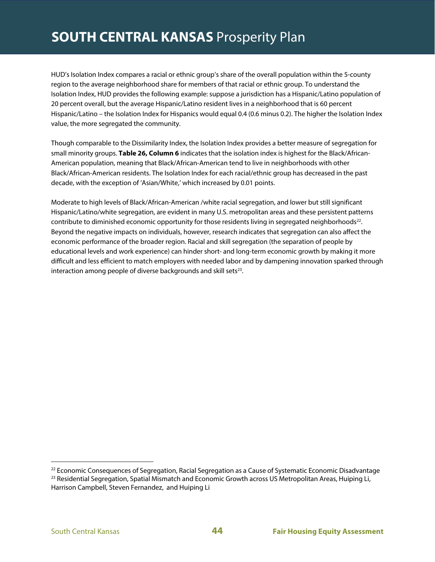HUD's Isolation Index compares a racial or ethnic group's share of the overall population within the 5-county region to the average neighborhood share for members of that racial or ethnic group. To understand the Isolation Index, HUD provides the following example: suppose a jurisdiction has a Hispanic/Latino population of 20 percent overall, but the average Hispanic/Latino resident lives in a neighborhood that is 60 percent Hispanic/Latino – the Isolation Index for Hispanics would equal 0.4 (0.6 minus 0.2). The higher the Isolation Index value, the more segregated the community.

Though comparable to the Dissimilarity Index, the Isolation Index provides a better measure of segregation for small minority groups. **Table 26, Column 6** indicates that the isolation index is highest for the Black/African-American population, meaning that Black/African-American tend to live in neighborhoods with other Black/African-American residents. The Isolation Index for each racial/ethnic group has decreased in the past decade, with the exception of 'Asian/White,' which increased by 0.01 points.

Moderate to high levels of Black/African-American /white racial segregation, and lower but still significant Hispanic/Latino/white segregation, are evident in many U.S. metropolitan areas and these persistent patterns contribute to diminished economic opportunity for those residents living in segregated neighborhoods<sup>22</sup>. Beyond the negative impacts on individuals, however, research indicates that segregation can also affect the economic performance of the broader region. Racial and skill segregation (the separation of people by educational levels and work experience) can hinder short- and long-term economic growth by making it more difficult and less efficient to match employers with needed labor and by dampening innovation sparked through interaction among people of diverse backgrounds and skill sets $^{23}$ .

 $\overline{a}$ 

<sup>&</sup>lt;sup>22</sup> Economic Consequences of Segregation, Racial Segregation as a Cause of Systematic Economic Disadvantage <sup>23</sup> Residential Segregation, Spatial Mismatch and Economic Growth across US Metropolitan Areas, Huiping Li, Harrison Campbell, Steven Fernandez, and Huiping Li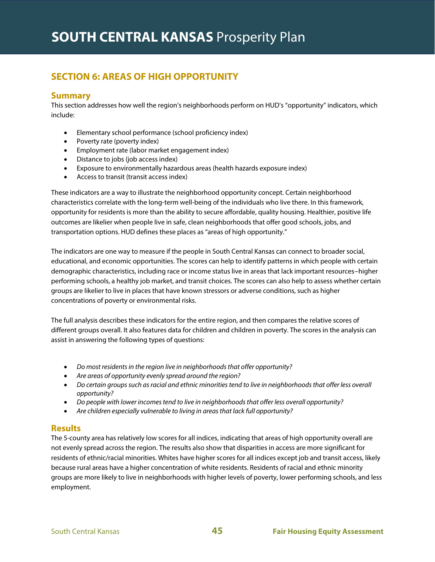# **SECTION 6: AREAS OF HIGH OPPORTUNITY**

# **Summary**

This section addresses how well the region's neighborhoods perform on HUD's "opportunity" indicators, which include:

- Elementary school performance (school proficiency index)
- Poverty rate (poverty index)
- Employment rate (labor market engagement index)
- Distance to jobs (job access index)
- Exposure to environmentally hazardous areas (health hazards exposure index)
- Access to transit (transit access index)

These indicators are a way to illustrate the neighborhood opportunity concept. Certain neighborhood characteristics correlate with the long-term well-being of the individuals who live there. In this framework, opportunity for residents is more than the ability to secure affordable, quality housing. Healthier, positive life outcomes are likelier when people live in safe, clean neighborhoods that offer good schools, jobs, and transportation options. HUD defines these places as "areas of high opportunity."

The indicators are one way to measure if the people in South Central Kansas can connect to broader social, educational, and economic opportunities. The scores can help to identify patterns in which people with certain demographic characteristics, including race or income status live in areas that lack important resources−higher performing schools, a healthy job market, and transit choices. The scores can also help to assess whether certain groups are likelier to live in places that have known stressors or adverse conditions, such as higher concentrations of poverty or environmental risks.

The full analysis describes these indicators for the entire region, and then compares the relative scores of different groups overall. It also features data for children and children in poverty. The scores in the analysis can assist in answering the following types of questions:

- Do most residents in the region live in neighborhoods that offer opportunity?
- Are areas of opportunity evenly spread around the region?
- Do certain groups such as racial and ethnic minorities tend to live in neighborhoods that offer less overall opportunity?
- Do people with lower incomes tend to live in neighborhoods that offer less overall opportunity?
- Are children especially vulnerable to living in areas that lack full opportunity?

# **Results**

The 5-county area has relatively low scores for all indices, indicating that areas of high opportunity overall are not evenly spread across the region. The results also show that disparities in access are more significant for residents of ethnic/racial minorities. Whites have higher scores for all indices except job and transit access, likely because rural areas have a higher concentration of white residents. Residents of racial and ethnic minority groups are more likely to live in neighborhoods with higher levels of poverty, lower performing schools, and less employment.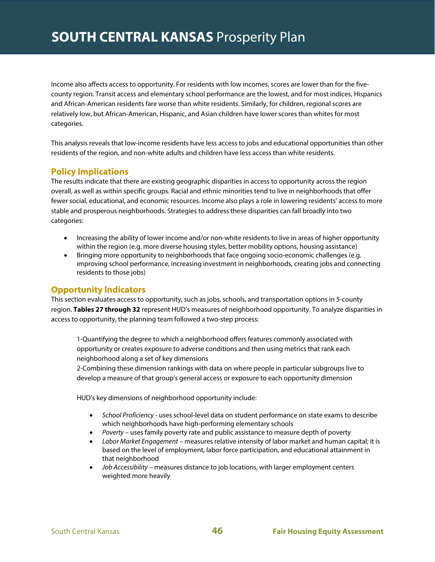Income also affects access to opportunity. For residents with low incomes, scores are lower than for the fivecounty region. Transit access and elementary school performance are the lowest, and for most indices, Hispanics and African-American residents fare worse than white residents. Similarly, for children, regional scores are relatively low, but African-American, Hispanic, and Asian children have lower scores than whites for most categories.

This analysis reveals that low-income residents have less access to jobs and educational opportunities than other residents of the region, and non-white adults and children have less access than white residents.

# **Policy Implications**

The results indicate that there are existing geographic disparities in access to opportunity across the region overall, as well as within specific groups. Racial and ethnic minorities tend to live in neighborhoods that offer fewer social, educational, and economic resources. Income also plays a role in lowering residents' access to more stable and prosperous neighborhoods. Strategies to address these disparities can fall broadly into two categories:

- Increasing the ability of lower income and/or non-white residents to live in areas of higher opportunity within the region (e.g. more diverse housing styles, better mobility options, housing assistance)
- Bringing more opportunity to neighborhoods that face ongoing socio-economic challenges (e.g. improving school performance, increasing investment in neighborhoods, creating jobs and connecting residents to those jobs)

# **Opportunity Indicators**

This section evaluates access to opportunity, such as jobs, schools, and transportation options in 5-county region. **Tables 27 through 32** represent HUD's measures of neighborhood opportunity. To analyze disparities in access to opportunity, the planning team followed a two-step process:

1-Quantifying the degree to which a neighborhood offers features commonly associated with opportunity or creates exposure to adverse conditions and then using metrics that rank each neighborhood along a set of key dimensions

2-Combining these dimension rankings with data on where people in particular subgroups live to develop a measure of that group's general access or exposure to each opportunity dimension

HUD's key dimensions of neighborhood opportunity include:

- School Proficiency uses school-level data on student performance on state exams to describe which neighborhoods have high-performing elementary schools
- Poverty uses family poverty rate and public assistance to measure depth of poverty
- Labor Market Engagement measures relative intensity of labor market and human capital; it is based on the level of employment, labor force participation, and educational attainment in that neighborhood
- Job Accessibility measures distance to job locations, with larger employment centers weighted more heavily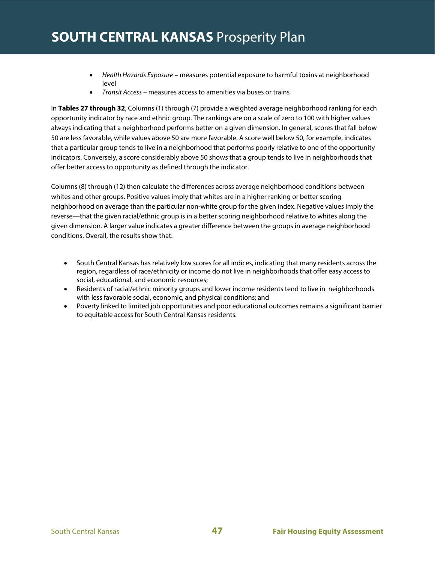- Health Hazards Exposure measures potential exposure to harmful toxins at neighborhood level
- Transit Access measures access to amenities via buses or trains

In **Tables 27 through 32**, Columns (1) through (7) provide a weighted average neighborhood ranking for each opportunity indicator by race and ethnic group. The rankings are on a scale of zero to 100 with higher values always indicating that a neighborhood performs better on a given dimension. In general, scores that fall below 50 are less favorable, while values above 50 are more favorable. A score well below 50, for example, indicates that a particular group tends to live in a neighborhood that performs poorly relative to one of the opportunity indicators. Conversely, a score considerably above 50 shows that a group tends to live in neighborhoods that offer better access to opportunity as defined through the indicator.

Columns (8) through (12) then calculate the differences across average neighborhood conditions between whites and other groups. Positive values imply that whites are in a higher ranking or better scoring neighborhood on average than the particular non-white group for the given index. Negative values imply the reverse—that the given racial/ethnic group is in a better scoring neighborhood relative to whites along the given dimension. A larger value indicates a greater difference between the groups in average neighborhood conditions. Overall, the results show that:

- South Central Kansas has relatively low scores for all indices, indicating that many residents across the region, regardless of race/ethnicity or income do not live in neighborhoods that offer easy access to social, educational, and economic resources;
- Residents of racial/ethnic minority groups and lower income residents tend to live in neighborhoods with less favorable social, economic, and physical conditions; and
- Poverty linked to limited job opportunities and poor educational outcomes remains a significant barrier to equitable access for South Central Kansas residents.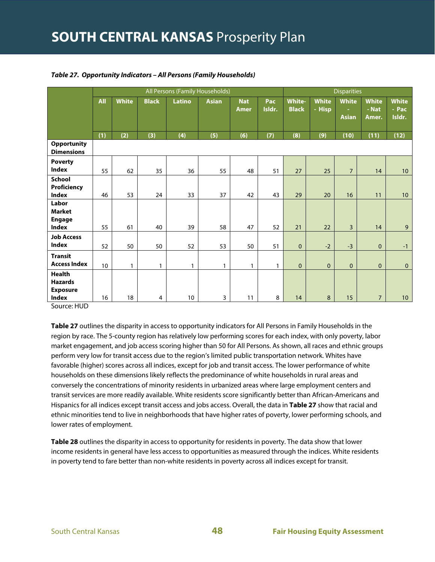|                                                                    |                 | All Persons (Family Households) |              |               |              |                           |               |                               |                        | <b>Disparities</b>                |                                |                          |
|--------------------------------------------------------------------|-----------------|---------------------------------|--------------|---------------|--------------|---------------------------|---------------|-------------------------------|------------------------|-----------------------------------|--------------------------------|--------------------------|
|                                                                    | <b>All</b>      | <b>White</b>                    | <b>Black</b> | <b>Latino</b> | <b>Asian</b> | <b>Nat</b><br><b>Amer</b> | Pac<br>Isldr. | <b>White-</b><br><b>Black</b> | <b>White</b><br>- Hisp | <b>White</b><br>÷<br><b>Asian</b> | <b>White</b><br>- Nat<br>Amer. | White<br>- Pac<br>Isldr. |
|                                                                    | (1)             | (2)                             | (3)          | (4)           | (5)          | (6)                       | (7)           | (8)                           | (9)                    | (10)                              | (11)                           | (12)                     |
| <b>Opportunity</b><br><b>Dimensions</b>                            |                 |                                 |              |               |              |                           |               |                               |                        |                                   |                                |                          |
| <b>Poverty</b><br><b>Index</b>                                     | 55              | 62                              | 35           | 36            | 55           | 48                        | 51            | 27                            | 25                     | $\overline{7}$                    | 14                             | 10 <sup>°</sup>          |
| <b>School</b><br>Proficiency<br><b>Index</b>                       | 46              | 53                              | 24           | 33            | 37           | 42                        | 43            | 29                            | 20                     | 16                                | 11                             | 10 <sup>°</sup>          |
| Labor<br><b>Market</b><br><b>Engage</b><br><b>Index</b>            | 55              | 61                              | 40           | 39            | 58           | 47                        | 52            | 21                            | 22                     | $\overline{3}$                    | 14                             | 9                        |
| <b>Job Access</b><br><b>Index</b>                                  | 52              | 50                              | 50           | 52            | 53           | 50                        | 51            | $\mathbf 0$                   | $-2$                   | $-3$                              | $\mathbf{0}$                   | $-1$                     |
| <b>Transit</b><br><b>Access Index</b>                              | 10 <sup>°</sup> | $\mathbf{1}$                    | $\mathbf{1}$ | $\mathbf{1}$  | $\mathbf{1}$ | $\mathbf{1}$              | $\mathbf{1}$  | $\mathbf{0}$                  | $\mathbf{0}$           | $\overline{0}$                    | $\mathbf{0}$                   | $\mathbf{0}$             |
| <b>Health</b><br><b>Hazards</b><br><b>Exposure</b><br><b>Index</b> | 16              | 18                              | 4            | 10            | 3            | 11                        | 8             | 14                            | 8                      | 15                                | $\overline{7}$                 | 10 <sup>°</sup>          |

#### **Table 27. Opportunity Indicators – All Persons (Family Households)**

Source: HUD

**Table 27** outlines the disparity in access to opportunity indicators for All Persons in Family Households in the region by race. The 5-county region has relatively low performing scores for each index, with only poverty, labor market engagement, and job access scoring higher than 50 for All Persons. As shown, all races and ethnic groups perform very low for transit access due to the region's limited public transportation network. Whites have favorable (higher) scores across all indices, except for job and transit access. The lower performance of white households on these dimensions likely reflects the predominance of white households in rural areas and conversely the concentrations of minority residents in urbanized areas where large employment centers and transit services are more readily available. White residents score significantly better than African-Americans and Hispanics for all indices except transit access and jobs access. Overall, the data in **Table 27** show that racial and ethnic minorities tend to live in neighborhoods that have higher rates of poverty, lower performing schools, and lower rates of employment.

**Table 28** outlines the disparity in access to opportunity for residents in poverty. The data show that lower income residents in general have less access to opportunities as measured through the indices. White residents in poverty tend to fare better than non-white residents in poverty across all indices except for transit.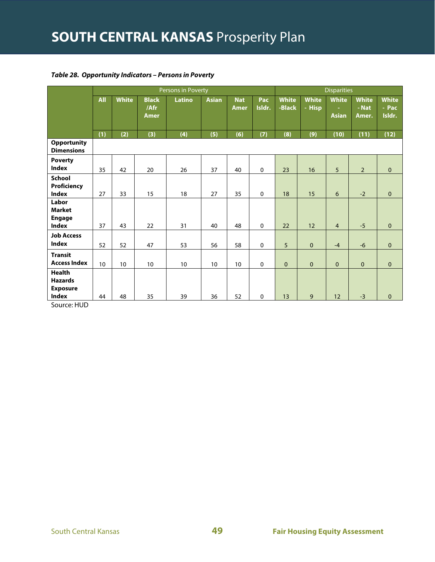#### **Table 28. Opportunity Indicators – Persons in Poverty**

|                                                                    |            | Persons in Poverty |                              |               |              |                           |               |                        |                        | <b>Disparities</b>                     |                                |                          |  |
|--------------------------------------------------------------------|------------|--------------------|------------------------------|---------------|--------------|---------------------------|---------------|------------------------|------------------------|----------------------------------------|--------------------------------|--------------------------|--|
|                                                                    | <b>All</b> | <b>White</b>       | <b>Black</b><br>/Afr<br>Amer | <b>Latino</b> | <b>Asian</b> | <b>Nat</b><br><b>Amer</b> | Pac<br>Isldr. | <b>White</b><br>-Black | <b>White</b><br>- Hisp | <b>White</b><br>$\sim$<br><b>Asian</b> | <b>White</b><br>- Nat<br>Amer. | White<br>- Pac<br>Isldr. |  |
|                                                                    | (1)        | (2)                | (3)                          | (4)           | (5)          | (6)                       | (7)           | (8)                    | (9)                    | (10)                                   | (11)                           | (12)                     |  |
| <b>Opportunity</b><br><b>Dimensions</b>                            |            |                    |                              |               |              |                           |               |                        |                        |                                        |                                |                          |  |
| <b>Poverty</b><br><b>Index</b>                                     | 35         | 42                 | 20                           | 26            | 37           | 40                        | $\mathbf 0$   | 23                     | 16                     | 5                                      | $\overline{2}$                 | $\mathbf{0}$             |  |
| <b>School</b><br><b>Proficiency</b><br><b>Index</b>                | 27         | 33                 | 15                           | 18            | 27           | 35                        | $\mathbf 0$   | 18                     | 15                     | 6                                      | $-2$                           | $\mathbf{0}$             |  |
| Labor<br><b>Market</b><br><b>Engage</b><br><b>Index</b>            | 37         | 43                 | 22                           | 31            | 40           | 48                        | $\mathbf{0}$  | 22                     | 12                     | $\overline{4}$                         | $-5$                           | $\mathbf{0}$             |  |
| <b>Job Access</b><br><b>Index</b>                                  | 52         | 52                 | 47                           | 53            | 56           | 58                        | $\mathbf 0$   | 5                      | $\mathbf{0}$           | $-4$                                   | $-6$                           | $\mathbf{0}$             |  |
| <b>Transit</b><br><b>Access Index</b>                              | 10         | 10                 | 10                           | 10            | 10           | 10                        | $\Omega$      | $\Omega$               | $\Omega$               | $\Omega$                               | $\mathbf{0}$                   | $\mathbf{0}$             |  |
| <b>Health</b><br><b>Hazards</b><br><b>Exposure</b><br><b>Index</b> | 44         | 48                 | 35                           | 39            | 36           | 52                        | $\Omega$      | 13                     | 9                      | 12                                     | $-3$                           | $\mathbf{0}$             |  |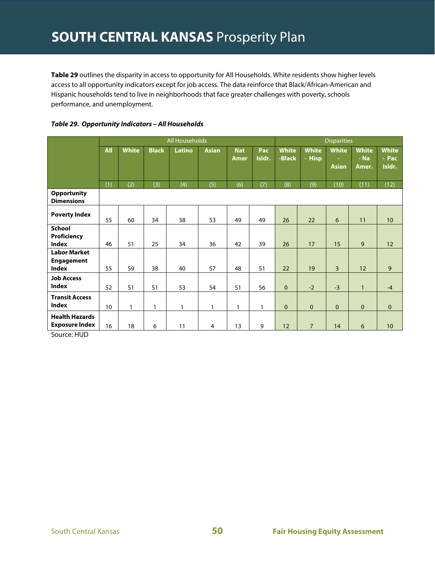**Table 29** outlines the disparity in access to opportunity for All Households. White residents show higher levels access to all opportunity indicators except for job access. The data reinforce that Black/African-American and Hispanic households tend to live in neighborhoods that face greater challenges with poverty, schools performance, and unemployment.

|  |  |  | Table 29. Opportunity Indicators - All Households |
|--|--|--|---------------------------------------------------|
|--|--|--|---------------------------------------------------|

|                                                          |                 |              |              | <b>All Households</b> |              |                           |               | <b>Disparities</b>     |                        |                                                          |                                 |                          |
|----------------------------------------------------------|-----------------|--------------|--------------|-----------------------|--------------|---------------------------|---------------|------------------------|------------------------|----------------------------------------------------------|---------------------------------|--------------------------|
|                                                          | <b>All</b>      | <b>White</b> | <b>Black</b> | <b>Latino</b>         | <b>Asian</b> | <b>Nat</b><br><b>Amer</b> | Pac<br>Isldr. | <b>White</b><br>-Black | <b>White</b><br>- Hisp | <b>White</b><br>$\overline{\phantom{a}}$<br><b>Asian</b> | <b>White</b><br>$-$ Na<br>Amer. | White<br>- Pac<br>Isldr. |
|                                                          | (1)             | (2)          | (3)          | (4)                   | (5)          | (6)                       | (7)           | (8)                    | (9)                    | (10)                                                     | (11)                            | (12)                     |
| <b>Opportunity</b><br><b>Dimensions</b>                  |                 |              |              |                       |              |                           |               |                        |                        |                                                          |                                 |                          |
| <b>Poverty Index</b>                                     | 55              | 60           | 34           | 38                    | 53           | 49                        | 49            | 26                     | 22                     | 6                                                        | 11                              | 10 <sup>10</sup>         |
| <b>School</b><br><b>Proficiency</b><br><b>Index</b>      | 46              | 51           | 25           | 34                    | 36           | 42                        | 39            | 26                     | 17                     | 15                                                       | 9                               | 12                       |
| <b>Labor Market</b><br><b>Engagement</b><br><b>Index</b> | 55              | 59           | 38           | 40                    | 57           | 48                        | 51            | 22                     | 19                     | $\overline{3}$                                           | 12                              | 9                        |
| <b>Job Access</b><br><b>Index</b>                        | 52              | 51           | 51           | 53                    | 54           | 51                        | 56            | $\mathbf{0}$           | $-2$                   | $-3$                                                     | $\mathbf{1}$                    | $-4$                     |
| <b>Transit Access</b><br><b>Index</b>                    | 10 <sup>°</sup> | $\mathbf{1}$ | $\mathbf{1}$ | 1                     | 1            | 1                         | 1             | $\mathbf{0}$           | $\mathbf{0}$           | $\mathbf{0}$                                             | $\mathbf{0}$                    | $\mathbf{0}$             |
| <b>Health Hazards</b><br><b>Exposure Index</b>           | 16              | 18           | 6            | 11                    | 4            | 13                        | 9             | 12                     | $\overline{7}$         | 14                                                       | 6                               | 10                       |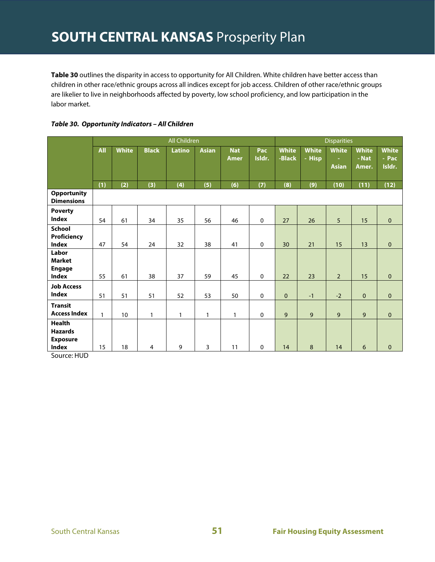**Table 30** outlines the disparity in access to opportunity for All Children. White children have better access than children in other race/ethnic groups across all indices except for job access. Children of other race/ethnic groups are likelier to live in neighborhoods affected by poverty, low school proficiency, and low participation in the labor market.

|  | Table 30. Opportunity Indicators - All Children |
|--|-------------------------------------------------|
|--|-------------------------------------------------|

|                                                    |              |              |              | <b>All Children</b> |              |                           |               |                        |                        | <b>Disparities</b>                     |                                |                          |
|----------------------------------------------------|--------------|--------------|--------------|---------------------|--------------|---------------------------|---------------|------------------------|------------------------|----------------------------------------|--------------------------------|--------------------------|
|                                                    | <b>All</b>   | <b>White</b> | <b>Black</b> | <b>Latino</b>       | <b>Asian</b> | <b>Nat</b><br><b>Amer</b> | Pac<br>Isldr. | <b>White</b><br>-Black | <b>White</b><br>- Hisp | <b>White</b><br>$\sim$<br><b>Asian</b> | <b>White</b><br>- Nat<br>Amer. | White<br>- Pac<br>Isldr. |
|                                                    | (1)          | (2)          | (3)          | (4)                 | (5)          | (6)                       | (7)           | (8)                    | (9)                    | (10)                                   | (11)                           | (12)                     |
| <b>Opportunity</b><br><b>Dimensions</b>            |              |              |              |                     |              |                           |               |                        |                        |                                        |                                |                          |
| <b>Poverty</b><br><b>Index</b>                     | 54           | 61           | 34           | 35                  | 56           | 46                        | $\mathbf{0}$  | 27                     | 26                     | 5                                      | 15                             | $\mathbf{0}$             |
| <b>School</b><br>Proficiency<br><b>Index</b>       | 47           | 54           | 24           | 32                  | 38           | 41                        | $\mathbf 0$   | 30                     | 21                     | 15                                     | 13                             | $\mathbf{0}$             |
| Labor<br><b>Market</b>                             |              |              |              |                     |              |                           |               |                        |                        |                                        |                                |                          |
| <b>Engage</b><br><b>Index</b>                      | 55           | 61           | 38           | 37                  | 59           | 45                        | $\mathbf{0}$  | 22                     | 23                     | $\overline{2}$                         | 15                             | $\mathbf{0}$             |
| <b>Job Access</b><br><b>Index</b>                  | 51           | 51           | 51           | 52                  | 53           | 50                        | $\mathbf 0$   | $\mathbf 0$            | $-1$                   | $-2$                                   | $\mathbf{0}$                   | $\mathbf{0}$             |
| <b>Transit</b><br><b>Access Index</b>              | $\mathbf{1}$ | 10           | 1            | 1                   | $\mathbf{1}$ | 1                         | $\mathbf 0$   | 9                      | 9                      | 9                                      | $\overline{9}$                 | $\mathbf{0}$             |
| <b>Health</b><br><b>Hazards</b><br><b>Exposure</b> |              |              |              |                     |              |                           |               |                        |                        |                                        |                                |                          |
| <b>Index</b>                                       | 15           | 18           | 4            | 9                   | 3            | 11                        | $\Omega$      | 14                     | 8                      | 14                                     | 6                              | $\mathbf{0}$             |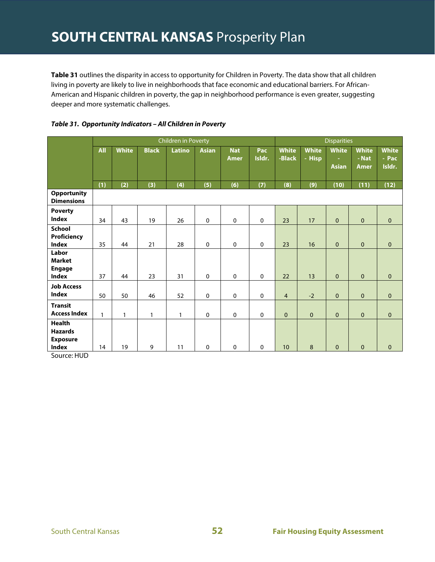**Table 31** outlines the disparity in access to opportunity for Children in Poverty. The data show that all children living in poverty are likely to live in neighborhoods that face economic and educational barriers. For African-American and Hispanic children in poverty, the gap in neighborhood performance is even greater, suggesting deeper and more systematic challenges.

|  |  |  | Table 31. Opportunity Indicators - All Children in Poverty |  |
|--|--|--|------------------------------------------------------------|--|
|--|--|--|------------------------------------------------------------|--|

|                                                                    | Children in Poverty |              |              |               |              |                           |               | <b>Disparities</b>     |                        |                                        |                                      |                          |  |
|--------------------------------------------------------------------|---------------------|--------------|--------------|---------------|--------------|---------------------------|---------------|------------------------|------------------------|----------------------------------------|--------------------------------------|--------------------------|--|
|                                                                    | <b>All</b>          | <b>White</b> | <b>Black</b> | <b>Latino</b> | <b>Asian</b> | <b>Nat</b><br><b>Amer</b> | Pac<br>Isldr. | <b>White</b><br>-Black | <b>White</b><br>- Hisp | <b>White</b><br>$\sim$<br><b>Asian</b> | <b>White</b><br>- Nat<br><b>Amer</b> | White<br>- Pac<br>Isldr. |  |
|                                                                    | (1)                 | (2)          | (3)          | (4)           | (5)          | (6)                       | (7)           | (8)                    | (9)                    | (10)                                   | (11)                                 | (12)                     |  |
| <b>Opportunity</b><br><b>Dimensions</b>                            |                     |              |              |               |              |                           |               |                        |                        |                                        |                                      |                          |  |
| <b>Poverty</b><br><b>Index</b>                                     | 34                  | 43           | 19           | 26            | $\mathbf 0$  | $\mathbf 0$               | $\mathbf 0$   | 23                     | 17                     | $\mathbf{0}$                           | $\mathbf{0}$                         | $\mathbf{0}$             |  |
| <b>School</b><br>Proficiency<br><b>Index</b>                       | 35                  | 44           | 21           | 28            | $\pmb{0}$    | $\pmb{0}$                 | $\pmb{0}$     | 23                     | 16                     | $\mathbf{0}$                           | $\mathbf 0$                          | $\mathbf 0$              |  |
| Labor<br><b>Market</b><br><b>Engage</b><br><b>Index</b>            | 37                  | 44           | 23           | 31            | $\mathbf 0$  | $\pmb{0}$                 | $\mathbf 0$   | 22                     | 13                     | $\mathbf{0}$                           | $\mathbf{0}$                         | $\mathbf{0}$             |  |
| <b>Job Access</b><br><b>Index</b>                                  | 50                  | 50           | 46           | 52            | 0            | $\mathbf 0$               | $\mathbf 0$   | $\overline{4}$         | $-2$                   | $\mathbf{0}$                           | $\mathbf{0}$                         | $\mathbf{0}$             |  |
| <b>Transit</b><br><b>Access Index</b>                              | $\mathbf{1}$        | 1            | 1            | $\mathbf{1}$  | $\mathbf 0$  | $\mathbf 0$               | $\Omega$      | $\mathbf{0}$           | $\mathbf{0}$           | $\Omega$                               | $\mathbf{0}$                         | $\mathbf{0}$             |  |
| <b>Health</b><br><b>Hazards</b><br><b>Exposure</b><br><b>Index</b> | 14                  | 19           | 9            | 11            | $\Omega$     | $\mathbf 0$               | $\Omega$      | 10                     | 8                      | $\Omega$                               | $\mathbf{0}$                         | $\mathbf{0}$             |  |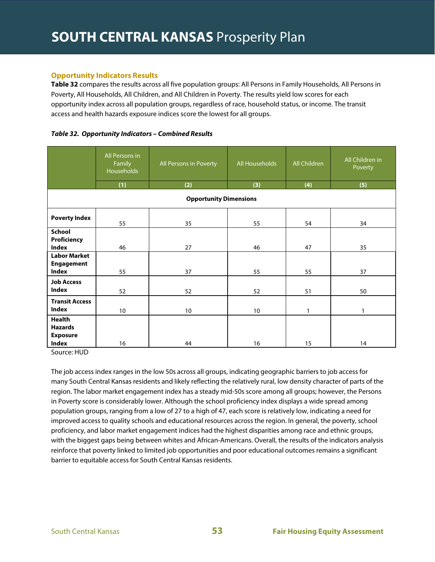# **Opportunity Indicators Results**

**Table 32** compares the results across all five population groups: All Persons in Family Households, All Persons in Poverty, All Households, All Children, and All Children in Poverty. The results yield low scores for each opportunity index across all population groups, regardless of race, household status, or income. The transit access and health hazards exposure indices score the lowest for all groups.

#### **Table 32. Opportunity Indicators – Combined Results**

|                                                                    | All Persons in<br>Family<br>Households | All Persons in Poverty | All Households | All Children | All Children in<br>Poverty |  |  |  |  |  |
|--------------------------------------------------------------------|----------------------------------------|------------------------|----------------|--------------|----------------------------|--|--|--|--|--|
|                                                                    | (1)                                    | (2)                    | (3)            | (4)          | (5)                        |  |  |  |  |  |
| <b>Opportunity Dimensions</b>                                      |                                        |                        |                |              |                            |  |  |  |  |  |
| <b>Poverty Index</b>                                               | 55                                     | 35                     | 55             | 54           | 34                         |  |  |  |  |  |
| <b>School</b><br>Proficiency<br><b>Index</b>                       | 46                                     | 27                     | 46             | 47           | 35                         |  |  |  |  |  |
| <b>Labor Market</b><br><b>Engagement</b><br><b>Index</b>           | 55                                     | 37                     | 55             | 55           | 37                         |  |  |  |  |  |
| <b>Job Access</b><br><b>Index</b>                                  | 52                                     | 52                     | 52             | 51           | 50                         |  |  |  |  |  |
| <b>Transit Access</b><br><b>Index</b>                              | 10                                     | 10                     | $10\,$         | 1            | 1                          |  |  |  |  |  |
| <b>Health</b><br><b>Hazards</b><br><b>Exposure</b><br><b>Index</b> | 16                                     | 44                     | 16             | 15           | 14                         |  |  |  |  |  |

Source: HUD

The job access index ranges in the low 50s across all groups, indicating geographic barriers to job access for many South Central Kansas residents and likely reflecting the relatively rural, low density character of parts of the region. The labor market engagement index has a steady mid-50s score among all groups; however, the Persons in Poverty score is considerably lower. Although the school proficiency index displays a wide spread among population groups, ranging from a low of 27 to a high of 47, each score is relatively low, indicating a need for improved access to quality schools and educational resources across the region. In general, the poverty, school proficiency, and labor market engagement indices had the highest disparities among race and ethnic groups, with the biggest gaps being between whites and African-Americans. Overall, the results of the indicators analysis reinforce that poverty linked to limited job opportunities and poor educational outcomes remains a significant barrier to equitable access for South Central Kansas residents.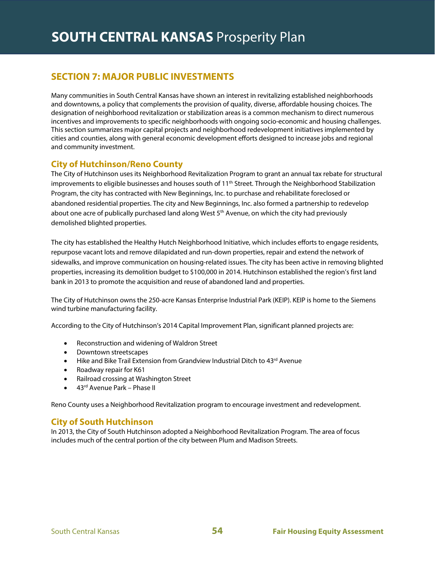# **SECTION 7: MAJOR PUBLIC INVESTMENTS**

Many communities in South Central Kansas have shown an interest in revitalizing established neighborhoods and downtowns, a policy that complements the provision of quality, diverse, affordable housing choices. The designation of neighborhood revitalization or stabilization areas is a common mechanism to direct numerous incentives and improvements to specific neighborhoods with ongoing socio-economic and housing challenges. This section summarizes major capital projects and neighborhood redevelopment initiatives implemented by cities and counties, along with general economic development efforts designed to increase jobs and regional and community investment.

# **City of Hutchinson/Reno County**

The City of Hutchinson uses its Neighborhood Revitalization Program to grant an annual tax rebate for structural improvements to eligible businesses and houses south of 11<sup>th</sup> Street. Through the Neighborhood Stabilization Program, the city has contracted with New Beginnings, Inc. to purchase and rehabilitate foreclosed or abandoned residential properties. The city and New Beginnings, Inc. also formed a partnership to redevelop about one acre of publically purchased land along West 5<sup>th</sup> Avenue, on which the city had previously demolished blighted properties.

The city has established the Healthy Hutch Neighborhood Initiative, which includes efforts to engage residents, repurpose vacant lots and remove dilapidated and run-down properties, repair and extend the network of sidewalks, and improve communication on housing-related issues. The city has been active in removing blighted properties, increasing its demolition budget to \$100,000 in 2014. Hutchinson established the region's first land bank in 2013 to promote the acquisition and reuse of abandoned land and properties.

The City of Hutchinson owns the 250-acre Kansas Enterprise Industrial Park (KEIP). KEIP is home to the Siemens wind turbine manufacturing facility.

According to the City of Hutchinson's 2014 Capital Improvement Plan, significant planned projects are:

- Reconstruction and widening of Waldron Street
- Downtown streetscapes
- Hike and Bike Trail Extension from Grandview Industrial Ditch to 43<sup>rd</sup> Avenue
- Roadway repair for K61
- Railroad crossing at Washington Street
- 43<sup>rd</sup> Avenue Park Phase II

Reno County uses a Neighborhood Revitalization program to encourage investment and redevelopment.

# **City of South Hutchinson**

In 2013, the City of South Hutchinson adopted a Neighborhood Revitalization Program. The area of focus includes much of the central portion of the city between Plum and Madison Streets.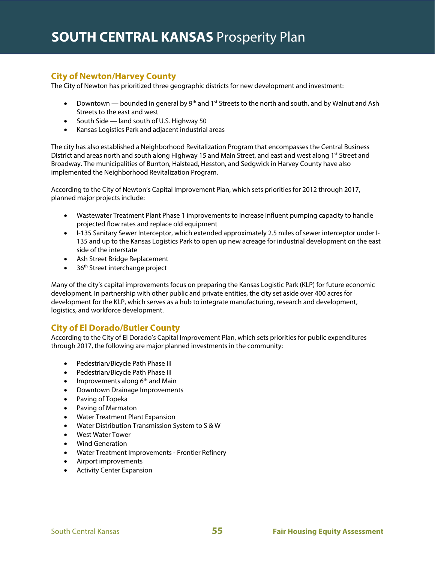# **City of Newton/Harvey County**

The City of Newton has prioritized three geographic districts for new development and investment:

- Downtown bounded in general by 9<sup>th</sup> and 1<sup>st</sup> Streets to the north and south, and by Walnut and Ash Streets to the east and west
- $\bullet$  South Side land south of U.S. Highway 50
- Kansas Logistics Park and adjacent industrial areas

The city has also established a Neighborhood Revitalization Program that encompasses the Central Business District and areas north and south along Highway 15 and Main Street, and east and west along 1<sup>st</sup> Street and Broadway. The municipalities of Burrton, Halstead, Hesston, and Sedgwick in Harvey County have also implemented the Neighborhood Revitalization Program.

According to the City of Newton's Capital Improvement Plan, which sets priorities for 2012 through 2017, planned major projects include:

- Wastewater Treatment Plant Phase 1 improvements to increase influent pumping capacity to handle projected flow rates and replace old equipment
- I-135 Sanitary Sewer Interceptor, which extended approximately 2.5 miles of sewer interceptor under I-135 and up to the Kansas Logistics Park to open up new acreage for industrial development on the east side of the interstate
- Ash Street Bridge Replacement
- 36<sup>th</sup> Street interchange project

Many of the city's capital improvements focus on preparing the Kansas Logistic Park (KLP) for future economic development. In partnership with other public and private entities, the city set aside over 400 acres for development for the KLP, which serves as a hub to integrate manufacturing, research and development, logistics, and workforce development.

# **City of El Dorado/Butler County**

According to the City of El Dorado's Capital Improvement Plan, which sets priorities for public expenditures through 2017, the following are major planned investments in the community:

- Pedestrian/Bicycle Path Phase III
- Pedestrian/Bicycle Path Phase III
- $\bullet$  Improvements along  $6<sup>th</sup>$  and Main
- **•** Downtown Drainage Improvements
- Paving of Topeka
- Paving of Marmaton
- Water Treatment Plant Expansion
- Water Distribution Transmission System to S & W
- West Water Tower
- Wind Generation
- Water Treatment Improvements Frontier Refinery
- Airport improvements
- **•** Activity Center Expansion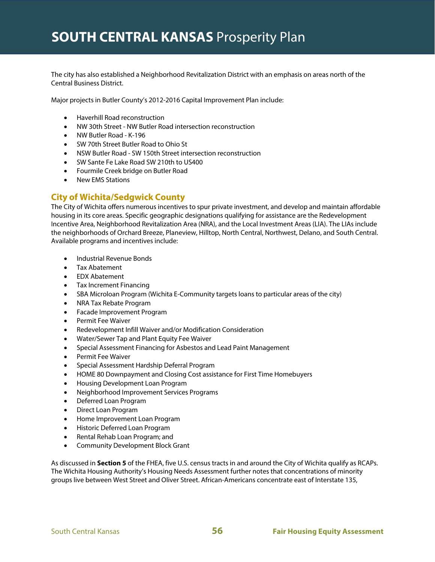The city has also established a Neighborhood Revitalization District with an emphasis on areas north of the Central Business District.

Major projects in Butler County's 2012-2016 Capital Improvement Plan include:

- Haverhill Road reconstruction
- NW 30th Street ‐ NW Butler Road intersection reconstruction
- NW Butler Road ‐ K‐196
- SW 70th Street Butler Road to Ohio St
- NSW Butler Road SW 150th Street intersection reconstruction
- SW Sante Fe Lake Road SW 210th to US400
- Fourmile Creek bridge on Butler Road
- New EMS Stations

# **City of Wichita/Sedgwick County**

The City of Wichita offers numerous incentives to spur private investment, and develop and maintain affordable housing in its core areas. Specific geographic designations qualifying for assistance are the Redevelopment Incentive Area, Neighborhood Revitalization Area (NRA), and the Local Investment Areas (LIA). The LIAs include the neighborhoods of Orchard Breeze, Planeview, Hilltop, North Central, Northwest, Delano, and South Central. Available programs and incentives include:

- Industrial Revenue Bonds
- Tax Abatement
- EDX Abatement
- Tax Increment Financing
- SBA Microloan Program (Wichita E-Community targets loans to particular areas of the city)
- NRA Tax Rebate Program
- Facade Improvement Program
- Permit Fee Waiver
- Redevelopment Infill Waiver and/or Modification Consideration
- Water/Sewer Tap and Plant Equity Fee Waiver
- Special Assessment Financing for Asbestos and Lead Paint Management
- **•** Permit Fee Waiver
- Special Assessment Hardship Deferral Program
- HOME 80 Downpayment and Closing Cost assistance for First Time Homebuyers
- Housing Development Loan Program
- Neighborhood Improvement Services Programs
- Deferred Loan Program
- Direct Loan Program
- Home Improvement Loan Program
- Historic Deferred Loan Program
- Rental Rehab Loan Program; and
- Community Development Block Grant

As discussed in **Section 5** of the FHEA, five U.S. census tracts in and around the City of Wichita qualify as RCAPs. The Wichita Housing Authority's Housing Needs Assessment further notes that concentrations of minority groups live between West Street and Oliver Street. African-Americans concentrate east of Interstate 135,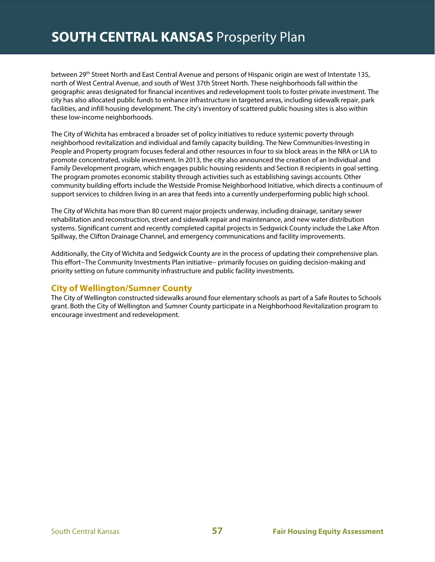between 29<sup>th</sup> Street North and East Central Avenue and persons of Hispanic origin are west of Interstate 135, north of West Central Avenue, and south of West 37th Street North. These neighborhoods fall within the geographic areas designated for financial incentives and redevelopment tools to foster private investment. The city has also allocated public funds to enhance infrastructure in targeted areas, including sidewalk repair, park facilities, and infill housing development. The city's inventory of scattered public housing sites is also within these low-income neighborhoods.

The City of Wichita has embraced a broader set of policy initiatives to reduce systemic poverty through neighborhood revitalization and individual and family capacity building. The New Communities-Investing in People and Property program focuses federal and other resources in four to six block areas in the NRA or LIA to promote concentrated, visible investment. In 2013, the city also announced the creation of an Individual and Family Development program, which engages public housing residents and Section 8 recipients in goal setting. The program promotes economic stability through activities such as establishing savings accounts. Other community building efforts include the Westside Promise Neighborhood Initiative, which directs a continuum of support services to children living in an area that feeds into a currently underperforming public high school.

The City of Wichita has more than 80 current major projects underway, including drainage, sanitary sewer rehabilitation and reconstruction, street and sidewalk repair and maintenance, and new water distribution systems. Significant current and recently completed capital projects in Sedgwick County include the Lake Afton Spillway, the Clifton Drainage Channel, and emergency communications and facility improvements.

Additionally, the City of Wichita and Sedgwick County are in the process of updating their comprehensive plan. This effort−The Community Investments Plan initiative− primarily focuses on guiding decision-making and priority setting on future community infrastructure and public facility investments.

# **City of Wellington/Sumner County**

The City of Wellington constructed sidewalks around four elementary schools as part of a Safe Routes to Schools grant. Both the City of Wellington and Sumner County participate in a Neighborhood Revitalization program to encourage investment and redevelopment.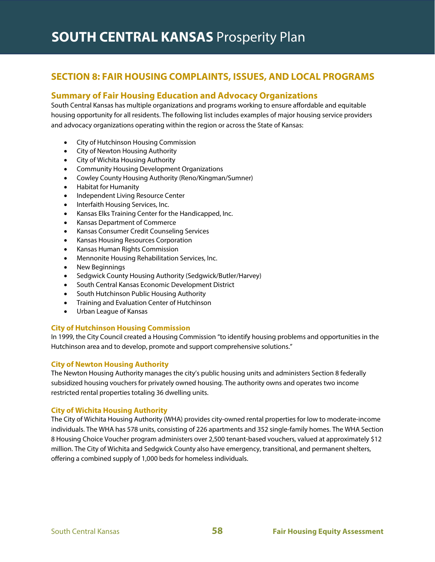# **SECTION 8: FAIR HOUSING COMPLAINTS, ISSUES, AND LOCAL PROGRAMS**

# **Summary of Fair Housing Education and Advocacy Organizations**

South Central Kansas has multiple organizations and programs working to ensure affordable and equitable housing opportunity for all residents. The following list includes examples of major housing service providers and advocacy organizations operating within the region or across the State of Kansas:

- City of Hutchinson Housing Commission
- City of Newton Housing Authority
- City of Wichita Housing Authority
- Community Housing Development Organizations
- Cowley County Housing Authority (Reno/Kingman/Sumner)
- Habitat for Humanity
- Independent Living Resource Center
- Interfaith Housing Services, Inc.
- Kansas Elks Training Center for the Handicapped, Inc.
- Kansas Department of Commerce
- Kansas Consumer Credit Counseling Services
- Kansas Housing Resources Corporation
- Kansas Human Rights Commission
- Mennonite Housing Rehabilitation Services, Inc.
- New Beginnings
- Sedgwick County Housing Authority (Sedgwick/Butler/Harvey)
- South Central Kansas Economic Development District
- **•** South Hutchinson Public Housing Authority
- Training and Evaluation Center of Hutchinson
- Urban League of Kansas

#### **City of Hutchinson Housing Commission**

In 1999, the City Council created a Housing Commission "to identify housing problems and opportunities in the Hutchinson area and to develop, promote and support comprehensive solutions."

#### **City of Newton Housing Authority**

The Newton Housing Authority manages the city's public housing units and administers Section 8 federally subsidized housing vouchers for privately owned housing. The authority owns and operates two income restricted rental properties totaling 36 dwelling units.

## **City of Wichita Housing Authority**

The City of Wichita Housing Authority (WHA) provides city-owned rental properties for low to moderate-income individuals. The WHA has 578 units, consisting of 226 apartments and 352 single-family homes. The WHA Section 8 Housing Choice Voucher program administers over 2,500 tenant-based vouchers, valued at approximately \$12 million. The City of Wichita and Sedgwick County also have emergency, transitional, and permanent shelters, offering a combined supply of 1,000 beds for homeless individuals.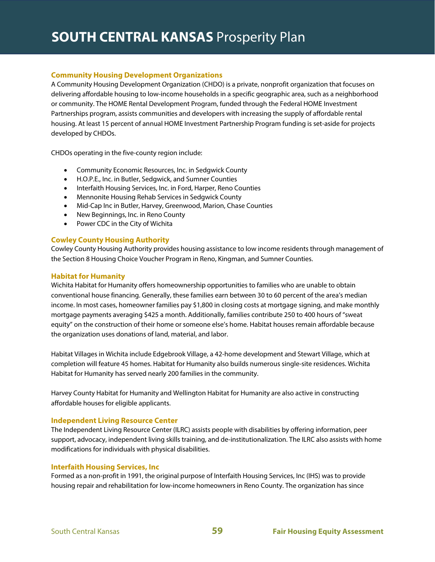## **Community Housing Development Organizations**

A Community Housing Development Organization (CHDO) is a private, nonprofit organization that focuses on delivering affordable housing to low-income households in a specific geographic area, such as a neighborhood or community. The HOME Rental Development Program, funded through the Federal HOME Investment Partnerships program, assists communities and developers with increasing the supply of affordable rental housing. At least 15 percent of annual HOME Investment Partnership Program funding is set-aside for projects developed by CHDOs.

CHDOs operating in the five-county region include:

- Community Economic Resources, Inc. in Sedgwick County
- H.O.P.E., Inc. in Butler, Sedgwick, and Sumner Counties
- Interfaith Housing Services, Inc. in Ford, Harper, Reno Counties
- Mennonite Housing Rehab Services in Sedgwick County
- Mid-Cap Inc in Butler, Harvey, Greenwood, Marion, Chase Counties
- New Beginnings, Inc. in Reno County
- Power CDC in the City of Wichita

## **Cowley County Housing Authority**

Cowley County Housing Authority provides housing assistance to low income residents through management of the Section 8 Housing Choice Voucher Program in Reno, Kingman, and Sumner Counties.

#### **Habitat for Humanity**

Wichita Habitat for Humanity offers homeownership opportunities to families who are unable to obtain conventional house financing. Generally, these families earn between 30 to 60 percent of the area's median income. In most cases, homeowner families pay \$1,800 in closing costs at mortgage signing, and make monthly mortgage payments averaging \$425 a month. Additionally, families contribute 250 to 400 hours of "sweat equity" on the construction of their home or someone else's home. Habitat houses remain affordable because the organization uses donations of land, material, and labor.

Habitat Villages in Wichita include Edgebrook Village, a 42-home development and Stewart Village, which at completion will feature 45 homes. Habitat for Humanity also builds numerous single-site residences. Wichita Habitat for Humanity has served nearly 200 families in the community.

Harvey County Habitat for Humanity and Wellington Habitat for Humanity are also active in constructing affordable houses for eligible applicants.

#### **Independent Living Resource Center**

The Independent Living Resource Center (ILRC) assists people with disabilities by offering information, peer support, advocacy, independent living skills training, and de-institutionalization. The ILRC also assists with home modifications for individuals with physical disabilities.

## **Interfaith Housing Services, Inc**

Formed as a non-profit in 1991, the original purpose of Interfaith Housing Services, Inc (IHS) was to provide housing repair and rehabilitation for low-income homeowners in Reno County. The organization has since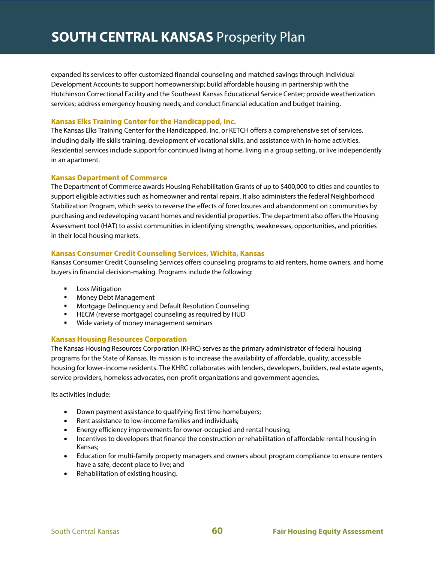expanded its services to offer customized financial counseling and matched savings through Individual Development Accounts to support homeownership; build affordable housing in partnership with the Hutchinson Correctional Facility and the Southeast Kansas Educational Service Center; provide weatherization services; address emergency housing needs; and conduct financial education and budget training.

#### **Kansas Elks Training Center for the Handicapped, Inc.**

The Kansas Elks Training Center for the Handicapped, Inc. or KETCH offers a comprehensive set of services, including daily life skills training, development of vocational skills, and assistance with in-home activities. Residential services include support for continued living at home, living in a group setting, or live independently in an apartment.

#### **Kansas Department of Commerce**

The Department of Commerce awards Housing Rehabilitation Grants of up to \$400,000 to cities and counties to support eligible activities such as homeowner and rental repairs. It also administers the federal Neighborhood Stabilization Program, which seeks to reverse the effects of foreclosures and abandonment on communities by purchasing and redeveloping vacant homes and residential properties. The department also offers the Housing Assessment tool (HAT) to assist communities in identifying strengths, weaknesses, opportunities, and priorities in their local housing markets.

## **Kansas Consumer Credit Counseling Services, Wichita, Kansas**

Kansas Consumer Credit Counseling Services offers counseling programs to aid renters, home owners, and home buyers in financial decision-making. Programs include the following:

- **Loss Mitigation**
- **Money Debt Management**
- **EXEDENT** Mortgage Delinquency and Default Resolution Counseling
- **HECM** (reverse mortgage) counseling as required by HUD
- **Wide variety of money management seminars**

#### **Kansas Housing Resources Corporation**

The Kansas Housing Resources Corporation (KHRC) serves as the primary administrator of federal housing programs for the State of Kansas. Its mission is to increase the availability of affordable, quality, accessible housing for lower-income residents. The KHRC collaborates with lenders, developers, builders, real estate agents, service providers, homeless advocates, non-profit organizations and government agencies.

Its activities include:

- Down payment assistance to qualifying first time homebuyers;
- Rent assistance to low-income families and individuals;
- Energy efficiency improvements for owner-occupied and rental housing;
- Incentives to developers that finance the construction or rehabilitation of affordable rental housing in Kansas;
- Education for multi-family property managers and owners about program compliance to ensure renters have a safe, decent place to live; and
- Rehabilitation of existing housing.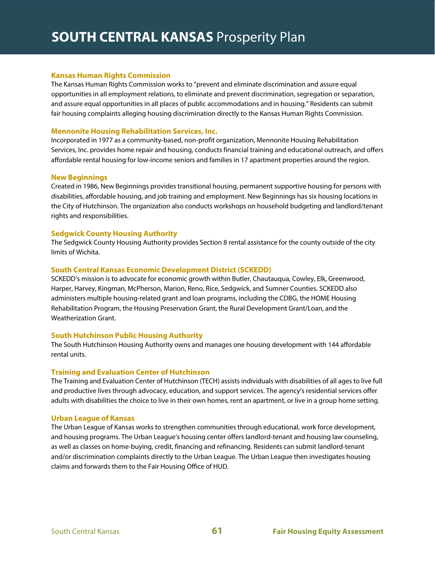#### **Kansas Human Rights Commission**

The Kansas Human Rights Commission works to "prevent and eliminate discrimination and assure equal opportunities in all employment relations, to eliminate and prevent discrimination, segregation or separation, and assure equal opportunities in all places of public accommodations and in housing." Residents can submit fair housing complaints alleging housing discrimination directly to the Kansas Human Rights Commission.

#### **Mennonite Housing Rehabilitation Services, Inc.**

Incorporated in 1977 as a community-based, non-profit organization, Mennonite Housing Rehabilitation Services, Inc. provides home repair and housing, conducts financial training and educational outreach, and offers affordable rental housing for low-income seniors and families in 17 apartment properties around the region.

#### **New Beginnings**

Created in 1986, New Beginnings provides transitional housing, permanent supportive housing for persons with disabilities, affordable housing, and job training and employment. New Beginnings has six housing locations in the City of Hutchinson. The organization also conducts workshops on household budgeting and landlord/tenant rights and responsibilities.

#### **Sedgwick County Housing Authority**

The Sedgwick County Housing Authority provides Section 8 rental assistance for the county outside of the city limits of Wichita.

#### **South Central Kansas Economic Development District (SCKEDD)**

SCKEDD's mission is to advocate for economic growth within Butler, Chautauqua, Cowley, Elk, Greenwood, Harper, Harvey, Kingman, McPherson, Marion, Reno, Rice, Sedgwick, and Sumner Counties. SCKEDD also administers multiple housing-related grant and loan programs, including the CDBG, the HOME Housing Rehabilitation Program, the Housing Preservation Grant, the Rural Development Grant/Loan, and the Weatherization Grant.

## **South Hutchinson Public Housing Authority**

The South Hutchinson Housing Authority owns and manages one housing development with 144 affordable rental units.

#### **Training and Evaluation Center of Hutchinson**

The Training and Evaluation Center of Hutchinson (TECH) assists individuals with disabilities of all ages to live full and productive lives through advocacy, education, and support services. The agency's residential services offer adults with disabilities the choice to live in their own homes, rent an apartment, or live in a group home setting.

#### **Urban League of Kansas**

The Urban League of Kansas works to strengthen communities through educational, work force development, and housing programs. The Urban League's housing center offers landlord-tenant and housing law counseling, as well as classes on home-buying, credit, financing and refinancing. Residents can submit landlord-tenant and/or discrimination complaints directly to the Urban League. The Urban League then investigates housing claims and forwards them to the Fair Housing Office of HUD.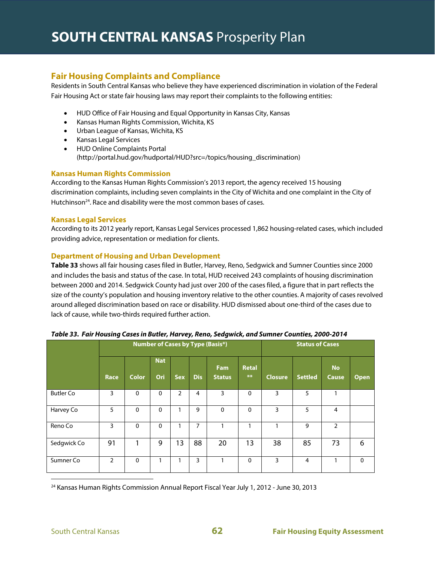# **Fair Housing Complaints and Compliance**

Residents in South Central Kansas who believe they have experienced discrimination in violation of the Federal Fair Housing Act or state fair housing laws may report their complaints to the following entities:

- HUD Office of Fair Housing and Equal Opportunity in Kansas City, Kansas
- Kansas Human Rights Commission, Wichita, KS
- Urban League of Kansas, Wichita, KS
- Kansas Legal Services
- HUD Online Complaints Portal (http://portal.hud.gov/hudportal/HUD?src=/topics/housing\_discrimination)

## **Kansas Human Rights Commission**

According to the Kansas Human Rights Commission's 2013 report, the agency received 15 housing discrimination complaints, including seven complaints in the City of Wichita and one complaint in the City of Hutchinson<sup>24</sup>. Race and disability were the most common bases of cases.

## **Kansas Legal Services**

According to its 2012 yearly report, Kansas Legal Services processed 1,862 housing-related cases, which included providing advice, representation or mediation for clients.

## **Department of Housing and Urban Development**

**Table 33** shows all fair housing cases filed in Butler, Harvey, Reno, Sedgwick and Sumner Counties since 2000 and includes the basis and status of the case. In total, HUD received 243 complaints of housing discrimination between 2000 and 2014. Sedgwick County had just over 200 of the cases filed, a figure that in part reflects the size of the county's population and housing inventory relative to the other counties. A majority of cases revolved around alleged discrimination based on race or disability. HUD dismissed about one-third of the cases due to lack of cause, while two-thirds required further action.

|                  |                |              | <b>Number of Cases by Type (Basis*)</b> |            | <b>Status of Cases</b> |                      |                      |                |                |                           |             |
|------------------|----------------|--------------|-----------------------------------------|------------|------------------------|----------------------|----------------------|----------------|----------------|---------------------------|-------------|
|                  | Race           | <b>Color</b> | <b>Nat</b><br>Ori                       | <b>Sex</b> | <b>Dis</b>             | Fam<br><b>Status</b> | <b>Retal</b><br>$**$ | <b>Closure</b> | <b>Settled</b> | <b>No</b><br><b>Cause</b> | <b>Open</b> |
| <b>Butler Co</b> | 3              | 0            | $\Omega$                                | 2          | 4                      | 3                    | $\mathbf 0$          | 3              | 5              | 1                         |             |
| Harvey Co        | 5              | 0            | $\Omega$                                | 1          | 9                      | $\mathbf{0}$         | 0                    | 3              | 5              | $\overline{4}$            |             |
| Reno Co          | $\overline{3}$ | $\Omega$     | $\Omega$                                | 1          | 7                      | 1                    | 1                    |                | 9              | $\overline{2}$            |             |
| Sedgwick Co      | 91             | 1            | 9                                       | 13         | 88                     | 20                   | 13                   | 38             | 85             | 73                        | 6           |
| Sumner Co        | $\overline{2}$ | $\mathbf 0$  | 1                                       | 1          | 3                      | 1                    | 0                    | 3              | $\overline{4}$ | 1                         | $\mathbf 0$ |

**Table 33. Fair Housing Cases in Butler, Harvey, Reno, Sedgwick, and Sumner Counties, 2000-2014** 

<sup>24</sup> Kansas Human Rights Commission Annual Report Fiscal Year July 1, 2012 - June 30, 2013

 $\overline{a}$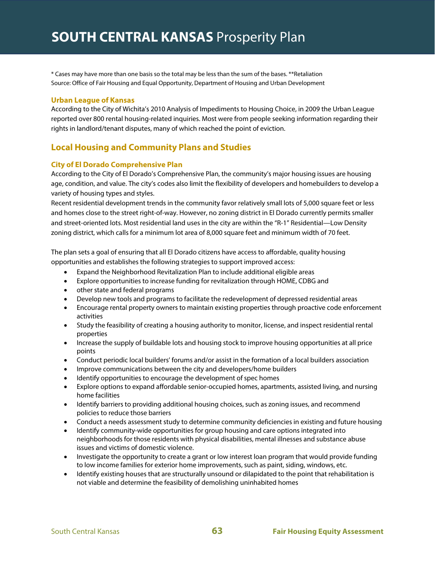\* Cases may have more than one basis so the total may be less than the sum of the bases. \*\*Retaliation Source: Office of Fair Housing and Equal Opportunity, Department of Housing and Urban Development

#### **Urban League of Kansas**

According to the City of Wichita's 2010 Analysis of Impediments to Housing Choice, in 2009 the Urban League reported over 800 rental housing-related inquiries. Most were from people seeking information regarding their rights in landlord/tenant disputes, many of which reached the point of eviction.

# **Local Housing and Community Plans and Studies**

## **City of El Dorado Comprehensive Plan**

According to the City of El Dorado's Comprehensive Plan, the community's major housing issues are housing age, condition, and value. The city's codes also limit the flexibility of developers and homebuilders to develop a variety of housing types and styles.

Recent residential development trends in the community favor relatively small lots of 5,000 square feet or less and homes close to the street right‐of‐way. However, no zoning district in El Dorado currently permits smaller and street-oriented lots. Most residential land uses in the city are within the "R-1" Residential—Low Density zoning district, which calls for a minimum lot area of 8,000 square feet and minimum width of 70 feet.

The plan sets a goal of ensuring that all El Dorado citizens have access to affordable, quality housing opportunities and establishes the following strategies to support improved access:

- Expand the Neighborhood Revitalization Plan to include additional eligible areas
- Explore opportunities to increase funding for revitalization through HOME, CDBG and
- other state and federal programs
- Develop new tools and programs to facilitate the redevelopment of depressed residential areas
- Encourage rental property owners to maintain existing properties through proactive code enforcement activities
- Study the feasibility of creating a housing authority to monitor, license, and inspect residential rental properties
- Increase the supply of buildable lots and housing stock to improve housing opportunities at all price points
- Conduct periodic local builders' forums and/or assist in the formation of a local builders association
- Improve communications between the city and developers/home builders
- Identify opportunities to encourage the development of spec homes
- Explore options to expand affordable senior-occupied homes, apartments, assisted living, and nursing home facilities
- Identify barriers to providing additional housing choices, such as zoning issues, and recommend policies to reduce those barriers
- Conduct a needs assessment study to determine community deficiencies in existing and future housing
- Identify community-wide opportunities for group housing and care options integrated into neighborhoods for those residents with physical disabilities, mental illnesses and substance abuse issues and victims of domestic violence.
- Investigate the opportunity to create a grant or low interest loan program that would provide funding to low income families for exterior home improvements, such as paint, siding, windows, etc.
- Identify existing houses that are structurally unsound or dilapidated to the point that rehabilitation is not viable and determine the feasibility of demolishing uninhabited homes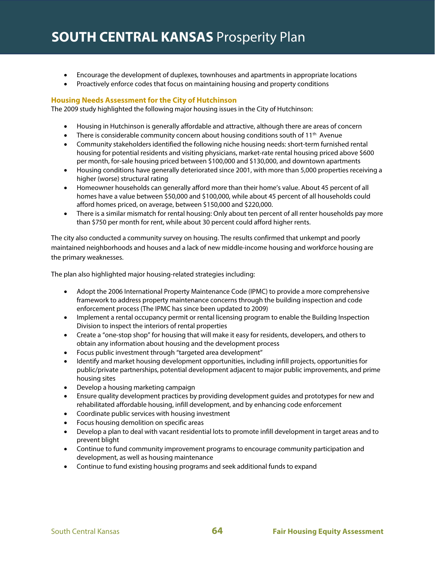- Encourage the development of duplexes, townhouses and apartments in appropriate locations
- Proactively enforce codes that focus on maintaining housing and property conditions

## **Housing Needs Assessment for the City of Hutchinson**

The 2009 study highlighted the following major housing issues in the City of Hutchinson:

- Housing in Hutchinson is generally affordable and attractive, although there are areas of concern
- There is considerable community concern about housing conditions south of  $11<sup>th</sup>$  Avenue
- Community stakeholders identified the following niche housing needs: short-term furnished rental housing for potential residents and visiting physicians, market-rate rental housing priced above \$600 per month, for-sale housing priced between \$100,000 and \$130,000, and downtown apartments
- Housing conditions have generally deteriorated since 2001, with more than 5,000 properties receiving a higher (worse) structural rating
- Homeowner households can generally afford more than their home's value. About 45 percent of all homes have a value between \$50,000 and \$100,000, while about 45 percent of all households could afford homes priced, on average, between \$150,000 and \$220,000.
- There is a similar mismatch for rental housing: Only about ten percent of all renter households pay more than \$750 per month for rent, while about 30 percent could afford higher rents.

The city also conducted a community survey on housing. The results confirmed that unkempt and poorly maintained neighborhoods and houses and a lack of new middle-income housing and workforce housing are the primary weaknesses.

The plan also highlighted major housing-related strategies including:

- Adopt the 2006 International Property Maintenance Code (IPMC) to provide a more comprehensive framework to address property maintenance concerns through the building inspection and code enforcement process (The IPMC has since been updated to 2009)
- Implement a rental occupancy permit or rental licensing program to enable the Building Inspection Division to inspect the interiors of rental properties
- Create a "one-stop shop" for housing that will make it easy for residents, developers, and others to obtain any information about housing and the development process
- Focus public investment through "targeted area development"
- Identify and market housing development opportunities, including infill projects, opportunities for public/private partnerships, potential development adjacent to major public improvements, and prime housing sites
- Develop a housing marketing campaign
- Ensure quality development practices by providing development guides and prototypes for new and rehabilitated affordable housing, infill development, and by enhancing code enforcement
- Coordinate public services with housing investment
- Focus housing demolition on specific areas
- Develop a plan to deal with vacant residential lots to promote infill development in target areas and to prevent blight
- Continue to fund community improvement programs to encourage community participation and development, as well as housing maintenance
- Continue to fund existing housing programs and seek additional funds to expand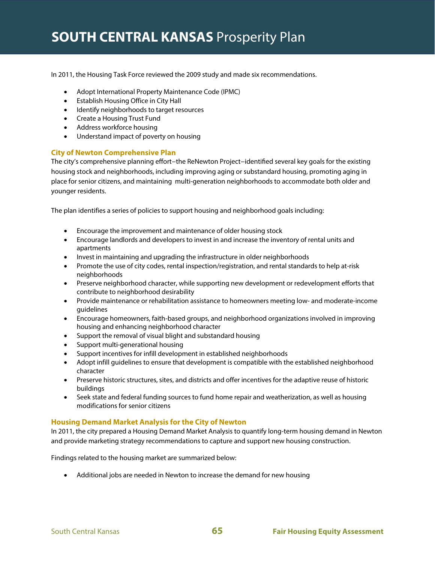In 2011, the Housing Task Force reviewed the 2009 study and made six recommendations.

- Adopt International Property Maintenance Code (IPMC)
- **•** Establish Housing Office in City Hall
- $\bullet$  Identify neighborhoods to target resources
- Create a Housing Trust Fund
- Address workforce housing
- Understand impact of poverty on housing

## **City of Newton Comprehensive Plan**

The city's comprehensive planning effort−the ReNewton Project−identified several key goals for the existing housing stock and neighborhoods, including improving aging or substandard housing, promoting aging in place for senior citizens, and maintaining multi-generation neighborhoods to accommodate both older and younger residents.

The plan identifies a series of policies to support housing and neighborhood goals including:

- Encourage the improvement and maintenance of older housing stock
- Encourage landlords and developers to invest in and increase the inventory of rental units and apartments
- Invest in maintaining and upgrading the infrastructure in older neighborhoods
- Promote the use of city codes, rental inspection/registration, and rental standards to help at-risk neighborhoods
- Preserve neighborhood character, while supporting new development or redevelopment efforts that contribute to neighborhood desirability
- Provide maintenance or rehabilitation assistance to homeowners meeting low- and moderate-income guidelines
- Encourage homeowners, faith-based groups, and neighborhood organizations involved in improving housing and enhancing neighborhood character
- Support the removal of visual blight and substandard housing
- Support multi-generational housing
- Support incentives for infill development in established neighborhoods
- Adopt infill guidelines to ensure that development is compatible with the established neighborhood character
- Preserve historic structures, sites, and districts and offer incentives for the adaptive reuse of historic buildings
- Seek state and federal funding sources to fund home repair and weatherization, as well as housing modifications for senior citizens

## **Housing Demand Market Analysis for the City of Newton**

In 2011, the city prepared a Housing Demand Market Analysis to quantify long-term housing demand in Newton and provide marketing strategy recommendations to capture and support new housing construction.

Findings related to the housing market are summarized below:

Additional jobs are needed in Newton to increase the demand for new housing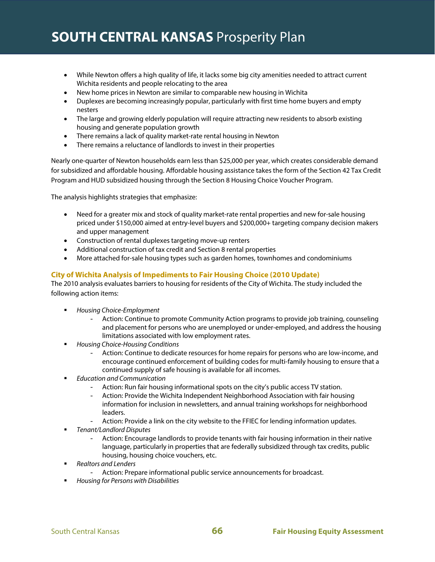- While Newton offers a high quality of life, it lacks some big city amenities needed to attract current Wichita residents and people relocating to the area
- New home prices in Newton are similar to comparable new housing in Wichita
- Duplexes are becoming increasingly popular, particularly with first time home buyers and empty nesters
- The large and growing elderly population will require attracting new residents to absorb existing housing and generate population growth
- There remains a lack of quality market-rate rental housing in Newton
- There remains a reluctance of landlords to invest in their properties

Nearly one-quarter of Newton households earn less than \$25,000 per year, which creates considerable demand for subsidized and affordable housing. Affordable housing assistance takes the form of the Section 42 Tax Credit Program and HUD subsidized housing through the Section 8 Housing Choice Voucher Program.

The analysis highlights strategies that emphasize:

- Need for a greater mix and stock of quality market-rate rental properties and new for-sale housing priced under \$150,000 aimed at entry-level buyers and \$200,000+ targeting company decision makers and upper management
- Construction of rental duplexes targeting move-up renters
- Additional construction of tax credit and Section 8 rental properties
- More attached for-sale housing types such as garden homes, townhomes and condominiums

# **City of Wichita Analysis of Impediments to Fair Housing Choice (2010 Update)**

The 2010 analysis evaluates barriers to housing for residents of the City of Wichita. The study included the following action items:

- **Housing Choice-Employment** 
	- Action: Continue to promote Community Action programs to provide job training, counseling and placement for persons who are unemployed or under-employed, and address the housing limitations associated with low employment rates.
- Housing Choice-Housing Conditions
	- Action: Continue to dedicate resources for home repairs for persons who are low-income, and encourage continued enforcement of building codes for multi-family housing to ensure that a continued supply of safe housing is available for all incomes.
- Education and Communication
	- Action: Run fair housing informational spots on the city's public access TV station.
	- Action: Provide the Wichita Independent Neighborhood Association with fair housing information for inclusion in newsletters, and annual training workshops for neighborhood leaders.
	- Action: Provide a link on the city website to the FFIEC for lending information updates.
- Tenant/Landlord Disputes
	- Action: Encourage landlords to provide tenants with fair housing information in their native language, particularly in properties that are federally subsidized through tax credits, public housing, housing choice vouchers, etc.
- Realtors and Lenders
	- Action: Prepare informational public service announcements for broadcast.
- **Housing for Persons with Disabilities**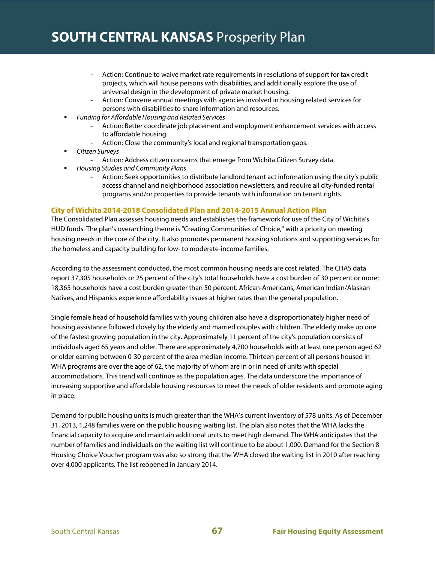- Action: Continue to waive market rate requirements in resolutions of support for tax credit projects, which will house persons with disabilities, and additionally explore the use of universal design in the development of private market housing.
- Action: Convene annual meetings with agencies involved in housing related services for persons with disabilities to share information and resources.
- **Funding for Affordable Housing and Related Services** 
	- Action: Better coordinate job placement and employment enhancement services with access to affordable housing.
	- Action: Close the community's local and regional transportation gaps.
- **Example 2** Citizen Surveys
	- Action: Address citizen concerns that emerge from Wichita Citizen Survey data.
- Housing Studies and Community Plans
	- Action: Seek opportunities to distribute landlord tenant act information using the city's public access channel and neighborhood association newsletters, and require all city-funded rental programs and/or properties to provide tenants with information on tenant rights.

#### **City of Wichita 2014-2018 Consolidated Plan and 2014-2015 Annual Action Plan**

The Consolidated Plan assesses housing needs and establishes the framework for use of the City of Wichita's HUD funds. The plan's overarching theme is "Creating Communities of Choice," with a priority on meeting housing needs in the core of the city. It also promotes permanent housing solutions and supporting services for the homeless and capacity building for low- to moderate-income families.

According to the assessment conducted, the most common housing needs are cost related. The CHAS data report 37,305 households or 25 percent of the city's total households have a cost burden of 30 percent or more; 18,365 households have a cost burden greater than 50 percent. African-Americans, American Indian/Alaskan Natives, and Hispanics experience affordability issues at higher rates than the general population.

Single female head of household families with young children also have a disproportionately higher need of housing assistance followed closely by the elderly and married couples with children. The elderly make up one of the fastest growing population in the city. Approximately 11 percent of the city's population consists of individuals aged 65 years and older. There are approximately 4,700 households with at least one person aged 62 or older earning between 0-30 percent of the area median income. Thirteen percent of all persons housed in WHA programs are over the age of 62, the majority of whom are in or in need of units with special accommodations. This trend will continue as the population ages. The data underscore the importance of increasing supportive and affordable housing resources to meet the needs of older residents and promote aging in place.

Demand for public housing units is much greater than the WHA's current inventory of 578 units. As of December 31, 2013, 1,248 families were on the public housing waiting list. The plan also notes that the WHA lacks the financial capacity to acquire and maintain additional units to meet high demand. The WHA anticipates that the number of families and individuals on the waiting list will continue to be about 1,000. Demand for the Section 8 Housing Choice Voucher program was also so strong that the WHA closed the waiting list in 2010 after reaching over 4,000 applicants. The list reopened in January 2014.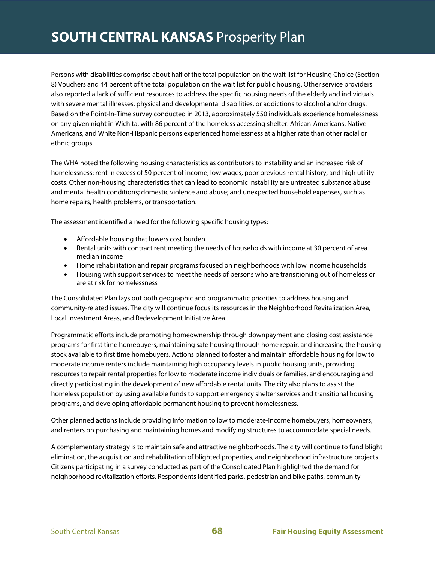Persons with disabilities comprise about half of the total population on the wait list for Housing Choice (Section 8) Vouchers and 44 percent of the total population on the wait list for public housing. Other service providers also reported a lack of sufficient resources to address the specific housing needs of the elderly and individuals with severe mental illnesses, physical and developmental disabilities, or addictions to alcohol and/or drugs. Based on the Point-In-Time survey conducted in 2013, approximately 550 individuals experience homelessness on any given night in Wichita, with 86 percent of the homeless accessing shelter. African-Americans, Native Americans, and White Non-Hispanic persons experienced homelessness at a higher rate than other racial or ethnic groups.

The WHA noted the following housing characteristics as contributors to instability and an increased risk of homelessness: rent in excess of 50 percent of income, low wages, poor previous rental history, and high utility costs. Other non-housing characteristics that can lead to economic instability are untreated substance abuse and mental health conditions; domestic violence and abuse; and unexpected household expenses, such as home repairs, health problems, or transportation.

The assessment identified a need for the following specific housing types:

- Affordable housing that lowers cost burden
- Rental units with contract rent meeting the needs of households with income at 30 percent of area median income
- Home rehabilitation and repair programs focused on neighborhoods with low income households
- Housing with support services to meet the needs of persons who are transitioning out of homeless or are at risk for homelessness

The Consolidated Plan lays out both geographic and programmatic priorities to address housing and community-related issues. The city will continue focus its resources in the Neighborhood Revitalization Area, Local Investment Areas, and Redevelopment Initiative Area.

Programmatic efforts include promoting homeownership through downpayment and closing cost assistance programs for first time homebuyers, maintaining safe housing through home repair, and increasing the housing stock available to first time homebuyers. Actions planned to foster and maintain affordable housing for low to moderate income renters include maintaining high occupancy levels in public housing units, providing resources to repair rental properties for low to moderate income individuals or families, and encouraging and directly participating in the development of new affordable rental units. The city also plans to assist the homeless population by using available funds to support emergency shelter services and transitional housing programs, and developing affordable permanent housing to prevent homelessness.

Other planned actions include providing information to low to moderate-income homebuyers, homeowners, and renters on purchasing and maintaining homes and modifying structures to accommodate special needs.

A complementary strategy is to maintain safe and attractive neighborhoods. The city will continue to fund blight elimination, the acquisition and rehabilitation of blighted properties, and neighborhood infrastructure projects. Citizens participating in a survey conducted as part of the Consolidated Plan highlighted the demand for neighborhood revitalization efforts. Respondents identified parks, pedestrian and bike paths, community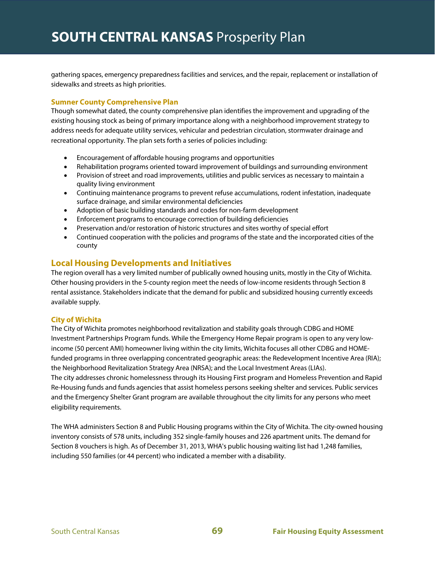gathering spaces, emergency preparedness facilities and services, and the repair, replacement or installation of sidewalks and streets as high priorities.

#### **Sumner County Comprehensive Plan**

Though somewhat dated, the county comprehensive plan identifies the improvement and upgrading of the existing housing stock as being of primary importance along with a neighborhood improvement strategy to address needs for adequate utility services, vehicular and pedestrian circulation, stormwater drainage and recreational opportunity. The plan sets forth a series of policies including:

- Encouragement of affordable housing programs and opportunities
- Rehabilitation programs oriented toward improvement of buildings and surrounding environment
- Provision of street and road improvements, utilities and public services as necessary to maintain a quality living environment
- Continuing maintenance programs to prevent refuse accumulations, rodent infestation, inadequate surface drainage, and similar environmental deficiencies
- Adoption of basic building standards and codes for non-farm development
- Enforcement programs to encourage correction of building deficiencies
- Preservation and/or restoration of historic structures and sites worthy of special effort
- Continued cooperation with the policies and programs of the state and the incorporated cities of the county

# **Local Housing Developments and Initiatives**

The region overall has a very limited number of publically owned housing units, mostly in the City of Wichita. Other housing providers in the 5-county region meet the needs of low-income residents through Section 8 rental assistance. Stakeholders indicate that the demand for public and subsidized housing currently exceeds available supply.

#### **City of Wichita**

The City of Wichita promotes neighborhood revitalization and stability goals through CDBG and HOME Investment Partnerships Program funds. While the Emergency Home Repair program is open to any very lowincome (50 percent AMI) homeowner living within the city limits, Wichita focuses all other CDBG and HOMEfunded programs in three overlapping concentrated geographic areas: the Redevelopment Incentive Area (RIA); the Neighborhood Revitalization Strategy Area (NRSA); and the Local Investment Areas (LIAs). The city addresses chronic homelessness through its Housing First program and Homeless Prevention and Rapid Re-Housing funds and funds agencies that assist homeless persons seeking shelter and services. Public services and the Emergency Shelter Grant program are available throughout the city limits for any persons who meet eligibility requirements.

The WHA administers Section 8 and Public Housing programs within the City of Wichita. The city-owned housing inventory consists of 578 units, including 352 single-family houses and 226 apartment units. The demand for Section 8 vouchers is high. As of December 31, 2013, WHA's public housing waiting list had 1,248 families, including 550 families (or 44 percent) who indicated a member with a disability.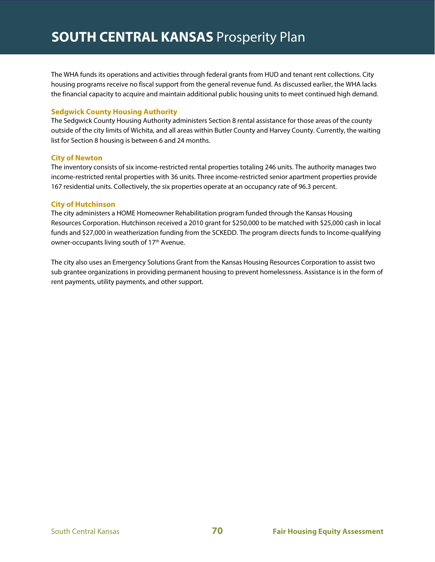The WHA funds its operations and activities through federal grants from HUD and tenant rent collections. City housing programs receive no fiscal support from the general revenue fund. As discussed earlier, the WHA lacks the financial capacity to acquire and maintain additional public housing units to meet continued high demand.

#### **Sedgwick County Housing Authority**

The Sedgwick County Housing Authority administers Section 8 rental assistance for those areas of the county outside of the city limits of Wichita, and all areas within Butler County and Harvey County. Currently, the waiting list for Section 8 housing is between 6 and 24 months.

#### **City of Newton**

The inventory consists of six income-restricted rental properties totaling 246 units. The authority manages two income-restricted rental properties with 36 units. Three income-restricted senior apartment properties provide 167 residential units. Collectively, the six properties operate at an occupancy rate of 96.3 percent.

#### **City of Hutchinson**

The city administers a HOME Homeowner Rehabilitation program funded through the Kansas Housing Resources Corporation. Hutchinson received a 2010 grant for \$250,000 to be matched with \$25,000 cash in local funds and \$27,000 in weatherization funding from the SCKEDD. The program directs funds to Income-qualifying owner-occupants living south of 17<sup>th</sup> Avenue.

The city also uses an Emergency Solutions Grant from the Kansas Housing Resources Corporation to assist two sub grantee organizations in providing permanent housing to prevent homelessness. Assistance is in the form of rent payments, utility payments, and other support.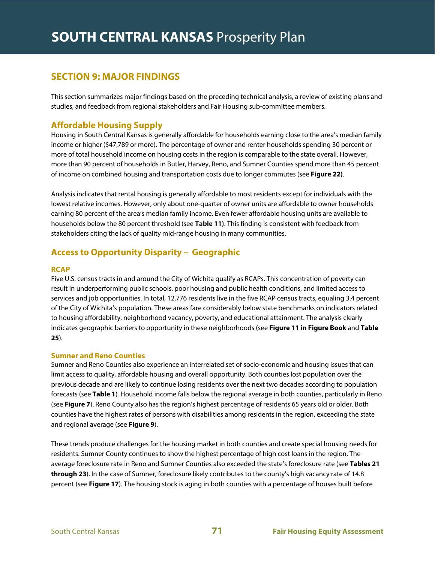# **SECTION 9: MAJOR FINDINGS**

This section summarizes major findings based on the preceding technical analysis, a review of existing plans and studies, and feedback from regional stakeholders and Fair Housing sub-committee members.

# **Affordable Housing Supply**

Housing in South Central Kansas is generally affordable for households earning close to the area's median family income or higher (\$47,789 or more). The percentage of owner and renter households spending 30 percent or more of total household income on housing costs in the region is comparable to the state overall. However, more than 90 percent of households in Butler, Harvey, Reno, and Sumner Counties spend more than 45 percent of income on combined housing and transportation costs due to longer commutes (see **Figure 22)**.

Analysis indicates that rental housing is generally affordable to most residents except for individuals with the lowest relative incomes. However, only about one-quarter of owner units are affordable to owner households earning 80 percent of the area's median family income. Even fewer affordable housing units are available to households below the 80 percent threshold (see **Table 11)**. This finding is consistent with feedback from stakeholders citing the lack of quality mid-range housing in many communities.

# **Access to Opportunity Disparity – Geographic**

## **RCAP**

Five U.S. census tracts in and around the City of Wichita qualify as RCAPs. This concentration of poverty can result in underperforming public schools, poor housing and public health conditions, and limited access to services and job opportunities. In total, 12,776 residents live in the five RCAP census tracts, equaling 3.4 percent of the City of Wichita's population. These areas fare considerably below state benchmarks on indicators related to housing affordability, neighborhood vacancy, poverty, and educational attainment. The analysis clearly indicates geographic barriers to opportunity in these neighborhoods (see **Figure 11 in Figure Book** and **Table 25**).

## **Sumner and Reno Counties**

Sumner and Reno Counties also experience an interrelated set of socio-economic and housing issues that can limit access to quality, affordable housing and overall opportunity. Both counties lost population over the previous decade and are likely to continue losing residents over the next two decades according to population forecasts (see **Table 1**). Household income falls below the regional average in both counties, particularly in Reno (see **Figure 7**). Reno County also has the region's highest percentage of residents 65 years old or older. Both counties have the highest rates of persons with disabilities among residents in the region, exceeding the state and regional average (see **Figure 9**).

These trends produce challenges for the housing market in both counties and create special housing needs for residents. Sumner County continues to show the highest percentage of high cost loans in the region. The average foreclosure rate in Reno and Sumner Counties also exceeded the state's foreclosure rate (see **Tables 21 through 23**). In the case of Sumner, foreclosure likely contributes to the county's high vacancy rate of 14.8 percent (see **Figure 17**). The housing stock is aging in both counties with a percentage of houses built before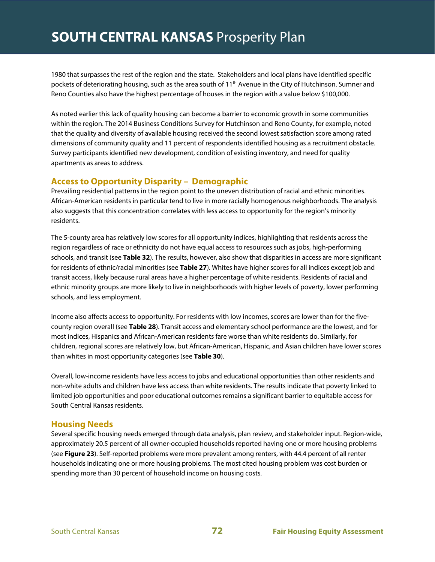1980 that surpasses the rest of the region and the state. Stakeholders and local plans have identified specific pockets of deteriorating housing, such as the area south of 11<sup>th</sup> Avenue in the City of Hutchinson. Sumner and Reno Counties also have the highest percentage of houses in the region with a value below \$100,000.

As noted earlier this lack of quality housing can become a barrier to economic growth in some communities within the region. The 2014 Business Conditions Survey for Hutchinson and Reno County, for example, noted that the quality and diversity of available housing received the second lowest satisfaction score among rated dimensions of community quality and 11 percent of respondents identified housing as a recruitment obstacle. Survey participants identified new development, condition of existing inventory, and need for quality apartments as areas to address.

### **Access to Opportunity Disparity – Demographic**

Prevailing residential patterns in the region point to the uneven distribution of racial and ethnic minorities. African-American residents in particular tend to live in more racially homogenous neighborhoods. The analysis also suggests that this concentration correlates with less access to opportunity for the region's minority residents.

The 5-county area has relatively low scores for all opportunity indices, highlighting that residents across the region regardless of race or ethnicity do not have equal access to resources such as jobs, high-performing schools, and transit (see **Table 32**). The results, however, also show that disparities in access are more significant for residents of ethnic/racial minorities (see **Table 27**). Whites have higher scores for all indices except job and transit access, likely because rural areas have a higher percentage of white residents. Residents of racial and ethnic minority groups are more likely to live in neighborhoods with higher levels of poverty, lower performing schools, and less employment.

Income also affects access to opportunity. For residents with low incomes, scores are lower than for the fivecounty region overall (see **Table 28**). Transit access and elementary school performance are the lowest, and for most indices, Hispanics and African-American residents fare worse than white residents do. Similarly, for children, regional scores are relatively low, but African-American, Hispanic, and Asian children have lower scores than whites in most opportunity categories (see **Table 30**).

Overall, low-income residents have less access to jobs and educational opportunities than other residents and non-white adults and children have less access than white residents. The results indicate that poverty linked to limited job opportunities and poor educational outcomes remains a significant barrier to equitable access for South Central Kansas residents.

### **Housing Needs**

Several specific housing needs emerged through data analysis, plan review, and stakeholder input. Region-wide, approximately 20.5 percent of all owner-occupied households reported having one or more housing problems (see **Figure 23**). Self-reported problems were more prevalent among renters, with 44.4 percent of all renter households indicating one or more housing problems. The most cited housing problem was cost burden or spending more than 30 percent of household income on housing costs.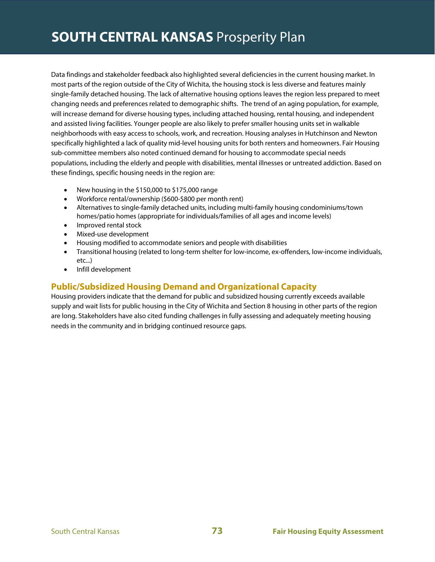Data findings and stakeholder feedback also highlighted several deficiencies in the current housing market. In most parts of the region outside of the City of Wichita, the housing stock is less diverse and features mainly single-family detached housing. The lack of alternative housing options leaves the region less prepared to meet changing needs and preferences related to demographic shifts. The trend of an aging population, for example, will increase demand for diverse housing types, including attached housing, rental housing, and independent and assisted living facilities. Younger people are also likely to prefer smaller housing units set in walkable neighborhoods with easy access to schools, work, and recreation. Housing analyses in Hutchinson and Newton specifically highlighted a lack of quality mid-level housing units for both renters and homeowners. Fair Housing sub-committee members also noted continued demand for housing to accommodate special needs populations, including the elderly and people with disabilities, mental illnesses or untreated addiction. Based on these findings, specific housing needs in the region are:

- New housing in the \$150,000 to \$175,000 range
- Workforce rental/ownership (\$600-\$800 per month rent)
- Alternatives to single-family detached units, including multi-family housing condominiums/town homes/patio homes (appropriate for individuals/families of all ages and income levels)
- Improved rental stock
- Mixed-use development
- Housing modified to accommodate seniors and people with disabilities
- Transitional housing (related to long-term shelter for low-income, ex-offenders, low-income individuals, etc...)
- Infill development

### **Public/Subsidized Housing Demand and Organizational Capacity**

Housing providers indicate that the demand for public and subsidized housing currently exceeds available supply and wait lists for public housing in the City of Wichita and Section 8 housing in other parts of the region are long. Stakeholders have also cited funding challenges in fully assessing and adequately meeting housing needs in the community and in bridging continued resource gaps.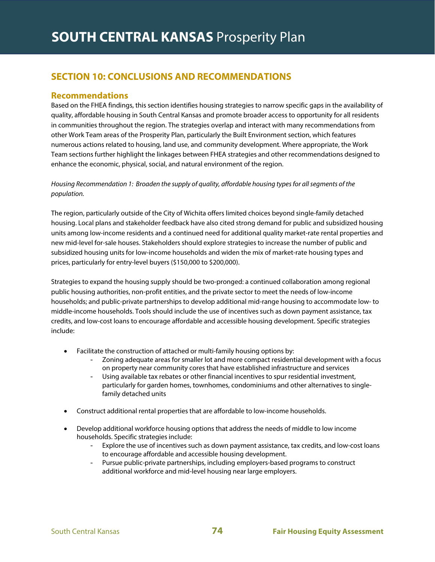## **SECTION 10: CONCLUSIONS AND RECOMMENDATIONS**

### **Recommendations**

Based on the FHEA findings, this section identifies housing strategies to narrow specific gaps in the availability of quality, affordable housing in South Central Kansas and promote broader access to opportunity for all residents in communities throughout the region. The strategies overlap and interact with many recommendations from other Work Team areas of the Prosperity Plan, particularly the Built Environment section, which features numerous actions related to housing, land use, and community development. Where appropriate, the Work Team sections further highlight the linkages between FHEA strategies and other recommendations designed to enhance the economic, physical, social, and natural environment of the region.

Housing Recommendation 1: Broaden the supply of quality, affordable housing types for all segments of the population.

The region, particularly outside of the City of Wichita offers limited choices beyond single-family detached housing. Local plans and stakeholder feedback have also cited strong demand for public and subsidized housing units among low-income residents and a continued need for additional quality market-rate rental properties and new mid-level for-sale houses. Stakeholders should explore strategies to increase the number of public and subsidized housing units for low-income households and widen the mix of market-rate housing types and prices, particularly for entry-level buyers (\$150,000 to \$200,000).

Strategies to expand the housing supply should be two-pronged: a continued collaboration among regional public housing authorities, non-profit entities, and the private sector to meet the needs of low-income households; and public-private partnerships to develop additional mid-range housing to accommodate low- to middle-income households. Tools should include the use of incentives such as down payment assistance, tax credits, and low-cost loans to encourage affordable and accessible housing development. Specific strategies include:

- Facilitate the construction of attached or multi-family housing options by:
	- Zoning adequate areas for smaller lot and more compact residential development with a focus on property near community cores that have established infrastructure and services
	- Using available tax rebates or other financial incentives to spur residential investment, particularly for garden homes, townhomes, condominiums and other alternatives to singlefamily detached units
- Construct additional rental properties that are affordable to low-income households.
- Develop additional workforce housing options that address the needs of middle to low income households. Specific strategies include:
	- Explore the use of incentives such as down payment assistance, tax credits, and low-cost loans to encourage affordable and accessible housing development.
	- Pursue public-private partnerships, including employers-based programs to construct additional workforce and mid-level housing near large employers.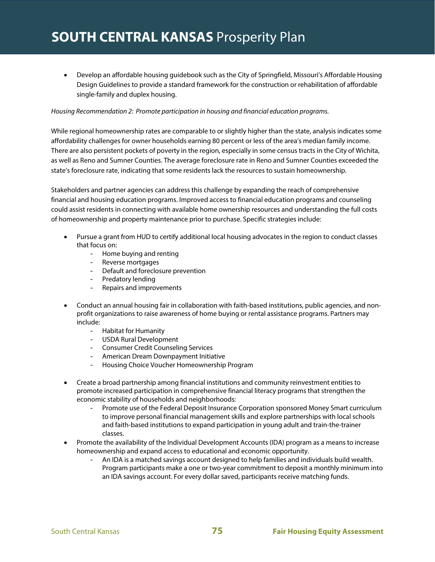Develop an affordable housing guidebook such as the City of Springfield, Missouri's Affordable Housing Design Guidelines to provide a standard framework for the construction or rehabilitation of affordable single-family and duplex housing.

#### Housing Recommendation 2: Promote participation in housing and financial education programs.

While regional homeownership rates are comparable to or slightly higher than the state, analysis indicates some affordability challenges for owner households earning 80 percent or less of the area's median family income. There are also persistent pockets of poverty in the region, especially in some census tracts in the City of Wichita, as well as Reno and Sumner Counties. The average foreclosure rate in Reno and Sumner Counties exceeded the state's foreclosure rate, indicating that some residents lack the resources to sustain homeownership.

Stakeholders and partner agencies can address this challenge by expanding the reach of comprehensive financial and housing education programs. Improved access to financial education programs and counseling could assist residents in connecting with available home ownership resources and understanding the full costs of homeownership and property maintenance prior to purchase. Specific strategies include:

- Pursue a grant from HUD to certify additional local housing advocates in the region to conduct classes that focus on:
	- Home buying and renting
	- Reverse mortgages
	- Default and foreclosure prevention
	- Predatory lending
	- Repairs and improvements
- Conduct an annual housing fair in collaboration with faith-based institutions, public agencies, and nonprofit organizations to raise awareness of home buying or rental assistance programs. Partners may include:
	- Habitat for Humanity
	- USDA Rural Development
	- Consumer Credit Counseling Services
	- American Dream Downpayment Initiative
	- Housing Choice Voucher Homeownership Program
- Create a broad partnership among financial institutions and community reinvestment entities to promote increased participation in comprehensive financial literacy programs that strengthen the economic stability of households and neighborhoods:
	- Promote use of the Federal Deposit Insurance Corporation sponsored Money Smart curriculum to improve personal financial management skills and explore partnerships with local schools and faith-based institutions to expand participation in young adult and train-the-trainer classes.
- Promote the availability of the Individual Development Accounts (IDA) program as a means to increase homeownership and expand access to educational and economic opportunity.
	- An IDA is a matched savings account designed to help families and individuals build wealth. Program participants make a one or two-year commitment to deposit a monthly minimum into an IDA savings account. For every dollar saved, participants receive matching funds.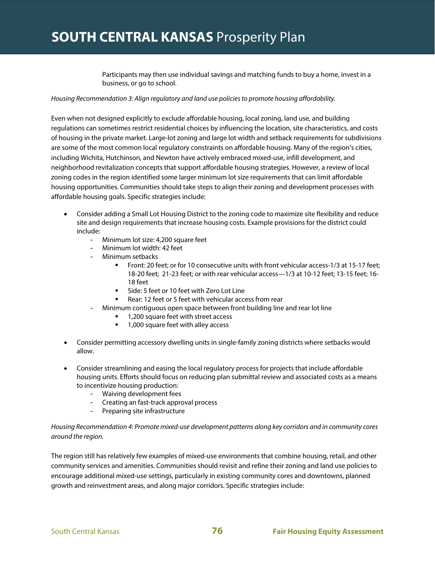Participants may then use individual savings and matching funds to buy a home, invest in a business, or go to school.

#### Housing Recommendation 3: Align regulatory and land use policies to promote housing affordability.

Even when not designed explicitly to exclude affordable housing, local zoning, land use, and building regulations can sometimes restrict residential choices by influencing the location, site characteristics, and costs of housing in the private market. Large-lot zoning and large lot width and setback requirements for subdivisions are some of the most common local regulatory constraints on affordable housing. Many of the region's cities, including Wichita, Hutchinson, and Newton have actively embraced mixed-use, infill development, and neighborhood revitalization concepts that support affordable housing strategies. However, a review of local zoning codes in the region identified some larger minimum lot size requirements that can limit affordable housing opportunities. Communities should take steps to align their zoning and development processes with affordable housing goals. Specific strategies include:

- Consider adding a Small Lot Housing District to the zoning code to maximize site flexibility and reduce site and design requirements that increase housing costs. Example provisions for the district could include:
	- Minimum lot size: 4,200 square feet
	- Minimum lot width: 42 feet
	- Minimum setbacks
		- Front: 20 feet; or for 10 consecutive units with front vehicular access-1/3 at 15-17 feet; 18-20 feet; 21-23 feet; or with rear vehicular access—1/3 at 10-12 feet; 13-15 feet; 16- 18 feet
		- Side: 5 feet or 10 feet with Zero Lot Line
		- Rear: 12 feet or 5 feet with vehicular access from rear
	- Minimum contiguous open space between front building line and rear lot line
		- **1,200 square feet with street access**
		- 1,000 square feet with alley access
- Consider permitting accessory dwelling units in single-family zoning districts where setbacks would allow.
- Consider streamlining and easing the local regulatory process for projects that include affordable housing units. Efforts should focus on reducing plan submittal review and associated costs as a means to incentivize housing production:
	- Waiving development fees
	- Creating an fast-track approval process
	- Preparing site infrastructure

Housing Recommendation 4: Promote mixed-use development patterns along key corridors and in community cores around the region.

The region still has relatively few examples of mixed-use environments that combine housing, retail, and other community services and amenities. Communities should revisit and refine their zoning and land use policies to encourage additional mixed-use settings, particularly in existing community cores and downtowns, planned growth and reinvestment areas, and along major corridors. Specific strategies include: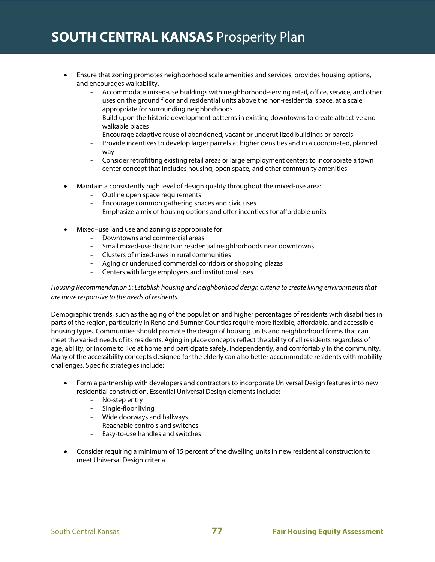- Ensure that zoning promotes neighborhood scale amenities and services, provides housing options, and encourages walkability.
	- Accommodate mixed-use buildings with neighborhood-serving retail, office, service, and other uses on the ground floor and residential units above the non-residential space, at a scale appropriate for surrounding neighborhoods
	- Build upon the historic development patterns in existing downtowns to create attractive and walkable places
	- Encourage adaptive reuse of abandoned, vacant or underutilized buildings or parcels
	- Provide incentives to develop larger parcels at higher densities and in a coordinated, planned way
	- Consider retrofitting existing retail areas or large employment centers to incorporate a town center concept that includes housing, open space, and other community amenities
- Maintain a consistently high level of design quality throughout the mixed-use area:
	- Outline open space requirements
	- Encourage common gathering spaces and civic uses
	- Emphasize a mix of housing options and offer incentives for affordable units
- Mixed–use land use and zoning is appropriate for:
	- Downtowns and commercial areas
	- Small mixed-use districts in residential neighborhoods near downtowns
	- Clusters of mixed-uses in rural communities
	- Aging or underused commercial corridors or shopping plazas
	- Centers with large employers and institutional uses

#### Housing Recommendation 5: Establish housing and neighborhood design criteria to create living environments that are more responsive to the needs of residents.

Demographic trends, such as the aging of the population and higher percentages of residents with disabilities in parts of the region, particularly in Reno and Sumner Counties require more flexible, affordable, and accessible housing types. Communities should promote the design of housing units and neighborhood forms that can meet the varied needs of its residents. Aging in place concepts reflect the ability of all residents regardless of age, ability, or income to live at home and participate safely, independently, and comfortably in the community. Many of the accessibility concepts designed for the elderly can also better accommodate residents with mobility challenges. Specific strategies include:

- Form a partnership with developers and contractors to incorporate Universal Design features into new residential construction. Essential Universal Design elements include:
	- No-step entry
	- Single-floor living
	- Wide doorways and hallways
	- Reachable controls and switches
	- Easy-to-use handles and switches
- Consider requiring a minimum of 15 percent of the dwelling units in new residential construction to meet Universal Design criteria.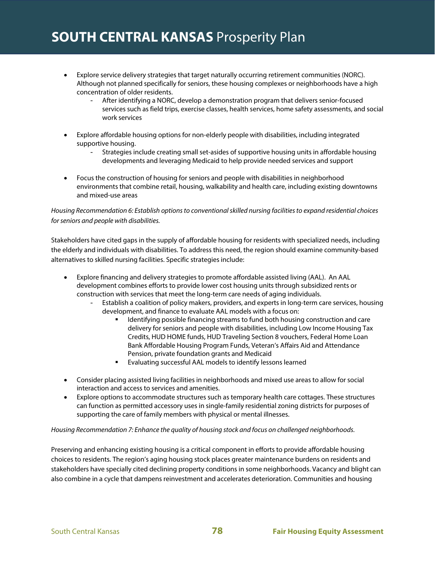- Explore service delivery strategies that target naturally occurring retirement communities (NORC). Although not planned specifically for seniors, these housing complexes or neighborhoods have a high concentration of older residents.
	- After identifying a NORC, develop a demonstration program that delivers senior-focused services such as field trips, exercise classes, health services, home safety assessments, and social work services
- Explore affordable housing options for non-elderly people with disabilities, including integrated supportive housing.
	- Strategies include creating small set-asides of supportive housing units in affordable housing developments and leveraging Medicaid to help provide needed services and support
- Focus the construction of housing for seniors and people with disabilities in neighborhood environments that combine retail, housing, walkability and health care, including existing downtowns and mixed-use areas

#### Housing Recommendation 6: Establish options to conventional skilled nursing facilities to expand residential choices for seniors and people with disabilities.

Stakeholders have cited gaps in the supply of affordable housing for residents with specialized needs, including the elderly and individuals with disabilities. To address this need, the region should examine community-based alternatives to skilled nursing facilities. Specific strategies include:

- Explore financing and delivery strategies to promote affordable assisted living (AAL). An AAL development combines efforts to provide lower cost housing units through subsidized rents or construction with services that meet the long-term care needs of aging individuals.
	- Establish a coalition of policy makers, providers, and experts in long-term care services, housing development, and finance to evaluate AAL models with a focus on:
		- Identifying possible financing streams to fund both housing construction and care delivery for seniors and people with disabilities, including Low Income Housing Tax Credits, HUD HOME funds, HUD Traveling Section 8 vouchers, Federal Home Loan Bank Affordable Housing Program Funds, Veteran's Affairs Aid and Attendance Pension, private foundation grants and Medicaid
		- Evaluating successful AAL models to identify lessons learned
- Consider placing assisted living facilities in neighborhoods and mixed use areas to allow for social interaction and access to services and amenities.
- Explore options to accommodate structures such as temporary health care cottages. These structures can function as permitted accessory uses in single-family residential zoning districts for purposes of supporting the care of family members with physical or mental illnesses.

#### Housing Recommendation 7: Enhance the quality of housing stock and focus on challenged neighborhoods.

Preserving and enhancing existing housing is a critical component in efforts to provide affordable housing choices to residents. The region's aging housing stock places greater maintenance burdens on residents and stakeholders have specially cited declining property conditions in some neighborhoods. Vacancy and blight can also combine in a cycle that dampens reinvestment and accelerates deterioration. Communities and housing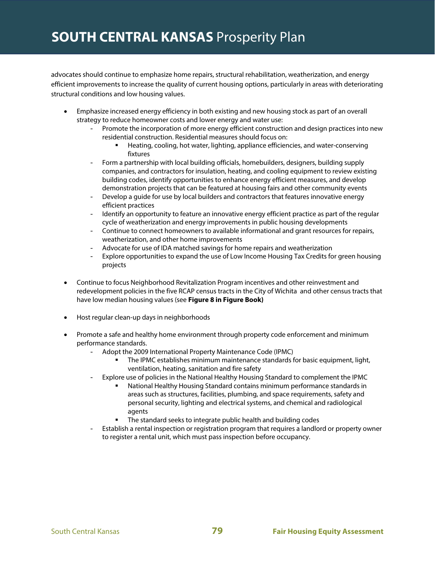advocates should continue to emphasize home repairs, structural rehabilitation, weatherization, and energy efficient improvements to increase the quality of current housing options, particularly in areas with deteriorating structural conditions and low housing values.

- Emphasize increased energy efficiency in both existing and new housing stock as part of an overall strategy to reduce homeowner costs and lower energy and water use:
	- Promote the incorporation of more energy efficient construction and design practices into new residential construction. Residential measures should focus on:
		- Heating, cooling, hot water, lighting, appliance efficiencies, and water-conserving fixtures
	- Form a partnership with local building officials, homebuilders, designers, building supply companies, and contractors for insulation, heating, and cooling equipment to review existing building codes, identify opportunities to enhance energy efficient measures, and develop demonstration projects that can be featured at housing fairs and other community events
	- Develop a guide for use by local builders and contractors that features innovative energy efficient practices
	- Identify an opportunity to feature an innovative energy efficient practice as part of the regular cycle of weatherization and energy improvements in public housing developments
	- Continue to connect homeowners to available informational and grant resources for repairs, weatherization, and other home improvements
	- Advocate for use of IDA matched savings for home repairs and weatherization
	- Explore opportunities to expand the use of Low Income Housing Tax Credits for green housing projects
- Continue to focus Neighborhood Revitalization Program incentives and other reinvestment and redevelopment policies in the five RCAP census tracts in the City of Wichita and other census tracts that have low median housing values (see **Figure 8 in Figure Book)**
- Host regular clean-up days in neighborhoods
- Promote a safe and healthy home environment through property code enforcement and minimum performance standards.
	- Adopt the 2009 International Property Maintenance Code (IPMC)
		- The IPMC establishes minimum maintenance standards for basic equipment, light, ventilation, heating, sanitation and fire safety
	- Explore use of policies in the National Healthy Housing Standard to complement the IPMC
		- National Healthy Housing Standard contains minimum performance standards in areas such as structures, facilities, plumbing, and space requirements, safety and personal security, lighting and electrical systems, and chemical and radiological agents
		- The standard seeks to integrate public health and building codes
	- Establish a rental inspection or registration program that requires a landlord or property owner to register a rental unit, which must pass inspection before occupancy.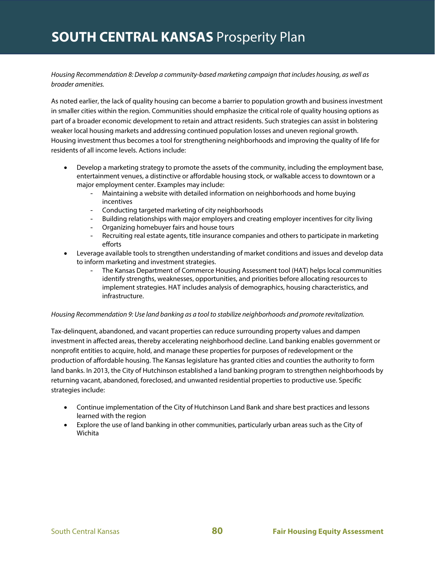Housing Recommendation 8: Develop a community-based marketing campaign that includes housing, as well as broader amenities.

As noted earlier, the lack of quality housing can become a barrier to population growth and business investment in smaller cities within the region. Communities should emphasize the critical role of quality housing options as part of a broader economic development to retain and attract residents. Such strategies can assist in bolstering weaker local housing markets and addressing continued population losses and uneven regional growth. Housing investment thus becomes a tool for strengthening neighborhoods and improving the quality of life for residents of all income levels. Actions include:

- Develop a marketing strategy to promote the assets of the community, including the employment base, entertainment venues, a distinctive or affordable housing stock, or walkable access to downtown or a major employment center. Examples may include:
	- Maintaining a website with detailed information on neighborhoods and home buying incentives
	- Conducting targeted marketing of city neighborhoods
	- Building relationships with major employers and creating employer incentives for city living
	- Organizing homebuyer fairs and house tours<br>- Recruiting real estate agents, title insurance co
	- Recruiting real estate agents, title insurance companies and others to participate in marketing efforts
- Leverage available tools to strengthen understanding of market conditions and issues and develop data to inform marketing and investment strategies.
	- The Kansas Department of Commerce Housing Assessment tool (HAT) helps local communities identify strengths, weaknesses, opportunities, and priorities before allocating resources to implement strategies. HAT includes analysis of demographics, housing characteristics, and infrastructure.

#### Housing Recommendation 9: Use land banking as a tool to stabilize neighborhoods and promote revitalization.

Tax-delinquent, abandoned, and vacant properties can reduce surrounding property values and dampen investment in affected areas, thereby accelerating neighborhood decline. Land banking enables government or nonprofit entities to acquire, hold, and manage these properties for purposes of redevelopment or the production of affordable housing. The Kansas legislature has granted cities and counties the authority to form land banks. In 2013, the City of Hutchinson established a land banking program to strengthen neighborhoods by returning vacant, abandoned, foreclosed, and unwanted residential properties to productive use. Specific strategies include:

- Continue implementation of the City of Hutchinson Land Bank and share best practices and lessons learned with the region
- Explore the use of land banking in other communities, particularly urban areas such as the City of Wichita